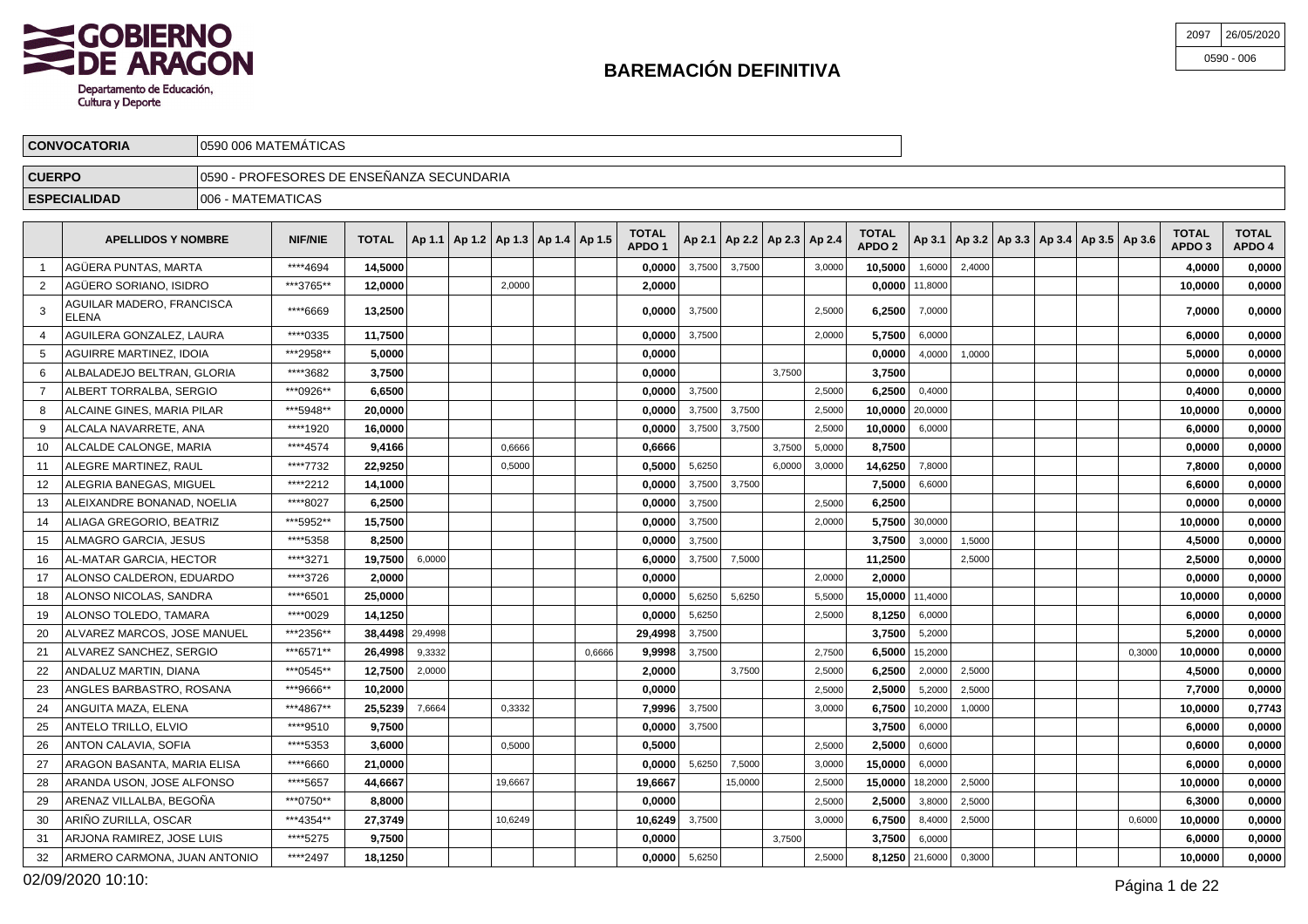

| 2097 | 26/05/2020   |
|------|--------------|
|      | $0590 - 006$ |

|               | <b>CONVOCATORIA</b>                        |                    | 0590 006 MATEMÁTICAS                       |              |  |        |                                            |                                   |        |        |                                   |        |                                   |                  |        |  |                                                     |                        |                        |
|---------------|--------------------------------------------|--------------------|--------------------------------------------|--------------|--|--------|--------------------------------------------|-----------------------------------|--------|--------|-----------------------------------|--------|-----------------------------------|------------------|--------|--|-----------------------------------------------------|------------------------|------------------------|
| <b>CUERPO</b> |                                            |                    | 10590 - PROFESORES DE ENSEÑANZA SECUNDARIA |              |  |        |                                            |                                   |        |        |                                   |        |                                   |                  |        |  |                                                     |                        |                        |
|               | <b>ESPECIALIDAD</b>                        | 1006 - MATEMATICAS |                                            |              |  |        |                                            |                                   |        |        |                                   |        |                                   |                  |        |  |                                                     |                        |                        |
|               | <b>APELLIDOS Y NOMBRE</b>                  |                    | <b>NIF/NIE</b>                             | <b>TOTAL</b> |  |        | Ap 1.1   Ap 1.2   Ap 1.3   Ap 1.4   Ap 1.5 | <b>TOTAL</b><br>APDO <sub>1</sub> |        |        | Ap 2.1   Ap 2.2   Ap 2.3   Ap 2.4 |        | <b>TOTAL</b><br>APDO <sub>2</sub> |                  |        |  | Ap 3.1   Ap 3.2   Ap 3.3   Ap 3.4   Ap 3.5   Ap 3.6 | <b>TOTAL</b><br>APDO 3 | <b>TOTAL</b><br>APDO 4 |
|               | <b>AGÜERA PUNTAS, MARTA</b>                |                    | ****4694                                   | 14,5000      |  |        |                                            | 0.0000                            | 3,7500 | 3,7500 |                                   | 3,0000 | 10.5000                           | 1,6000           | 2.4000 |  |                                                     | 4.0000                 | 0,0000                 |
|               | AGÜERO SORIANO, ISIDRO                     |                    | ***3765**                                  | 12,0000      |  | 2,0000 |                                            | 2,0000                            |        |        |                                   |        |                                   | $0,0000$ 11,8000 |        |  |                                                     | 10,0000                | 0,0000                 |
|               | AGUILAR MADERO, FRANCISCA<br><b>LELENA</b> |                    | ****6669                                   | 13,2500      |  |        |                                            | 0,0000                            | 3,7500 |        |                                   | 2,5000 | 6,2500                            | 7,0000           |        |  |                                                     | 7,0000                 | 0,0000                 |
|               | AGUILERA GONZALEZ. LAURA                   |                    | ****0335                                   | 11.7500      |  |        |                                            | 0,0000                            | 3,7500 |        |                                   | 2,0000 |                                   | $5,7500$ 6,0000  |        |  |                                                     | 6,0000                 | 0,0000                 |
|               | <b>AGUIRRE MARTINEZ, IDOIA</b>             |                    | ***2958**                                  | 5.0000       |  |        |                                            | 0,0000                            |        |        |                                   |        | 0.0000                            | 4,0000           | 1.0000 |  |                                                     | 5.0000                 | 0,0000                 |
|               | ALBALADEJO BELTRAN, GLORIA                 |                    | ****3682                                   | 3,7500       |  |        |                                            | 0,0000                            |        |        | 3,7500                            |        | 3,7500                            |                  |        |  |                                                     | 0,0000                 | 0,0000                 |

|    | AGUILERA GONZALEZ, LAURA       | ****0335  | 11.7500         |        |         |        | 0.0000  | 3,7500 |         |        | 2,0000 | 5.7500          | 6,0000  |        |  |        | 6.0000  | 0,0000 |
|----|--------------------------------|-----------|-----------------|--------|---------|--------|---------|--------|---------|--------|--------|-----------------|---------|--------|--|--------|---------|--------|
| 5  | <b>AGUIRRE MARTINEZ, IDOIA</b> | ***2958** | 5.0000          |        |         |        | 0.0000  |        |         |        |        | 0.0000          | 4,0000  | 1,0000 |  |        | 5.0000  | 0,0000 |
| 6  | ALBALADEJO BELTRAN, GLORIA     | ****3682  | 3.7500          |        |         |        | 0,0000  |        |         | 3.7500 |        | 3.7500          |         |        |  |        | 0.0000  | 0,0000 |
|    | ALBERT TORRALBA, SERGIO        | ***0926** | 6,6500          |        |         |        | 0,0000  | 3,7500 |         |        | 2,5000 | 6,2500          | 0,4000  |        |  |        | 0,4000  | 0,0000 |
| 8  | ALCAINE GINES, MARIA PILAR     | ***5948** | 20.0000         |        |         |        | 0,0000  | 3,7500 | 3,7500  |        | 2,5000 | 10.0000 20,0000 |         |        |  |        | 10.0000 | 0,0000 |
| 9  | ALCALA NAVARRETE, ANA          | ****1920  | 16.0000         |        |         |        | 0,0000  | 3,7500 | 3,7500  |        | 2,5000 | 10.0000         | 6,0000  |        |  |        | 6,0000  | 0,0000 |
| 10 | ALCALDE CALONGE, MARIA         | ****4574  | 9,4166          |        | 0.6666  |        | 0,6666  |        |         | 3,7500 | 5,0000 | 8,7500          |         |        |  |        | 0,0000  | 0,0000 |
| 11 | ALEGRE MARTINEZ. RAUL          | ****7732  | 22.9250         |        | 0,5000  |        | 0,5000  | 5,6250 |         | 6,0000 | 3,0000 | 14.6250         | 7,8000  |        |  |        | 7.8000  | 0,0000 |
| 12 | ALEGRIA BANEGAS, MIGUEL        | ****2212  | 14,1000         |        |         |        | 0,0000  | 3,7500 | 3,7500  |        |        | 7,5000          | 6,6000  |        |  |        | 6,6000  | 0,0000 |
| 13 | ALEIXANDRE BONANAD, NOELIA     | ****8027  | 6,2500          |        |         |        | 0,0000  | 3,7500 |         |        | 2,5000 | 6,2500          |         |        |  |        | 0,0000  | 0,0000 |
| 14 | ALIAGA GREGORIO. BEATRIZ       | ***5952** | 15.7500         |        |         |        | 0,0000  | 3,7500 |         |        | 2,0000 | 5.7500          | 30,0000 |        |  |        | 10.0000 | 0,0000 |
| 15 | ALMAGRO GARCIA. JESUS          | ****5358  | 8,2500          |        |         |        | 0,0000  | 3.7500 |         |        |        | 3.7500          | 3,0000  | 1.5000 |  |        | 4,5000  | 0,0000 |
| 16 | AL-MATAR GARCIA. HECTOR        | ****3271  | 19,7500         | 6,0000 |         |        | 6.0000  | 3,7500 | 7,5000  |        |        | 11,2500         |         | 2,5000 |  |        | 2,5000  | 0,0000 |
| 17 | ALONSO CALDERON. EDUARDO       | ****3726  | 2.0000          |        |         |        | 0.0000  |        |         |        | 2,0000 | 2.0000          |         |        |  |        | 0.0000  | 0,0000 |
| 18 | ALONSO NICOLAS, SANDRA         | ****6501  | 25.0000         |        |         |        | 0.0000  | 5.6250 | 5,6250  |        | 5.5000 | 15.0000         | 11,4000 |        |  |        | 10.0000 | 0,0000 |
| 19 | ALONSO TOLEDO, TAMARA          | ****0029  | 14,1250         |        |         |        | 0,0000  | 5,6250 |         |        | 2,5000 | 8,1250          | 6,0000  |        |  |        | 6,0000  | 0,0000 |
| 20 | ALVAREZ MARCOS. JOSE MANUEL    | ***2356** | 38,4498 29,4998 |        |         |        | 29.4998 | 3,7500 |         |        |        | 3.7500          | 5,2000  |        |  |        | 5,2000  | 0,0000 |
| 21 | ALVAREZ SANCHEZ, SERGIO        | ***6571** | 26.4998         | 9,3332 |         | 0,6666 | 9,9998  | 3,7500 |         |        | 2,7500 | 6.5000          | 15,2000 |        |  | 0,3000 | 10.0000 | 0,0000 |
|    | ANDALUZ MARTIN. DIANA          | ***0545** | 12,7500         | 2,0000 |         |        | 2,0000  |        | 3,7500  |        | 2,5000 | 6.2500          | 2,0000  | 2,5000 |  |        | 4,5000  | 0,0000 |
| 23 | ANGLES BARBASTRO, ROSANA       | ***9666** | 10.2000         |        |         |        | 0.0000  |        |         |        | 2,5000 | 2.5000          | 5,2000  | 2,5000 |  |        | 7.7000  | 0,0000 |
| 24 | ANGUITA MAZA, ELENA            | ***4867** | 25,5239         | 7,6664 | 0,3332  |        | 7,9996  | 3,7500 |         |        | 3,0000 | 6.7500          | 10,2000 | 1,0000 |  |        | 10,0000 | 0,7743 |
| 25 | ANTELO TRILLO, ELVIO           | ****9510  | 9,7500          |        |         |        | 0,0000  | 3,7500 |         |        |        | 3,7500          | 6,0000  |        |  |        | 6,0000  | 0,0000 |
| 26 | ANTON CALAVIA, SOFIA           | ****5353  | 3.6000          |        | 0,5000  |        | 0.5000  |        |         |        | 2,5000 | 2.5000          | 0,6000  |        |  |        | 0.6000  | 0,0000 |
| 27 | ARAGON BASANTA, MARIA ELISA    | ****6660  | 21,0000         |        |         |        | 0,0000  | 5.6250 | 7,5000  |        | 3,0000 | 15,0000         | 6,0000  |        |  |        | 6.0000  | 0,0000 |
| 28 | ARANDA USON. JOSE ALFONSO      | ****5657  | 44,6667         |        | 19,6667 |        | 19,6667 |        | 15,0000 |        | 2,5000 | 15,0000         | 18,2000 | 2,5000 |  |        | 10,0000 | 0,0000 |
| 29 | ARENAZ VILLALBA. BEGOÑA        | ***0750** | 8.8000          |        |         |        | 0.0000  |        |         |        | 2,5000 | 2,5000          | 3,8000  | 2,5000 |  |        | 6.3000  | 0,0000 |
| 30 | ARIÑO ZURILLA. OSCAR           | ***4354** | 27.3749         |        | 10,6249 |        | 10,6249 | 3,7500 |         |        | 3,0000 | 6.7500          | 8,4000  | 2,5000 |  | 0,6000 | 10.0000 | 0,0000 |
| 31 | ARJONA RAMIREZ, JOSE LUIS      | ****5275  | 9,7500          |        |         |        | 0,0000  |        |         | 3,7500 |        | 3,7500          | 6,0000  |        |  |        | 6,0000  | 0,0000 |
| 32 | ARMERO CARMONA, JUAN ANTONIO   | ****2497  | 18,1250         |        |         |        | 0,0000  | 5.6250 |         |        | 2.5000 | 8.1250          | 21,6000 | 0,3000 |  |        | 10.0000 | 0,0000 |
|    |                                |           |                 |        |         |        |         |        |         |        |        |                 |         |        |  |        |         |        |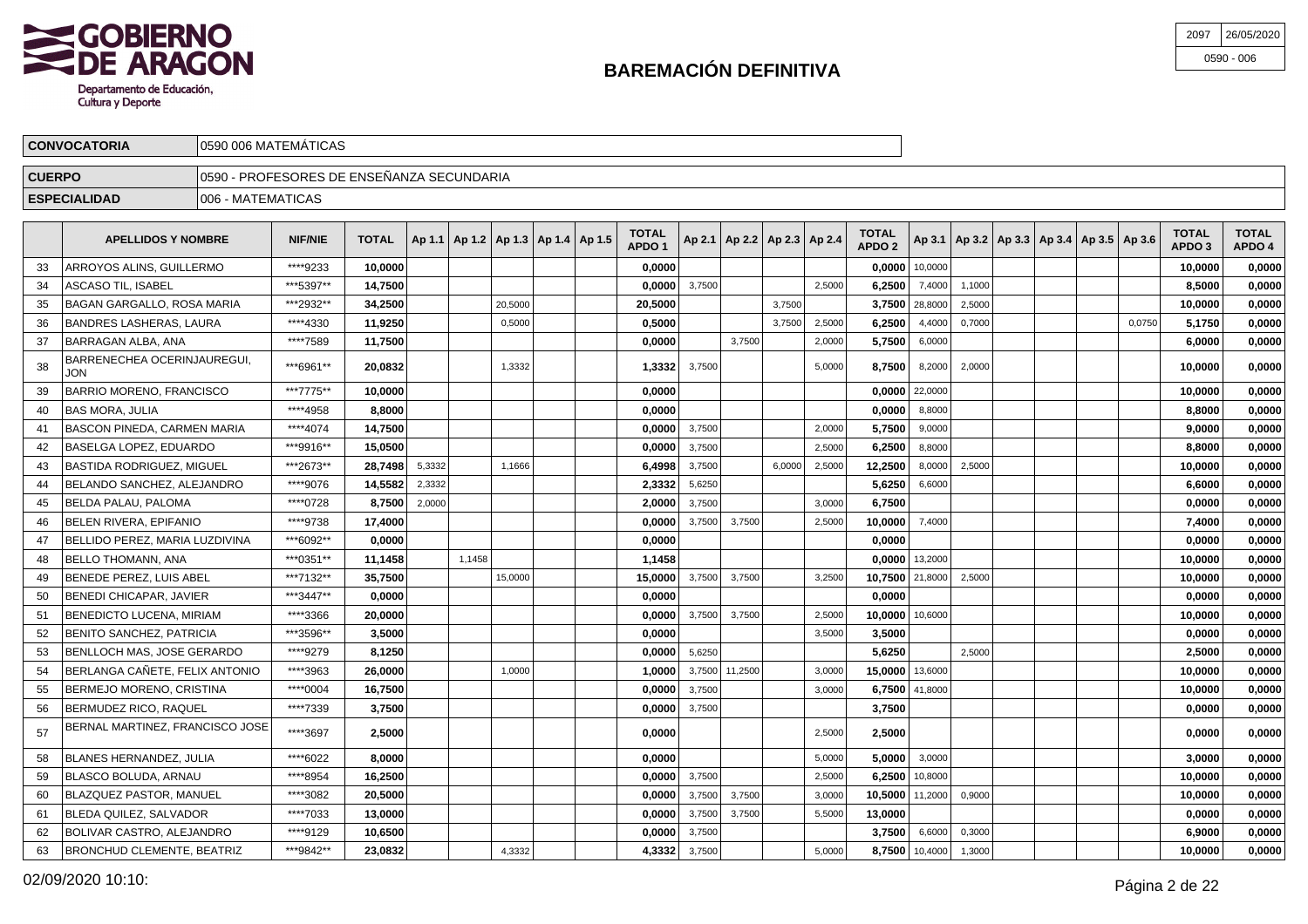

| 2097 26/05/2020 |
|-----------------|
| $0590 - 006$    |

|               | <b>CONVOCATORIA</b>                       |                   | 0590 006 MATEMÁTICAS                       |              |        |        |         |                                            |                                   |        |        |                                   |        |                                   |                    |        |                                                     |        |                                   |                        |
|---------------|-------------------------------------------|-------------------|--------------------------------------------|--------------|--------|--------|---------|--------------------------------------------|-----------------------------------|--------|--------|-----------------------------------|--------|-----------------------------------|--------------------|--------|-----------------------------------------------------|--------|-----------------------------------|------------------------|
| <b>CUERPO</b> |                                           |                   | 10590 - PROFESORES DE ENSEÑANZA SECUNDARIA |              |        |        |         |                                            |                                   |        |        |                                   |        |                                   |                    |        |                                                     |        |                                   |                        |
|               | <b>ESPECIALIDAD</b>                       | 006 - MATEMATICAS |                                            |              |        |        |         |                                            |                                   |        |        |                                   |        |                                   |                    |        |                                                     |        |                                   |                        |
|               | <b>APELLIDOS Y NOMBRE</b>                 |                   | <b>NIF/NIE</b>                             | <b>TOTAL</b> |        |        |         | Ap 1.1   Ap 1.2   Ap 1.3   Ap 1.4   Ap 1.5 | <b>TOTAL</b><br>APDO <sub>1</sub> |        |        | Ap 2.1   Ap 2.2   Ap 2.3   Ap 2.4 |        | <b>TOTAL</b><br>APDO <sub>2</sub> |                    |        | Ap 3.1   Ap 3.2   Ap 3.3   Ap 3.4   Ap 3.5   Ap 3.6 |        | <b>TOTAL</b><br>APDO <sub>3</sub> | <b>TOTAL</b><br>APDO 4 |
| 33            | ARROYOS ALINS, GUILLERMO                  |                   | ****9233                                   | 10.0000      |        |        |         |                                            | 0,0000                            |        |        |                                   |        |                                   | $0,0000$ 10,0000   |        |                                                     |        | 10,0000                           | 0,0000                 |
| 34            | <b>ASCASO TIL, ISABEL</b>                 |                   | ***5397**                                  | 14,7500      |        |        |         |                                            | 0,0000                            | 3,7500 |        |                                   | 2,5000 | 6,2500                            | 7,4000             | 1,1000 |                                                     |        | 8,5000                            | 0,0000                 |
|               | BAGAN GARGALLO, ROSA MARIA                |                   | ***2932**                                  | 34,2500      |        |        | 20.5000 |                                            | 20,5000                           |        |        | 3,7500                            |        |                                   | 3,7500 28,8000     | 2,5000 |                                                     |        | 10,0000                           | 0,0000                 |
| 36            | <b>BANDRES LASHERAS, LAURA</b>            |                   | ****4330                                   | 11.9250      |        |        | 0,5000  |                                            | 0.5000                            |        |        | 3,7500                            | 2,5000 | 6,2500                            | 4,4000             | 0,7000 |                                                     | 0.0750 | 5,1750                            | 0,0000                 |
| 37            | <b>BARRAGAN ALBA, ANA</b>                 |                   | ****7589                                   | 11,7500      |        |        |         |                                            | 0,0000                            |        | 3,7500 |                                   | 2,0000 | 5,7500                            | 6,0000             |        |                                                     |        | 6.0000                            | 0,0000                 |
| 38            | BARRENECHEA OCERINJAUREGUI,<br><b>JON</b> |                   | ***6961**                                  | 20,0832      |        |        | 1.3332  |                                            | 1,3332                            | 3,7500 |        |                                   | 5.0000 | 8,7500                            | 8,2000             | 2,0000 |                                                     |        | 10,0000                           | 0,0000                 |
|               | <b>BARRIO MORENO, FRANCISCO</b>           |                   | ***7775**                                  | 10.0000      |        |        |         |                                            | 0,0000                            |        |        |                                   |        |                                   | $0,0000$   22,0000 |        |                                                     |        | 10.0000                           | 0,0000                 |
| 40            | <b>IBAS MORA. JULIA</b>                   |                   | ****4958                                   | 8.8000       |        |        |         |                                            | 0,0000                            |        |        |                                   |        | 0,0000                            | 8,8000             |        |                                                     |        | 8.8000                            | 0,0000                 |
| 41            | BASCON PINEDA, CARMEN MARIA               |                   | ****4074                                   | 14,7500      |        |        |         |                                            | 0,0000                            | 3,7500 |        |                                   | 2,0000 | 5,7500                            | 9,0000             |        |                                                     |        | 9.0000                            | 0,0000                 |
| 42            | <b>BASELGA LOPEZ. EDUARDO</b>             |                   | ***9916**                                  | 15.0500      |        |        |         |                                            | 0.0000                            | 3,7500 |        |                                   | 2.5000 | 6,2500                            | 8,8000             |        |                                                     |        | 8.8000                            | 0,0000                 |
| 43            | <b>BASTIDA RODRIGUEZ, MIGUEL</b>          |                   | ***2673**                                  | 28.7498      | 5,3332 |        | 1,1666  |                                            | 6,4998                            | 3,7500 |        | 6,0000                            | 2,5000 | 12,2500                           | 8,0000             | 2,5000 |                                                     |        | 10.0000                           | 0,0000                 |
| 44            | BELANDO SANCHEZ. ALEJANDRO                |                   | ****9076                                   | 14,5582      | 2,3332 |        |         |                                            | 2,3332                            | 5,6250 |        |                                   |        | 5,6250                            | 6,6000             |        |                                                     |        | 6.6000                            | 0,0000                 |
| 45            | <b>BELDA PALAU, PALOMA</b>                |                   | ****0728                                   | 8,7500       | 2,0000 |        |         |                                            | 2,0000                            | 3,7500 |        |                                   | 3.0000 | 6,7500                            |                    |        |                                                     |        | 0.0000                            | 0,0000                 |
| 46            | BELEN RIVERA, EPIFANIO                    |                   | ****9738                                   | 17,4000      |        |        |         |                                            | 0,0000                            | 3,7500 | 3.7500 |                                   | 2,5000 | 10,0000                           | 7,4000             |        |                                                     |        | 7,4000                            | 0,0000                 |
| 47            | BELLIDO PEREZ. MARIA LUZDIVINA            |                   | ***6092**                                  | 0,0000       |        |        |         |                                            | 0,0000                            |        |        |                                   |        | 0,0000                            |                    |        |                                                     |        | 0.0000                            | 0,0000                 |
| 48            | <b>BELLO THOMANN, ANA</b>                 |                   | ***0351**                                  | 11,1458      |        | 1,1458 |         |                                            | 1,1458                            |        |        |                                   |        |                                   | $0.0000$ 13,2000   |        |                                                     |        | 10,0000                           | 0,0000                 |
| 49            | BENEDE PEREZ. LUIS ABEL                   |                   | ***7132**                                  | 35.7500      |        |        | 15,0000 |                                            | 15,0000                           | 3,7500 | 3,7500 |                                   | 3,2500 | 10,7500 21,8000                   |                    | 2,5000 |                                                     |        | 10.0000                           | 0,0000                 |
| 50            | <b>BENEDI CHICAPAR, JAVIER</b>            |                   | ***3447**                                  | 0.0000       |        |        |         |                                            | 0.0000                            |        |        |                                   |        | 0.0000                            |                    |        |                                                     |        | 0.0000                            | 0,0000                 |
| 51            | <b>BENEDICTO LUCENA, MIRIAM</b>           |                   | ****3366                                   | 20.0000      |        |        |         |                                            | 0,0000                            | 3,7500 | 3,7500 |                                   | 2,5000 |                                   | 10,0000 10,6000    |        |                                                     |        | 10,0000                           | 0,0000                 |
| 52            | <b>BENITO SANCHEZ, PATRICIA</b>           |                   | ***3596**                                  | 3.5000       |        |        |         |                                            | 0.0000                            |        |        |                                   | 3.5000 | 3.5000                            |                    |        |                                                     |        | 0.0000                            | 0,0000                 |
|               |                                           |                   |                                            |              |        |        |         |                                            |                                   |        |        |                                   |        |                                   |                    |        |                                                     |        |                                   |                        |

BERMUDEZ RICO, RAQUEL \*\*\*\*7339 **3,7500 0,0000** 3,7500 **3,7500 0,0000 0,0000**

\*\*\*\*3697 **2,5000 0,0000** 2,5000 **2,5000 0,0000 0,0000** BERNAL MARTINEZ, FRANCISCO JOSE

BLAZQUEZ PASTOR, MANUEL \*\*\*\*3082 **20,5000 0,0000** 3,7500 3,7500 3,0000 **10,5000** 11,2000 0,9000 **10,0000 0,0000**

\*\*\*\*9279 **8,1250 0,0000** 5,6250 **5,6250** 2,5000 **2,5000 0,0000**

\*\*\*\*0004 **16,7500 0,0000** 3,7500 3,0000 **6,7500** 41,8000 **10,0000 0,0000**

\*\*\*\*6022 **8,0000 0,0000** 5,0000 **5,0000** 3,0000 **3,0000 0,0000**

\*\*\*\*8954 **16,2500 0,0000** 3,7500 2,5000 **6,2500** 10,8000 **10,0000 0,0000**

\*\*\*\*7033 **13,0000 0,0000** 3,7500 3,7500 5,5000 **13,0000 0,0000 0,0000**

\*\*\*\*9129 **10,6500 0,0000** 3,7500 **3,7500** 6,6000 0,3000 **6,9000 0,0000**

 $\mathbf{Z}$  \*\*\*9842\*\* | 23,0832 | | | 4,3332 | | | | 4,3332 3,7500 | | | | 5,0000 | 8,7500 10,4000 | 1,3000 | | | | | | | | | | | 10,0000 | 0,0000

 $\bullet$  \*\*\*\*3963 **26,0000** 1,0000 1,0000 1,0000 1,0000 3,7500 11,2500 3,0000 13,0000 13,0000 13,6000 1,0000 **0,0000** 

53

54

55

56

57

58

59

60

61

62

63

BENLLOCH MAS, JOSE GERARDO

BERMEJO MORENO, CRISTINA

BLANES HERNANDEZ, JULIA

BLASCO BOLUDA, ARNAU

BLEDA QUILEZ, SALVADOR

BOLIVAR CASTRO, ALEJANDRO

BRONCHUD CLEMENTE, BEATRIZ

BERLANGA CAÑETE, FELIX ANTONIO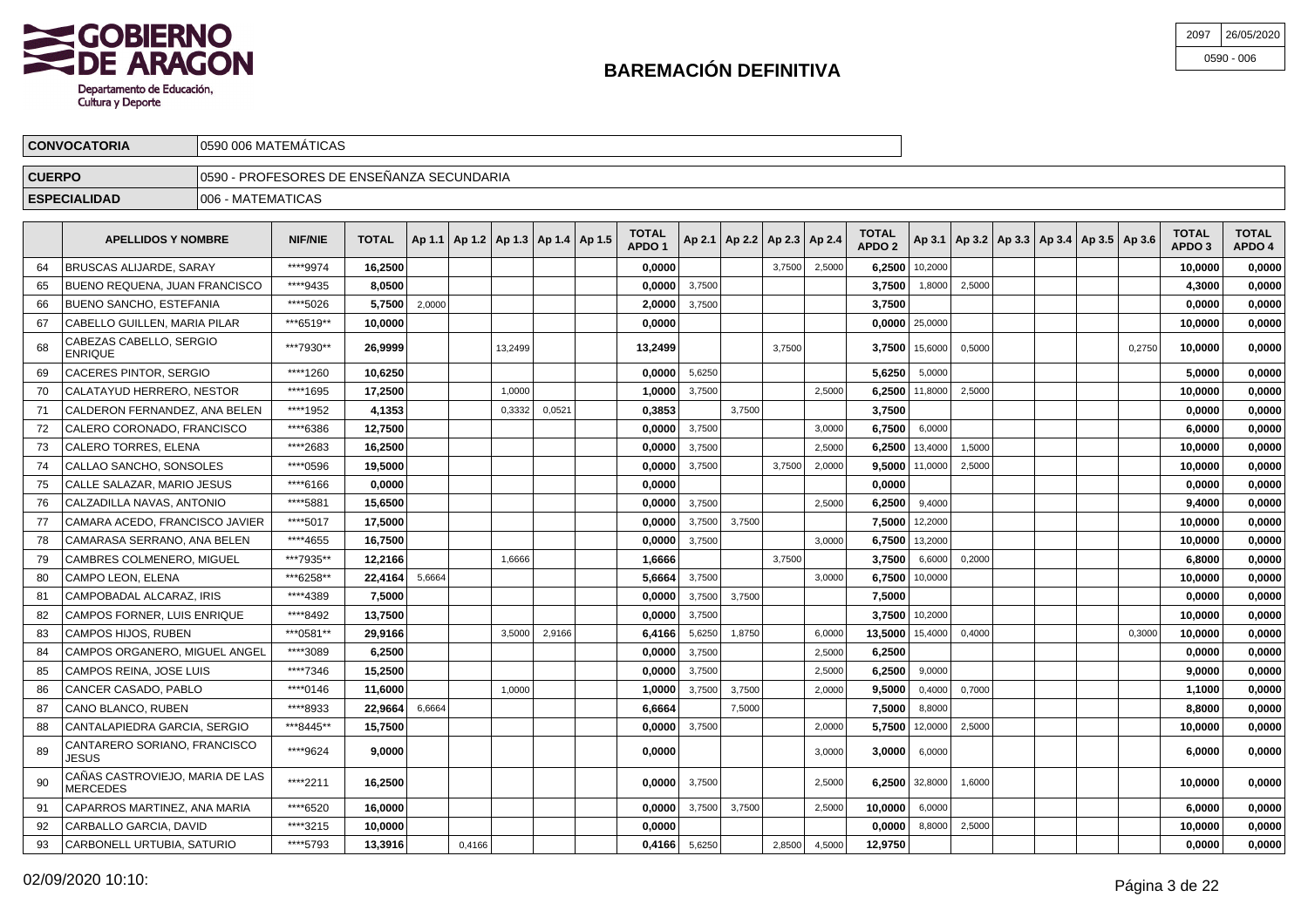

| 2097 | 26/05/2020   |
|------|--------------|
|      | $0590 - 006$ |

|               | <b>CONVOCATORIA</b>                       | 0590 006 MATEMÁTICAS                       |           |              |        |         |                                            |                                   |        |                                   |        |        |                                   |                    |        |  |                                                     |        |                        |                        |
|---------------|-------------------------------------------|--------------------------------------------|-----------|--------------|--------|---------|--------------------------------------------|-----------------------------------|--------|-----------------------------------|--------|--------|-----------------------------------|--------------------|--------|--|-----------------------------------------------------|--------|------------------------|------------------------|
| <b>CUERPO</b> |                                           | 10590 - PROFESORES DE ENSEÑANZA SECUNDARIA |           |              |        |         |                                            |                                   |        |                                   |        |        |                                   |                    |        |  |                                                     |        |                        |                        |
|               | <b>ESPECIALIDAD</b>                       | 1006 - MATEMATICAS                         |           |              |        |         |                                            |                                   |        |                                   |        |        |                                   |                    |        |  |                                                     |        |                        |                        |
|               | <b>APELLIDOS Y NOMBRE</b>                 |                                            | NIF/NIE   | <b>TOTAL</b> |        |         | Ap 1.1   Ap 1.2   Ap 1.3   Ap 1.4   Ap 1.5 | <b>TOTAL</b><br>APDO <sub>1</sub> |        | Ap 2.1   Ap 2.2   Ap 2.3   Ap 2.4 |        |        | <b>TOTAL</b><br>APDO <sub>2</sub> |                    |        |  | Ap 3.1   Ap 3.2   Ap 3.3   Ap 3.4   Ap 3.5   Ap 3.6 |        | <b>TOTAL</b><br>APDO 3 | <b>TOTAL</b><br>APDO 4 |
| 64            | BRUSCAS ALIJARDE, SARAY                   |                                            | ****9974  | 16,2500      |        |         |                                            | 0,0000                            |        |                                   | 3,7500 | 2,5000 |                                   | $6,2500$ 10,2000   |        |  |                                                     |        | 10,0000                | 0,0000                 |
| 65            | <b>BUENO REQUENA, JUAN FRANCISCO</b>      |                                            | ****9435  | 8.0500       |        |         |                                            | 0,0000                            | 3,7500 |                                   |        |        | 3,7500                            | 1,8000             | 2,5000 |  |                                                     |        | 4,3000                 | 0,0000                 |
| 66            | <b>BUENO SANCHO, ESTEFANIA</b>            |                                            | ****5026  | 5,7500       | 2,0000 |         |                                            | 2,0000                            | 3,7500 |                                   |        |        | 3,7500                            |                    |        |  |                                                     |        | 0,0000                 | 0,0000                 |
| 67            | CABELLO GUILLEN, MARIA PILAR              |                                            | ***6519** | 10,0000      |        |         |                                            | 0,0000                            |        |                                   |        |        |                                   | $0,0000$ 25,0000   |        |  |                                                     |        | 10,0000                | 0,0000                 |
| 68            | CABEZAS CABELLO, SERGIO<br><b>ENRIQUE</b> |                                            | ***7930** | 26.9999      |        | 13,2499 |                                            | 13.2499                           |        |                                   | 3,7500 |        |                                   | 3.7500 15,6000     | 0,5000 |  |                                                     | 0,2750 | 10,0000                | 0,0000                 |
| 69            | CACERES PINTOR, SERGIO                    |                                            | ****1260  | 10,6250      |        |         |                                            | 0,0000                            | 5,6250 |                                   |        |        | 5,6250                            | 5,0000             |        |  |                                                     |        | 5.0000                 | 0,0000                 |
| 70            | CALATAYUD HERRERO, NESTOR                 |                                            | ****1695  | 17,2500      |        | 1,0000  |                                            | 1,0000                            | 3,7500 |                                   |        | 2,5000 |                                   | $6,2500$   11,8000 | 2,5000 |  |                                                     |        | 10,0000                | 0,0000                 |
|               | - - -- - --- --                           |                                            |           |              |        |         |                                            |                                   |        |                                   |        |        |                                   |                    |        |  |                                                     |        |                        |                        |

|    | <b>ENRIQUE</b>                                     | ***/930**  | 26,9999 |        |        | 13,2499 |        | 13,2499 |        |        | 3,7500 |        |         | $3,7500$   15,6000   0,5000 |        |  | 0,2750 | 10,0000 | 0,0000 |
|----|----------------------------------------------------|------------|---------|--------|--------|---------|--------|---------|--------|--------|--------|--------|---------|-----------------------------|--------|--|--------|---------|--------|
|    | <b>CACERES PINTOR, SERGIO</b>                      | ****1260   | 10.6250 |        |        |         |        | 0.0000  | 5,6250 |        |        |        | 5,6250  | 5,0000                      |        |  |        | 5.0000  | 0.0000 |
| 70 | CALATAYUD HERRERO, NESTOR                          | ****1695   | 17.2500 |        |        | 1.0000  |        | 1.0000  | 3,7500 |        |        | 2,5000 | 6.2500  | 11,8000                     | 2,5000 |  |        | 10.0000 | 0,0000 |
| 71 | CALDERON FERNANDEZ. ANA BELEN                      | ****1952   | 4.1353  |        |        | 0.3332  | 0,0521 | 0.3853  |        | 3.7500 |        |        | 3.7500  |                             |        |  |        | 0.0000  | 0.0000 |
| 72 | CALERO CORONADO. FRANCISCO                         | ****6386   | 12.7500 |        |        |         |        | 0,0000  | 3,7500 |        |        | 3,0000 | 6,7500  | 6,0000                      |        |  |        | 6,0000  | 0,0000 |
| 73 | <b>CALERO TORRES. ELENA</b>                        | ****2683   | 16,2500 |        |        |         |        | 0,0000  | 3.7500 |        |        | 2,5000 | 6,2500  | 13,4000                     | 1,5000 |  |        | 10,0000 | 0,0000 |
| 74 | CALLAO SANCHO, SONSOLES                            | ****0596   | 19,5000 |        |        |         |        | 0.0000  | 3,7500 |        | 3,7500 | 2,0000 |         | $9.5000$ 11,0000            | 2,5000 |  |        | 10.0000 | 0.0000 |
| 75 | CALLE SALAZAR, MARIO JESUS                         | ****6166   | 0.0000  |        |        |         |        | 0,0000  |        |        |        |        | 0,0000  |                             |        |  |        | 0.0000  | 0,0000 |
| 76 | CALZADILLA NAVAS, ANTONIO                          | ****5881   | 15.6500 |        |        |         |        | 0,0000  | 3.7500 |        |        | 2,5000 | 6,2500  | 9,4000                      |        |  |        | 9,4000  | 0,0000 |
| 77 | CAMARA ACEDO, FRANCISCO JAVIER                     | ****5017   | 17,5000 |        |        |         |        | 0,0000  | 3,7500 | 3,7500 |        |        |         | 7,5000 12,2000              |        |  |        | 10,0000 | 0,0000 |
| 78 | CAMARASA SERRANO. ANA BELEN                        | ****4655   | 16.7500 |        |        |         |        | 0.0000  | 3,7500 |        |        | 3,0000 | 6.7500  | 13,2000                     |        |  |        | 10.0000 | 0.0000 |
| 79 | <b>CAMBRES COLMENERO. MIGUEL</b>                   | ***7935**  | 12,2166 |        |        | 1.6666  |        | 1.6666  |        |        | 3.7500 |        | 3.7500  | 6,6000                      | 0,2000 |  |        | 6.8000  | 0.0000 |
| 80 | CAMPO LEON. ELENA                                  | ***6258**  | 22.4164 | 5.6664 |        |         |        | 5.6664  | 3.7500 |        |        | 3,0000 | 6,7500  | 10,0000                     |        |  |        | 10,0000 | 0,0000 |
| 81 | CAMPOBADAL ALCARAZ, IRIS                           | ****4389   | 7.5000  |        |        |         |        | 0.0000  | 3,7500 | 3,7500 |        |        | 7.5000  |                             |        |  |        | 0.0000  | 0,0000 |
| 82 | CAMPOS FORNER. LUIS ENRIQUE                        | ****8492   | 13.7500 |        |        |         |        | 0,0000  | 3,7500 |        |        |        | 3.7500  | 10,2000                     |        |  |        | 10.0000 | 0.0000 |
| 83 | CAMPOS HIJOS, RUBEN                                | *** 0581** | 29.9166 |        |        | 3.5000  | 2,9166 | 6.4166  | 5,6250 | 1,8750 |        | 6.0000 | 13.5000 | 15,4000                     | 0.4000 |  | 0.3000 | 10.0000 | 0,0000 |
| 84 | CAMPOS ORGANERO, MIGUEL ANGEL                      | ****3089   | 6.2500  |        |        |         |        | 0.0000  | 3.7500 |        |        | 2,5000 | 6,2500  |                             |        |  |        | 0.0000  | 0,0000 |
| 85 | CAMPOS REINA, JOSE LUIS                            | ****7346   | 15,2500 |        |        |         |        | 0,0000  | 3,7500 |        |        | 2,5000 | 6,2500  | 9,0000                      |        |  |        | 9,0000  | 0.0000 |
| 86 | CANCER CASADO, PABLO                               | ****0146   | 11.6000 |        |        | 1.0000  |        | 1.0000  | 3,7500 | 3.7500 |        | 2,0000 | 9.5000  | 0,4000                      | 0,7000 |  |        | 1.1000  | 0.0000 |
| 87 | CANO BLANCO, RUBEN                                 | ****8933   | 22.9664 | 6,6664 |        |         |        | 6.6664  |        | 7,5000 |        |        | 7.5000  | 8,8000                      |        |  |        | 8.8000  | 0,0000 |
| 88 | CANTALAPIEDRA GARCIA, SERGIO                       | ***8445**  | 15,7500 |        |        |         |        | 0,0000  | 3.7500 |        |        | 2,0000 | 5.7500  | 12,0000                     | 2.5000 |  |        | 10,0000 | 0,0000 |
| 89 | CANTARERO SORIANO, FRANCISCO<br>JESUS              | ****9624   | 9,0000  |        |        |         |        | 0,0000  |        |        |        | 3,0000 | 3,0000  | 6,0000                      |        |  |        | 6,0000  | 0,0000 |
|    | CAÑAS CASTROVIEJO, MARIA DE LAS<br><b>MERCEDES</b> | ****2211   | 16,2500 |        |        |         |        | 0.0000  | 3,7500 |        |        | 2,5000 |         | 6,2500 32,8000              | 1,6000 |  |        | 10.0000 | 0,0000 |
| 91 | CAPARROS MARTINEZ. ANA MARIA                       | ****6520   | 16.0000 |        |        |         |        | 0.0000  | 3,7500 | 3,7500 |        | 2,5000 | 10,0000 | 6,0000                      |        |  |        | 6.0000  | 0.0000 |
| 92 | CARBALLO GARCIA, DAVID                             | ****3215   | 10,0000 |        |        |         |        | 0,0000  |        |        |        |        | 0,0000  | 8,8000                      | 2,5000 |  |        | 10,0000 | 0,0000 |
| 93 | CARBONELL URTUBIA. SATURIO                         | **** 5793  | 13,3916 |        | 0,4166 |         |        | 0.4166  | 5,6250 |        | 2,8500 | 4,5000 | 12,9750 |                             |        |  |        | 0.0000  | 0,0000 |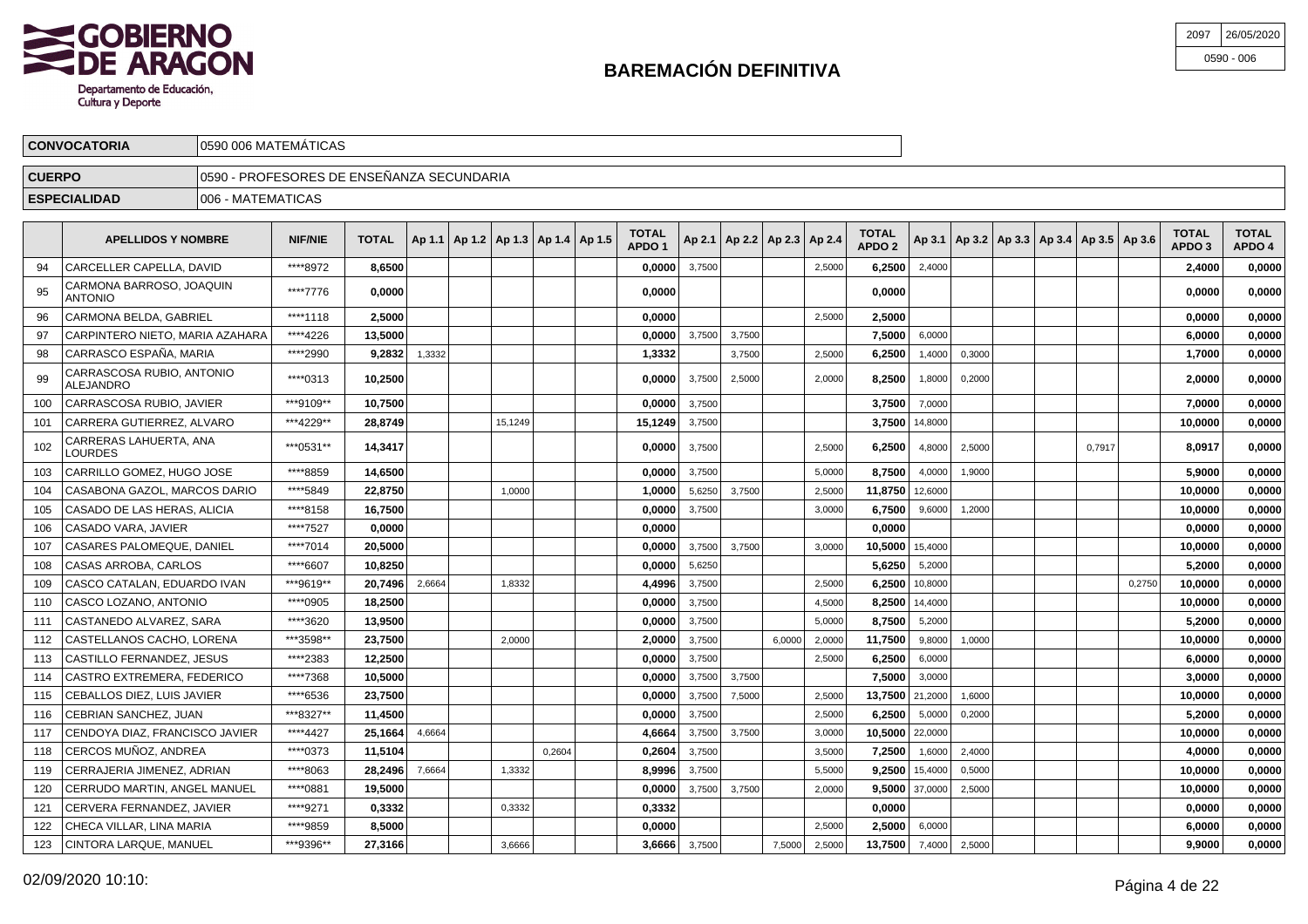

| 2097 | 26/05/2020   |
|------|--------------|
|      | $0590 - 006$ |

| <b>CONVOCATORIA</b>       |                    | 10590 006 MATEMATICAS                      |  |                                                                                                               |  |                                   |  |                                   |                 |  |  |                                                         |                                   |                        |
|---------------------------|--------------------|--------------------------------------------|--|---------------------------------------------------------------------------------------------------------------|--|-----------------------------------|--|-----------------------------------|-----------------|--|--|---------------------------------------------------------|-----------------------------------|------------------------|
| <b>CUERPO</b>             |                    | 10590 - PROFESORES DE ENSEÑANZA SECUNDARIA |  |                                                                                                               |  |                                   |  |                                   |                 |  |  |                                                         |                                   |                        |
| <b>ESPECIALIDAD</b>       | 1006 - MATEMATICAS |                                            |  |                                                                                                               |  |                                   |  |                                   |                 |  |  |                                                         |                                   |                        |
| <b>APELLIDOS Y NOMBRE</b> |                    | <b>NIF/NIE</b>                             |  | $\sqrt{70}$ TOTAL $\left $ Ap 1.1 $\right $ Ap 1.2 $\left $ Ap 1.3 $\right $ Ap 1.4 $\left $ Ap 1.5 $\right $ |  | <b>TOTAL</b><br>APDO <sub>1</sub> |  | Ap 2.1   Ap 2.2   Ap 2.3   Ap 2.4 | TOTAL<br>APDO 2 |  |  | $ $ Ap 3.1   Ap 3.2   Ap 3.3   Ap 3.4   Ap 3.5   Ap 3.6 | <b>TOTAL</b><br>APDO <sub>3</sub> | <b>TOTAL</b><br>APDO 4 |

| ****8972<br>CARCELLER CAPELLA, DAVID<br>94<br>8.6500<br>0.00001<br>3,7500<br>2,5000<br>6.2500<br>2,4000<br>CARMONA BARROSO, JOAQUIN<br>****7776<br>0.0000<br>0.0000<br>0.0000<br>95<br><b>ANTONIO</b><br>CARMONA BELDA, GABRIEL<br>****1118<br>2.5000<br>0.0000<br>2,5000<br>2.5000<br>96<br>CARPINTERO NIETO. MARIA AZAHARA<br>****4226<br>13,5000<br>0.0000<br>3.7500<br>7.5000<br>97<br>3,7500<br>6,0000<br>CARRASCO ESPAÑA, MARIA<br>****2990<br>1,3332<br>98<br>9,2832<br>1,3332<br>3,7500<br>2,5000<br>6,2500<br>1,4000<br>0,3000<br>CARRASCOSA RUBIO, ANTONIO<br>****0313<br>10,2500<br>8.2500<br>99<br>0.00001<br>3,7500<br>2,5000<br>0,2000<br>2,0000<br>1,8000<br>ALEJANDRO<br>***9109**<br>10,7500<br>CARRASCOSA RUBIO, JAVIER<br>0,0000<br>3,7500<br>3.7500<br>100<br>7,0000<br>CARRERA GUTIERREZ, ALVARO<br>***4229**<br>28,8749<br>15,1249<br>15,1249<br>3,7500<br>3,7500<br>101<br>14,8000<br>CARRERAS LAHUERTA, ANA<br>***0531**<br>102<br>14,3417<br>6.2500<br>2,5000<br>0.0000<br>3,7500<br>2,5000<br>4,8000<br>0.7917<br>LOURDES<br>****8859<br>CARRILLO GOMEZ. HUGO JOSE<br>14,6500<br>3.7500<br>0.0000<br>5,0000<br>8.7500<br>4,0000<br>1.9000<br>103<br>****5849<br>22,8750<br>11,8750 12,6000<br>CASABONA GAZOL, MARCOS DARIO<br>1,0000<br>1.0000<br>5,6250<br>3,7500<br>2,5000<br>104<br>CASADO DE LAS HERAS, ALICIA<br>****8158<br>16,7500<br>0.0000<br>3.7500<br>6.7500<br>105<br>3.0000<br>9,6000<br>1,2000<br>CASADO VARA, JAVIER<br>****7527<br>0,0000<br>0.0000<br>106<br>0.0000<br><b>CASARES PALOMEQUE, DANIEL</b><br>****7014<br>3,7500<br>20,5000<br>0,0000<br>3,7500<br>10,5000 15,4000<br>107<br>3,0000<br>****6607<br>CASAS ARROBA, CARLOS<br>10,8250<br>0.0000<br>5,6250<br>5.6250<br>108<br>5,2000<br>CASCO CATALAN, EDUARDO IVAN<br>***9619**<br>20.7496<br>2,6664<br>1,8332<br>4,4996<br>3,7500<br>2,5000<br>6.2500<br>10,8000<br>109<br>CASCO LOZANO, ANTONIO<br>****0905<br>18.2500<br>8.2500<br>0.0000<br>3,7500<br>14,4000<br>4,5000<br>110<br>****3620<br>8,7500<br>13,9500<br>0.0000<br>3,7500<br>CASTANEDO ALVAREZ, SARA<br>5,0000<br>5,2000<br>111<br>***3598**<br>CASTELLANOS CACHO, LORENA<br>23,7500<br>2,0000<br>3,7500<br>6.0000<br>11,7500<br>1,0000<br>112<br>2,0000<br>2,0000<br>9,8000<br>****2383<br>6.2500<br>CASTILLO FERNANDEZ. JESUS<br>12.2500<br>0.0000<br>3.7500<br>113<br>2,5000<br>6,0000<br>****7368<br>CASTRO EXTREMERA, FEDERICO<br>10,5000<br>3,7500<br>3,7500<br>0.00001<br>7.5000<br>3,0000<br>114<br>****6536<br>13,7500 21,2000<br>CEBALLOS DIEZ, LUIS JAVIER<br>23,7500<br>0,0000<br>3,7500<br>7,5000<br>2,5000<br>1,6000<br>115<br>CEBRIAN SANCHEZ, JUAN<br>***8327**<br>11,4500<br>3.7500<br>6.2500<br>0,2000<br>116<br>0.0000<br>2,5000<br>5,0000<br>10.5000<br>CENDOYA DIAZ, FRANCISCO JAVIER<br>****4427<br>25.1664<br>4,6664<br>4,6664<br>3,7500<br>3,7500<br>22,0000<br>117<br>3,0000<br>CERCOS MUÑOZ, ANDREA<br>****0373<br>0,2604<br>0,2604<br>3,7500<br>2,4000<br>11,5104<br>3,5000<br>7,2500<br>1,6000<br>118<br>****8063<br>CERRAJERIA JIMENEZ, ADRIAN<br>28,2496<br>7,6664<br>1,3332<br>8.9996<br>3,7500<br>9.2500<br>15,4000<br>0,5000<br>119<br>5,5000<br>****0881<br>19,5000<br>0.0000<br>3,7500<br>3,7500<br>$9,5000$ 37,0000<br>120<br>CERRUDO MARTIN, ANGEL MANUEL<br>2,0000<br>2,5000<br>CERVERA FERNANDEZ, JAVIER<br>****9271<br>0,3332<br>0,3332<br>0.3332<br>0.0000<br>121<br>****9859<br>CHECA VILLAR, LINA MARIA<br>8,5000<br>0,0000<br>2.5000<br>6,0000<br>122<br>2,5000 |  |  |  |  | APDO 1 |  |  | APDO 2 |  |  |        | APDO 3  | APDO 4 |
|---------------------------------------------------------------------------------------------------------------------------------------------------------------------------------------------------------------------------------------------------------------------------------------------------------------------------------------------------------------------------------------------------------------------------------------------------------------------------------------------------------------------------------------------------------------------------------------------------------------------------------------------------------------------------------------------------------------------------------------------------------------------------------------------------------------------------------------------------------------------------------------------------------------------------------------------------------------------------------------------------------------------------------------------------------------------------------------------------------------------------------------------------------------------------------------------------------------------------------------------------------------------------------------------------------------------------------------------------------------------------------------------------------------------------------------------------------------------------------------------------------------------------------------------------------------------------------------------------------------------------------------------------------------------------------------------------------------------------------------------------------------------------------------------------------------------------------------------------------------------------------------------------------------------------------------------------------------------------------------------------------------------------------------------------------------------------------------------------------------------------------------------------------------------------------------------------------------------------------------------------------------------------------------------------------------------------------------------------------------------------------------------------------------------------------------------------------------------------------------------------------------------------------------------------------------------------------------------------------------------------------------------------------------------------------------------------------------------------------------------------------------------------------------------------------------------------------------------------------------------------------------------------------------------------------------------------------------------------------------------------------------------------------------------------------------------------------------------------------------------------------------------------------------------------------------------------------------------------------------------------------------------------------------------------------------------------------------------------------------------------------------------------------------------------------------------------------------------------------|--|--|--|--|--------|--|--|--------|--|--|--------|---------|--------|
|                                                                                                                                                                                                                                                                                                                                                                                                                                                                                                                                                                                                                                                                                                                                                                                                                                                                                                                                                                                                                                                                                                                                                                                                                                                                                                                                                                                                                                                                                                                                                                                                                                                                                                                                                                                                                                                                                                                                                                                                                                                                                                                                                                                                                                                                                                                                                                                                                                                                                                                                                                                                                                                                                                                                                                                                                                                                                                                                                                                                                                                                                                                                                                                                                                                                                                                                                                                                                                                                                 |  |  |  |  |        |  |  |        |  |  |        | 2.4000  | 0,0000 |
|                                                                                                                                                                                                                                                                                                                                                                                                                                                                                                                                                                                                                                                                                                                                                                                                                                                                                                                                                                                                                                                                                                                                                                                                                                                                                                                                                                                                                                                                                                                                                                                                                                                                                                                                                                                                                                                                                                                                                                                                                                                                                                                                                                                                                                                                                                                                                                                                                                                                                                                                                                                                                                                                                                                                                                                                                                                                                                                                                                                                                                                                                                                                                                                                                                                                                                                                                                                                                                                                                 |  |  |  |  |        |  |  |        |  |  |        | 0.0000  | 0,0000 |
|                                                                                                                                                                                                                                                                                                                                                                                                                                                                                                                                                                                                                                                                                                                                                                                                                                                                                                                                                                                                                                                                                                                                                                                                                                                                                                                                                                                                                                                                                                                                                                                                                                                                                                                                                                                                                                                                                                                                                                                                                                                                                                                                                                                                                                                                                                                                                                                                                                                                                                                                                                                                                                                                                                                                                                                                                                                                                                                                                                                                                                                                                                                                                                                                                                                                                                                                                                                                                                                                                 |  |  |  |  |        |  |  |        |  |  |        | 0.0000  | 0,0000 |
|                                                                                                                                                                                                                                                                                                                                                                                                                                                                                                                                                                                                                                                                                                                                                                                                                                                                                                                                                                                                                                                                                                                                                                                                                                                                                                                                                                                                                                                                                                                                                                                                                                                                                                                                                                                                                                                                                                                                                                                                                                                                                                                                                                                                                                                                                                                                                                                                                                                                                                                                                                                                                                                                                                                                                                                                                                                                                                                                                                                                                                                                                                                                                                                                                                                                                                                                                                                                                                                                                 |  |  |  |  |        |  |  |        |  |  |        | 6.0000  | 0,0000 |
|                                                                                                                                                                                                                                                                                                                                                                                                                                                                                                                                                                                                                                                                                                                                                                                                                                                                                                                                                                                                                                                                                                                                                                                                                                                                                                                                                                                                                                                                                                                                                                                                                                                                                                                                                                                                                                                                                                                                                                                                                                                                                                                                                                                                                                                                                                                                                                                                                                                                                                                                                                                                                                                                                                                                                                                                                                                                                                                                                                                                                                                                                                                                                                                                                                                                                                                                                                                                                                                                                 |  |  |  |  |        |  |  |        |  |  |        | 1,7000  | 0,0000 |
|                                                                                                                                                                                                                                                                                                                                                                                                                                                                                                                                                                                                                                                                                                                                                                                                                                                                                                                                                                                                                                                                                                                                                                                                                                                                                                                                                                                                                                                                                                                                                                                                                                                                                                                                                                                                                                                                                                                                                                                                                                                                                                                                                                                                                                                                                                                                                                                                                                                                                                                                                                                                                                                                                                                                                                                                                                                                                                                                                                                                                                                                                                                                                                                                                                                                                                                                                                                                                                                                                 |  |  |  |  |        |  |  |        |  |  |        | 2,0000  | 0,0000 |
|                                                                                                                                                                                                                                                                                                                                                                                                                                                                                                                                                                                                                                                                                                                                                                                                                                                                                                                                                                                                                                                                                                                                                                                                                                                                                                                                                                                                                                                                                                                                                                                                                                                                                                                                                                                                                                                                                                                                                                                                                                                                                                                                                                                                                                                                                                                                                                                                                                                                                                                                                                                                                                                                                                                                                                                                                                                                                                                                                                                                                                                                                                                                                                                                                                                                                                                                                                                                                                                                                 |  |  |  |  |        |  |  |        |  |  |        | 7,0000  | 0,0000 |
|                                                                                                                                                                                                                                                                                                                                                                                                                                                                                                                                                                                                                                                                                                                                                                                                                                                                                                                                                                                                                                                                                                                                                                                                                                                                                                                                                                                                                                                                                                                                                                                                                                                                                                                                                                                                                                                                                                                                                                                                                                                                                                                                                                                                                                                                                                                                                                                                                                                                                                                                                                                                                                                                                                                                                                                                                                                                                                                                                                                                                                                                                                                                                                                                                                                                                                                                                                                                                                                                                 |  |  |  |  |        |  |  |        |  |  |        | 10,0000 | 0,0000 |
|                                                                                                                                                                                                                                                                                                                                                                                                                                                                                                                                                                                                                                                                                                                                                                                                                                                                                                                                                                                                                                                                                                                                                                                                                                                                                                                                                                                                                                                                                                                                                                                                                                                                                                                                                                                                                                                                                                                                                                                                                                                                                                                                                                                                                                                                                                                                                                                                                                                                                                                                                                                                                                                                                                                                                                                                                                                                                                                                                                                                                                                                                                                                                                                                                                                                                                                                                                                                                                                                                 |  |  |  |  |        |  |  |        |  |  |        | 8.0917  | 0,0000 |
|                                                                                                                                                                                                                                                                                                                                                                                                                                                                                                                                                                                                                                                                                                                                                                                                                                                                                                                                                                                                                                                                                                                                                                                                                                                                                                                                                                                                                                                                                                                                                                                                                                                                                                                                                                                                                                                                                                                                                                                                                                                                                                                                                                                                                                                                                                                                                                                                                                                                                                                                                                                                                                                                                                                                                                                                                                                                                                                                                                                                                                                                                                                                                                                                                                                                                                                                                                                                                                                                                 |  |  |  |  |        |  |  |        |  |  |        | 5,9000  | 0,0000 |
|                                                                                                                                                                                                                                                                                                                                                                                                                                                                                                                                                                                                                                                                                                                                                                                                                                                                                                                                                                                                                                                                                                                                                                                                                                                                                                                                                                                                                                                                                                                                                                                                                                                                                                                                                                                                                                                                                                                                                                                                                                                                                                                                                                                                                                                                                                                                                                                                                                                                                                                                                                                                                                                                                                                                                                                                                                                                                                                                                                                                                                                                                                                                                                                                                                                                                                                                                                                                                                                                                 |  |  |  |  |        |  |  |        |  |  |        | 10,0000 | 0,0000 |
|                                                                                                                                                                                                                                                                                                                                                                                                                                                                                                                                                                                                                                                                                                                                                                                                                                                                                                                                                                                                                                                                                                                                                                                                                                                                                                                                                                                                                                                                                                                                                                                                                                                                                                                                                                                                                                                                                                                                                                                                                                                                                                                                                                                                                                                                                                                                                                                                                                                                                                                                                                                                                                                                                                                                                                                                                                                                                                                                                                                                                                                                                                                                                                                                                                                                                                                                                                                                                                                                                 |  |  |  |  |        |  |  |        |  |  |        | 10,0000 | 0,0000 |
|                                                                                                                                                                                                                                                                                                                                                                                                                                                                                                                                                                                                                                                                                                                                                                                                                                                                                                                                                                                                                                                                                                                                                                                                                                                                                                                                                                                                                                                                                                                                                                                                                                                                                                                                                                                                                                                                                                                                                                                                                                                                                                                                                                                                                                                                                                                                                                                                                                                                                                                                                                                                                                                                                                                                                                                                                                                                                                                                                                                                                                                                                                                                                                                                                                                                                                                                                                                                                                                                                 |  |  |  |  |        |  |  |        |  |  |        | 0,0000  | 0,0000 |
|                                                                                                                                                                                                                                                                                                                                                                                                                                                                                                                                                                                                                                                                                                                                                                                                                                                                                                                                                                                                                                                                                                                                                                                                                                                                                                                                                                                                                                                                                                                                                                                                                                                                                                                                                                                                                                                                                                                                                                                                                                                                                                                                                                                                                                                                                                                                                                                                                                                                                                                                                                                                                                                                                                                                                                                                                                                                                                                                                                                                                                                                                                                                                                                                                                                                                                                                                                                                                                                                                 |  |  |  |  |        |  |  |        |  |  |        | 10,0000 | 0,0000 |
|                                                                                                                                                                                                                                                                                                                                                                                                                                                                                                                                                                                                                                                                                                                                                                                                                                                                                                                                                                                                                                                                                                                                                                                                                                                                                                                                                                                                                                                                                                                                                                                                                                                                                                                                                                                                                                                                                                                                                                                                                                                                                                                                                                                                                                                                                                                                                                                                                                                                                                                                                                                                                                                                                                                                                                                                                                                                                                                                                                                                                                                                                                                                                                                                                                                                                                                                                                                                                                                                                 |  |  |  |  |        |  |  |        |  |  |        | 5,2000  | 0,0000 |
|                                                                                                                                                                                                                                                                                                                                                                                                                                                                                                                                                                                                                                                                                                                                                                                                                                                                                                                                                                                                                                                                                                                                                                                                                                                                                                                                                                                                                                                                                                                                                                                                                                                                                                                                                                                                                                                                                                                                                                                                                                                                                                                                                                                                                                                                                                                                                                                                                                                                                                                                                                                                                                                                                                                                                                                                                                                                                                                                                                                                                                                                                                                                                                                                                                                                                                                                                                                                                                                                                 |  |  |  |  |        |  |  |        |  |  | 0.2750 | 10,0000 | 0,0000 |
|                                                                                                                                                                                                                                                                                                                                                                                                                                                                                                                                                                                                                                                                                                                                                                                                                                                                                                                                                                                                                                                                                                                                                                                                                                                                                                                                                                                                                                                                                                                                                                                                                                                                                                                                                                                                                                                                                                                                                                                                                                                                                                                                                                                                                                                                                                                                                                                                                                                                                                                                                                                                                                                                                                                                                                                                                                                                                                                                                                                                                                                                                                                                                                                                                                                                                                                                                                                                                                                                                 |  |  |  |  |        |  |  |        |  |  |        | 10.0000 | 0,0000 |
|                                                                                                                                                                                                                                                                                                                                                                                                                                                                                                                                                                                                                                                                                                                                                                                                                                                                                                                                                                                                                                                                                                                                                                                                                                                                                                                                                                                                                                                                                                                                                                                                                                                                                                                                                                                                                                                                                                                                                                                                                                                                                                                                                                                                                                                                                                                                                                                                                                                                                                                                                                                                                                                                                                                                                                                                                                                                                                                                                                                                                                                                                                                                                                                                                                                                                                                                                                                                                                                                                 |  |  |  |  |        |  |  |        |  |  |        | 5,2000  | 0,0000 |
|                                                                                                                                                                                                                                                                                                                                                                                                                                                                                                                                                                                                                                                                                                                                                                                                                                                                                                                                                                                                                                                                                                                                                                                                                                                                                                                                                                                                                                                                                                                                                                                                                                                                                                                                                                                                                                                                                                                                                                                                                                                                                                                                                                                                                                                                                                                                                                                                                                                                                                                                                                                                                                                                                                                                                                                                                                                                                                                                                                                                                                                                                                                                                                                                                                                                                                                                                                                                                                                                                 |  |  |  |  |        |  |  |        |  |  |        | 10,0000 | 0,0000 |
|                                                                                                                                                                                                                                                                                                                                                                                                                                                                                                                                                                                                                                                                                                                                                                                                                                                                                                                                                                                                                                                                                                                                                                                                                                                                                                                                                                                                                                                                                                                                                                                                                                                                                                                                                                                                                                                                                                                                                                                                                                                                                                                                                                                                                                                                                                                                                                                                                                                                                                                                                                                                                                                                                                                                                                                                                                                                                                                                                                                                                                                                                                                                                                                                                                                                                                                                                                                                                                                                                 |  |  |  |  |        |  |  |        |  |  |        | 6.0000  | 0,0000 |
|                                                                                                                                                                                                                                                                                                                                                                                                                                                                                                                                                                                                                                                                                                                                                                                                                                                                                                                                                                                                                                                                                                                                                                                                                                                                                                                                                                                                                                                                                                                                                                                                                                                                                                                                                                                                                                                                                                                                                                                                                                                                                                                                                                                                                                                                                                                                                                                                                                                                                                                                                                                                                                                                                                                                                                                                                                                                                                                                                                                                                                                                                                                                                                                                                                                                                                                                                                                                                                                                                 |  |  |  |  |        |  |  |        |  |  |        | 3,0000  | 0,0000 |
|                                                                                                                                                                                                                                                                                                                                                                                                                                                                                                                                                                                                                                                                                                                                                                                                                                                                                                                                                                                                                                                                                                                                                                                                                                                                                                                                                                                                                                                                                                                                                                                                                                                                                                                                                                                                                                                                                                                                                                                                                                                                                                                                                                                                                                                                                                                                                                                                                                                                                                                                                                                                                                                                                                                                                                                                                                                                                                                                                                                                                                                                                                                                                                                                                                                                                                                                                                                                                                                                                 |  |  |  |  |        |  |  |        |  |  |        | 10,0000 | 0,0000 |
|                                                                                                                                                                                                                                                                                                                                                                                                                                                                                                                                                                                                                                                                                                                                                                                                                                                                                                                                                                                                                                                                                                                                                                                                                                                                                                                                                                                                                                                                                                                                                                                                                                                                                                                                                                                                                                                                                                                                                                                                                                                                                                                                                                                                                                                                                                                                                                                                                                                                                                                                                                                                                                                                                                                                                                                                                                                                                                                                                                                                                                                                                                                                                                                                                                                                                                                                                                                                                                                                                 |  |  |  |  |        |  |  |        |  |  |        | 5.2000  | 0,0000 |
|                                                                                                                                                                                                                                                                                                                                                                                                                                                                                                                                                                                                                                                                                                                                                                                                                                                                                                                                                                                                                                                                                                                                                                                                                                                                                                                                                                                                                                                                                                                                                                                                                                                                                                                                                                                                                                                                                                                                                                                                                                                                                                                                                                                                                                                                                                                                                                                                                                                                                                                                                                                                                                                                                                                                                                                                                                                                                                                                                                                                                                                                                                                                                                                                                                                                                                                                                                                                                                                                                 |  |  |  |  |        |  |  |        |  |  |        | 10,0000 | 0,0000 |
|                                                                                                                                                                                                                                                                                                                                                                                                                                                                                                                                                                                                                                                                                                                                                                                                                                                                                                                                                                                                                                                                                                                                                                                                                                                                                                                                                                                                                                                                                                                                                                                                                                                                                                                                                                                                                                                                                                                                                                                                                                                                                                                                                                                                                                                                                                                                                                                                                                                                                                                                                                                                                                                                                                                                                                                                                                                                                                                                                                                                                                                                                                                                                                                                                                                                                                                                                                                                                                                                                 |  |  |  |  |        |  |  |        |  |  |        | 4,0000  | 0,0000 |
|                                                                                                                                                                                                                                                                                                                                                                                                                                                                                                                                                                                                                                                                                                                                                                                                                                                                                                                                                                                                                                                                                                                                                                                                                                                                                                                                                                                                                                                                                                                                                                                                                                                                                                                                                                                                                                                                                                                                                                                                                                                                                                                                                                                                                                                                                                                                                                                                                                                                                                                                                                                                                                                                                                                                                                                                                                                                                                                                                                                                                                                                                                                                                                                                                                                                                                                                                                                                                                                                                 |  |  |  |  |        |  |  |        |  |  |        | 10,0000 | 0,0000 |
|                                                                                                                                                                                                                                                                                                                                                                                                                                                                                                                                                                                                                                                                                                                                                                                                                                                                                                                                                                                                                                                                                                                                                                                                                                                                                                                                                                                                                                                                                                                                                                                                                                                                                                                                                                                                                                                                                                                                                                                                                                                                                                                                                                                                                                                                                                                                                                                                                                                                                                                                                                                                                                                                                                                                                                                                                                                                                                                                                                                                                                                                                                                                                                                                                                                                                                                                                                                                                                                                                 |  |  |  |  |        |  |  |        |  |  |        | 10,0000 | 0,0000 |
|                                                                                                                                                                                                                                                                                                                                                                                                                                                                                                                                                                                                                                                                                                                                                                                                                                                                                                                                                                                                                                                                                                                                                                                                                                                                                                                                                                                                                                                                                                                                                                                                                                                                                                                                                                                                                                                                                                                                                                                                                                                                                                                                                                                                                                                                                                                                                                                                                                                                                                                                                                                                                                                                                                                                                                                                                                                                                                                                                                                                                                                                                                                                                                                                                                                                                                                                                                                                                                                                                 |  |  |  |  |        |  |  |        |  |  |        | 0.0000  | 0,0000 |
|                                                                                                                                                                                                                                                                                                                                                                                                                                                                                                                                                                                                                                                                                                                                                                                                                                                                                                                                                                                                                                                                                                                                                                                                                                                                                                                                                                                                                                                                                                                                                                                                                                                                                                                                                                                                                                                                                                                                                                                                                                                                                                                                                                                                                                                                                                                                                                                                                                                                                                                                                                                                                                                                                                                                                                                                                                                                                                                                                                                                                                                                                                                                                                                                                                                                                                                                                                                                                                                                                 |  |  |  |  |        |  |  |        |  |  |        | 6,0000  | 0,0000 |
| ***9396**<br>13,7500 7,4000<br> CINTORA LARQUE, MANUEL<br>27,3166<br>3,6666<br>3,7500<br>123<br>3.6666<br>7,5000<br>2,5000<br>2,5000                                                                                                                                                                                                                                                                                                                                                                                                                                                                                                                                                                                                                                                                                                                                                                                                                                                                                                                                                                                                                                                                                                                                                                                                                                                                                                                                                                                                                                                                                                                                                                                                                                                                                                                                                                                                                                                                                                                                                                                                                                                                                                                                                                                                                                                                                                                                                                                                                                                                                                                                                                                                                                                                                                                                                                                                                                                                                                                                                                                                                                                                                                                                                                                                                                                                                                                                            |  |  |  |  |        |  |  |        |  |  |        | 9,9000  | 0,0000 |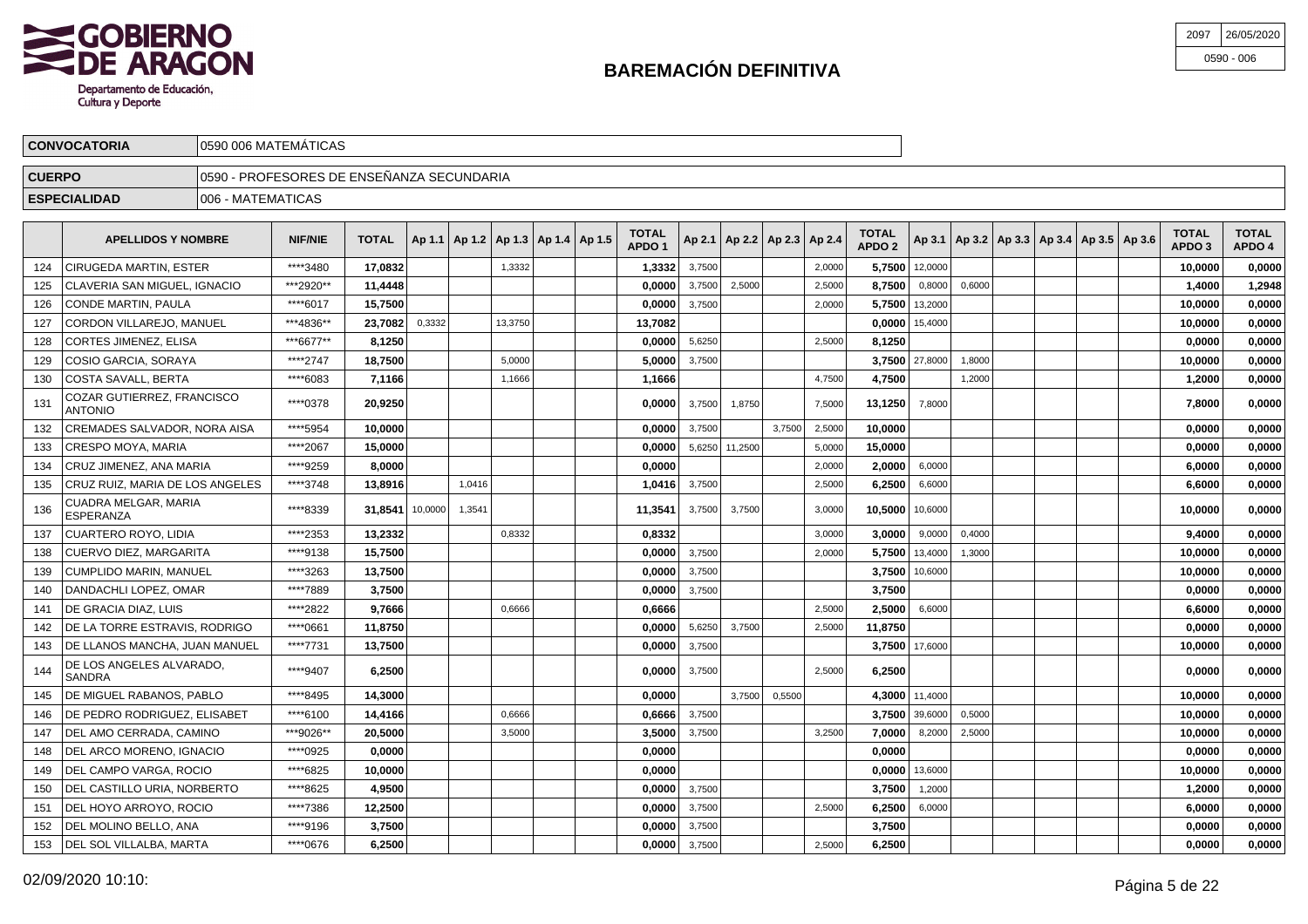

| 2097 | 26/05/2020   |
|------|--------------|
|      | $0590 - 006$ |

|               | <b>CONVOCATORIA</b>                          |                   | 0590 006 MATEMATICAS                       |              |        |                                            |         |  |                                   |              |                                   |          |          |                                   |                    |        |                                                     |  |                        |                        |
|---------------|----------------------------------------------|-------------------|--------------------------------------------|--------------|--------|--------------------------------------------|---------|--|-----------------------------------|--------------|-----------------------------------|----------|----------|-----------------------------------|--------------------|--------|-----------------------------------------------------|--|------------------------|------------------------|
| <b>CUERPO</b> |                                              |                   | 10590 - PROFESORES DE ENSEÑANZA SECUNDARIA |              |        |                                            |         |  |                                   |              |                                   |          |          |                                   |                    |        |                                                     |  |                        |                        |
|               | <b>ESPECIALIDAD</b>                          | 006 - MATEMATICAS |                                            |              |        |                                            |         |  |                                   |              |                                   |          |          |                                   |                    |        |                                                     |  |                        |                        |
|               | <b>APELLIDOS Y NOMBRE</b>                    |                   | <b>NIF/NIE</b>                             | <b>TOTAL</b> |        | Ap 1.1   Ap 1.2   Ap 1.3   Ap 1.4   Ap 1.5 |         |  | <b>TOTAL</b><br>APDO <sub>1</sub> |              | Ap 2.1   Ap 2.2   Ap 2.3   Ap 2.4 |          |          | <b>TOTAL</b><br>APDO <sub>2</sub> |                    |        | Ap 3.1   Ap 3.2   Ap 3.3   Ap 3.4   Ap 3.5   Ap 3.6 |  | <b>TOTAL</b><br>APDO 3 | <b>TOTAL</b><br>APDO 4 |
| 124           | <b>CIRUGEDA MARTIN, ESTER</b>                |                   | ****3480                                   | 17,0832      |        |                                            | 1,3332  |  | 1,3332                            | 3,7500       |                                   |          | 2,0000   | 5,7500                            | 12,0000            |        |                                                     |  | 10,0000                | 0,0000                 |
| 125           | CLAVERIA SAN MIGUEL, IGNACIO                 |                   | ***2920**                                  | 11,4448      |        |                                            |         |  | 0,0000                            | 3,7500       | 2,5000                            |          | 2,5000   | 8,7500                            | 0,8000             | 0,6000 |                                                     |  | 1,4000                 | 1,2948                 |
|               | 126 CONDE MARTIN, PAULA                      |                   | ****6017                                   | 15,7500      |        |                                            |         |  | 0,0000                            | 3,7500       |                                   |          | 2,0000   | 5,7500                            | 13,2000            |        |                                                     |  | 10,0000                | 0,0000                 |
| 127           | CORDON VILLAREJO, MANUEL                     |                   | ***4836**                                  | 23,7082      | 0,3332 |                                            | 13,3750 |  | 13,7082                           |              |                                   |          |          | 0,0000                            | 15,4000            |        |                                                     |  | 10,0000                | 0,0000                 |
| 128           | CORTES JIMENEZ, ELISA                        |                   | ***6677**                                  | 8,1250       |        |                                            |         |  | 0,0000                            | 5,6250       |                                   |          | 2,5000   | 8,1250                            |                    |        |                                                     |  | 0,0000                 | 0,0000                 |
| 129           | COSIO GARCIA, SORAYA                         |                   | ****2747                                   | 18,7500      |        |                                            | 5,0000  |  | 5,0000                            | 3,7500       |                                   |          |          |                                   | $3.7500$   27,8000 | 1,8000 |                                                     |  | 10,0000                | 0,0000                 |
| 130           | COSTA SAVALL, BERTA                          |                   | ****6083                                   | 7,1166       |        |                                            | 1,1666  |  | 1,1666                            |              |                                   |          | 4,7500   | 4,7500                            |                    | 1,2000 |                                                     |  | 1,2000                 | 0,0000                 |
| 131           | COZAR GUTIERREZ, FRANCISCO<br><b>ANTONIO</b> |                   | ****0378                                   | 20,9250      |        |                                            |         |  | 0,0000                            | 3,7500       | 1,8750                            |          | 7,5000   | 13,1250                           | 7,8000             |        |                                                     |  | 7,8000                 | 0,0000                 |
|               | 132 CREMADES SALVADOR NORA AISA              |                   | ****5054                                   | 10.0000 l    |        |                                            |         |  |                                   | 0.0000137500 |                                   | 3.7500 L | 2.5000 l | 10.0000                           |                    |        |                                                     |  | n nnnn l               | n nnnn l               |

|      | 000 171 071 Y 71 LL. DLI 171                 | uuu       | ,,,,,,          |        | .      | ,,,vvv  |        |                |        | 7,700  | 7,100           |                  |        |  |  | .,_vvv  | v,vvvv |
|------|----------------------------------------------|-----------|-----------------|--------|--------|---------|--------|----------------|--------|--------|-----------------|------------------|--------|--|--|---------|--------|
| 131  | COZAR GUTIERREZ, FRANCISCO<br><b>ANTONIO</b> | ****0378  | 20,9250         |        |        | 0.00001 | 3,7500 | 1,8750         |        | 7,5000 | 13.1250 7,8000  |                  |        |  |  | 7.8000  | 0.0000 |
| 132  | CREMADES SALVADOR, NORA AISA                 | ****5954  | 10,0000         |        |        | 0.0000  | 3,7500 |                | 3,7500 | 2,5000 | 10,0000         |                  |        |  |  | 0.0000  | 0,0000 |
| 133  | <b>CRESPO MOYA, MARIA</b>                    | ****2067  | 15,0000         |        |        | 0.0000  |        | 5,6250 11,2500 |        | 5.0000 | 15,0000         |                  |        |  |  | 0.0000  | 0,0000 |
| 134  | CRUZ JIMENEZ, ANA MARIA                      | ****9259  | 8.0000          |        |        | 0.0000  |        |                |        | 2,0000 | 2,0000          | 6,0000           |        |  |  | 6.0000  | 0,0000 |
| 135  | CRUZ RUIZ. MARIA DE LOS ANGELES              | ****3748  | 13.8916         | 1.0416 |        | 1,0416  | 3,7500 |                |        | 2,5000 |                 | $6,2500$ 6,6000  |        |  |  | 6.6000  | 0,0000 |
| 136  | CUADRA MELGAR, MARIA<br>ESPERANZA            | ****8339  | 31,8541 10,0000 | 1.3541 |        | 11,3541 | 3.7500 | 3.7500         |        | 3,0000 | 10,5000 10,6000 |                  |        |  |  | 10,0000 | 0,0000 |
| 137  | <b>CUARTERO ROYO, LIDIA</b>                  | ****2353  | 13.2332         |        | 0,8332 | 0.8332  |        |                |        | 3,0000 | 3.0000          | 9,0000           | 0,4000 |  |  | 9.4000  | 0,0000 |
| 138  | CUERVO DIEZ, MARGARITA                       | ****9138  | 15,7500         |        |        | 0,0000  | 3,7500 |                |        | 2,0000 |                 | 5,7500 13,4000   | 1,3000 |  |  | 10,0000 | 0,0000 |
| 139  | <b>CUMPLIDO MARIN, MANUEL</b>                | ****3263  | 13,7500         |        |        | 0,0000  | 3,7500 |                |        |        |                 | 3,7500 10,6000   |        |  |  | 10,0000 | 0,0000 |
| 140  | DANDACHLI LOPEZ. OMAR                        | ****7889  | 3.7500          |        |        | 0.0000  | 3,7500 |                |        |        | 3.7500          |                  |        |  |  | 0.0000  | 0,0000 |
| 141  | DE GRACIA DIAZ. LUIS                         | ****2822  | 9.7666          |        | 0.6666 | 0,6666  |        |                |        | 2.5000 | 2,5000          | 6,6000           |        |  |  | 6.6000  | 0,0000 |
| 142  | DE LA TORRE ESTRAVIS, RODRIGO                | ****0661  | 11.8750         |        |        | 0.0000  | 5.6250 | 3,7500         |        | 2.5000 | 11.8750         |                  |        |  |  | 0.0000  | 0,0000 |
| 143. | DE LLANOS MANCHA, JUAN MANUEL                | ****7731  | 13,7500         |        |        | 0,0000  | 3,7500 |                |        |        |                 | 3,7500 17,6000   |        |  |  | 10,0000 | 0,0000 |
| 144  | DE LOS ANGELES ALVARADO,<br><b>SANDRA</b>    | ****9407  | 6,2500          |        |        | 0,0000  | 3,7500 |                |        | 2,5000 | 6.2500          |                  |        |  |  | 0.0000  | 0,0000 |
| 145  | DE MIGUEL RABANOS, PABLO                     | ****8495  | 14,3000         |        |        | 0,0000  |        | 3,7500         | 0,5500 |        |                 | 4,3000 11,4000   |        |  |  | 10,0000 | 0,0000 |
| 146  | DE PEDRO RODRIGUEZ, ELISABET                 | ****6100  | 14,4166         |        | 0.6666 | 0,6666  | 3,7500 |                |        |        |                 | 3,7500 39,6000   | 0,5000 |  |  | 10,0000 | 0,0000 |
| 147  | DEL AMO CERRADA, CAMINO                      | ***9026** | 20.5000         |        | 3,5000 | 3.5000  | 3,7500 |                |        | 3,2500 | 7.0000          | 8,2000           | 2,5000 |  |  | 10.0000 | 0,0000 |
| 148  | DEL ARCO MORENO. IGNACIO                     | ****0925  | 0.0000          |        |        | 0.0000  |        |                |        |        | 0.0000          |                  |        |  |  | 0.0000  | 0,0000 |
| 149  | DEL CAMPO VARGA, ROCIO                       | ****6825  | 10.0000         |        |        | 0.0000  |        |                |        |        |                 | $0.0000$ 13,6000 |        |  |  | 10.0000 | 0,0000 |
| 150  | DEL CASTILLO URIA, NORBERTO                  | ****8625  | 4.9500          |        |        | 0,0000  | 3,7500 |                |        |        | 3,7500          | 1,2000           |        |  |  | 1.2000  | 0,0000 |
| 151  | DEL HOYO ARROYO, ROCIO                       | ****7386  | 12.2500         |        |        | 0,0000  | 3,7500 |                |        | 2,5000 | 6.2500          | 6,0000           |        |  |  | 6.0000  | 0,0000 |
| 152  | DEL MOLINO BELLO. ANA                        | ****9196  | 3.7500          |        |        | 0,0000  | 3,7500 |                |        |        | 3.7500          |                  |        |  |  | 0.0000  | 0,0000 |
| 153  | DEL SOL VILLALBA, MARTA                      | ****0676  | 6,2500          |        |        | 0,0000  | 3,7500 |                |        | 2,5000 | 6.2500          |                  |        |  |  | 0.0000  | 0,0000 |
|      |                                              |           |                 |        |        |         |        |                |        |        |                 |                  |        |  |  |         |        |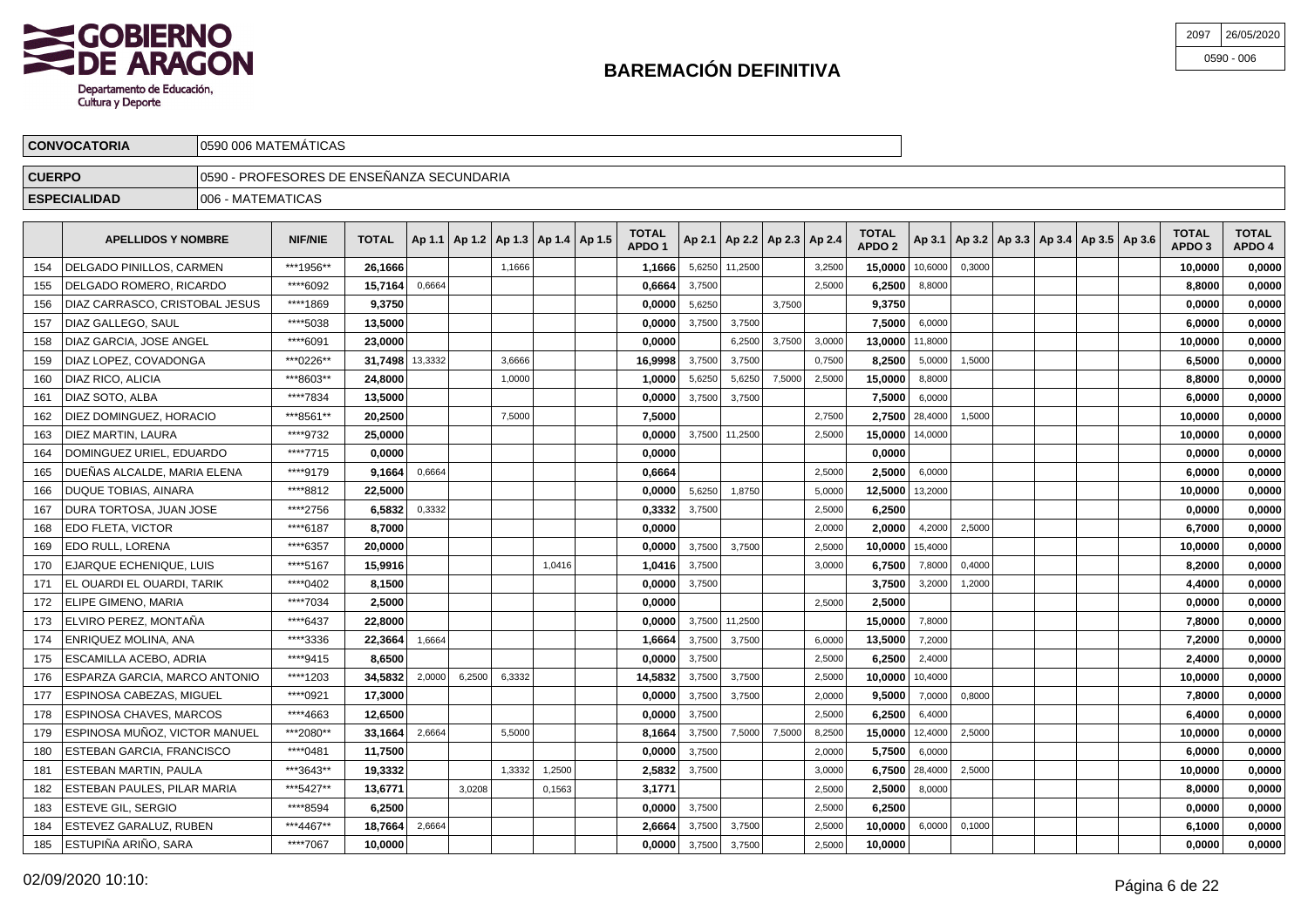

| 2097 | 26/05/2020   |
|------|--------------|
|      | $0590 - 006$ |

|                                                                                                                                                                                                                                                                                     | <b>CONVOCATORIA</b>                                                                                                                                                                                                                                                                                                                                                                                                        |                    | 10590 006 MATEMATICAS                     |                      |        |  |        |  |  |              |                                    |                      |        |        |                                   |                        |        |  |  |         |        |
|-------------------------------------------------------------------------------------------------------------------------------------------------------------------------------------------------------------------------------------------------------------------------------------|----------------------------------------------------------------------------------------------------------------------------------------------------------------------------------------------------------------------------------------------------------------------------------------------------------------------------------------------------------------------------------------------------------------------------|--------------------|-------------------------------------------|----------------------|--------|--|--------|--|--|--------------|------------------------------------|----------------------|--------|--------|-----------------------------------|------------------------|--------|--|--|---------|--------|
| <b>CUERPO</b>                                                                                                                                                                                                                                                                       |                                                                                                                                                                                                                                                                                                                                                                                                                            |                    | 0590 - PROFESORES DE ENSEÑANZA SECUNDARIA |                      |        |  |        |  |  |              |                                    |                      |        |        |                                   |                        |        |  |  |         |        |
|                                                                                                                                                                                                                                                                                     | <b>ESPECIALIDAD</b>                                                                                                                                                                                                                                                                                                                                                                                                        | 1006 - MATEMATICAS |                                           |                      |        |  |        |  |  |              |                                    |                      |        |        |                                   |                        |        |  |  |         |        |
| <b>TOTAL</b><br><b>TOTAL</b><br>TOTAL $ $ Ap 1.1   Ap 1.2   Ap 1.3   Ap 1.4   Ap 1.5  <br><b>NIF/NIE</b><br>  Ap 3.1   Ap 3.2   Ap 3.3   Ap 3.4   Ap 3.5   Ap 3.6  <br>  Ap 2.1   Ap 2.2   Ap 2.3   Ap 2.4  <br><b>APELLIDOS Y NOMBRE</b><br>APDO <sub>2</sub><br>APDO <sub>1</sub> |                                                                                                                                                                                                                                                                                                                                                                                                                            |                    |                                           |                      |        |  |        |  |  |              |                                    |                      |        |        | <b>TOTAL</b><br>APDO <sub>3</sub> | <b>TOTAL</b><br>APDO 4 |        |  |  |         |        |
| 154                                                                                                                                                                                                                                                                                 | <b>IDELGADO PINILLOS. CARMEN</b>                                                                                                                                                                                                                                                                                                                                                                                           |                    | ***1956**                                 | 26.1666              |        |  | 1,1666 |  |  | 1.1666       |                                    | 5,6250 11,2500       |        | 3,2500 | 15.0000                           | 10.6000                | 0.3000 |  |  | 10.0000 | 0,0000 |
| 155                                                                                                                                                                                                                                                                                 | DELGADO ROMERO, RICARDO                                                                                                                                                                                                                                                                                                                                                                                                    |                    | ****6092                                  | 15.7164              | 0.6664 |  |        |  |  | 0.6664       | 3,7500                             |                      |        | 2,5000 | 6.2500                            | 8,8000                 |        |  |  | 8.8000  | 0,0000 |
| 156                                                                                                                                                                                                                                                                                 | DIAZ CARRASCO, CRISTOBAL JESUS                                                                                                                                                                                                                                                                                                                                                                                             |                    | ****1869                                  | 9,3750               |        |  |        |  |  | 0,0000       | 5,6250                             |                      | 3,7500 |        | 9,3750                            |                        |        |  |  | 0,0000  | 0,0000 |
|                                                                                                                                                                                                                                                                                     | $157$ $\overline{})$ $\overline{})$ $\overline{})$ $\overline{})$ $\overline{})$ $\overline{})$ $\overline{})$ $\overline{})$ $\overline{})$ $\overline{})$ $\overline{})$ $\overline{})$ $\overline{})$ $\overline{})$ $\overline{})$ $\overline{})$ $\overline{})$ $\overline{})$ $\overline{)}$ $\overline{)}$ $\overline{)}$ $\overline{)}$ $\overline{)}$ $\overline{)}$ $\overline{)}$ $\overline{)}$ $\overline{)}$ |                    | $++++2000$                                | $\overline{10}$ Food |        |  |        |  |  | <b>AAAAL</b> | $\sim$ $\sim$ $\sim$ $\sim$ $\sim$ | $\sim$ $\sim$ $\sim$ |        |        | 5000                              | 0.0000                 |        |  |  | 0.0000  | 0.0000 |

| ****5038<br>13.5000<br>3.7500<br>7.5000<br>DIAZ GALLEGO, SAUL<br>0.0000<br>3.7500<br>6.0000<br>6.0000<br>0,0000<br>157<br>****6091<br>DIAZ GARCIA. JOSE ANGEL<br>23.0000<br>0.0000<br>0.0000<br>6,2500<br>3,7500<br>3,0000<br>13.0000 11,8000<br>10.0000<br>158<br>***0226**<br>31.7498 13,3332<br>DIAZ LOPEZ. COVADONGA<br>16,9998<br>3,7500<br>3,7500<br>0,7500<br>8,2500<br>5,0000<br>3.6666<br>1,5000<br>6,5000<br>0,0000<br>159<br>***8603**<br>24.8000<br>DIAZ RICO, ALICIA<br>1,0000<br>5,6250<br>7,5000<br>2,5000<br>15,0000<br>8,8000<br>0,0000<br>1,0000<br>5,6250<br>8,8000<br>160<br>****7834<br>3.7500<br>DIAZ SOTO, ALBA<br>13.5000<br>0.0000<br>3,7500<br>7,5000<br>6,0000<br>6,0000<br>0,0000<br>161<br>***8561**<br>20.2500<br>7,5000<br>2,7500 28,4000<br>0.0000<br>DIEZ DOMINGUEZ, HORACIO<br>7.5000<br>10.0000<br>2,7500<br>1.5000<br>162<br>****9732<br>3.7500 11.2500<br>DIEZ MARTIN, LAURA<br>15,0000 14,0000<br>25,0000<br>0.0000<br>2.5000<br>10.0000<br>0.0000<br>163<br>****7715<br>0.0000<br>0.0000<br>0.0000<br>DOMINGUEZ URIEL, EDUARDO<br>0.0000<br>0.0000<br>164<br>****9179<br>DUEÑAS ALCALDE. MARIA ELENA<br>0,6664<br>2,5000<br>2,5000<br>6,0000<br>9.1664<br>0,6664<br>6,0000<br>0,0000<br>165<br>****8812<br><b>DUQUE TOBIAS, AINARA</b><br>22,5000<br>5,6250<br>1,8750<br>12,5000 13,2000<br>10,0000<br>0,0000<br>0,0000<br>5,0000<br>166<br>****2756<br>DURA TORTOSA, JUAN JOSE<br>6.5832<br>0,3332<br>0,3332<br>3,7500<br>2,5000<br>6,2500<br>0,0000<br>0,0000<br>167<br>****6187<br>8.7000<br>EDO FLETA, VICTOR<br>0.0000<br>2.0000<br>4,2000<br>2,5000<br>6,7000<br>0,0000<br>2.0000<br>168<br>EDO RULL, LORENA<br>****6357<br>3.7500<br>$10.0000$ 15,4000<br>20,0000<br>0.0000<br>3.7500<br>2,5000<br>10.0000<br>0,0000<br>169<br>****5167<br>15.9916<br>3,7500<br>0,4000<br>EJARQUE ECHENIQUE, LUIS<br>1,0416<br>6.7500<br>7,8000<br>8,2000<br>0,0000<br>170<br>1,0416<br>3,0000<br>EL OUARDI EL OUARDI, TARIK<br>****0402<br>0,0000<br>3,7500<br>3,7500<br>3,2000<br>8,1500<br>1,2000<br>4,4000<br>0,0000<br>171<br>****7034<br>2.5000<br>0,0000<br>2,5000<br>2,5000<br>0,0000<br>ELIPE GIMENO, MARIA<br>0,0000<br>172<br>ELVIRO PEREZ. MONTAÑA<br>****6437<br>22,8000<br>3,7500 11,2500<br>15,0000<br>7,8000<br>7,8000<br>0,0000<br>173<br>0.0000<br>****3336<br>ENRIQUEZ MOLINA, ANA<br>22,3664<br>1,6664<br>1,6664<br>3,7500<br>3,7500<br>6,0000<br>13,5000<br>7,2000<br>7.2000<br>0,0000<br>174<br>****9415<br>8.6500<br>6.2500<br>ESCAMILLA ACEBO. ADRIA<br>0.0000<br>3.7500<br>2.5000<br>2,4000<br>2,4000<br>0,0000<br>175<br>ESPARZA GARCIA. MARCO ANTONIO<br>****1203<br>34.5832<br>6,3332<br>3,7500<br>3,7500<br>2,0000<br>6,2500<br>14,5832<br>2,5000<br>10.0000<br>10,4000<br>10.0000<br>0.0000<br>176<br><b>ESPINOSA CABEZAS, MIGUEL</b><br>****0921<br>17,3000<br>3,7500<br>9.5000<br>7,8000<br>177<br>0,0000<br>3,7500<br>2,0000<br>7,0000<br>0,8000<br>0,0000<br>****4663<br><b>ESPINOSA CHAVES, MARCOS</b><br>12.6500<br>3,7500<br>2,5000<br>6,2500<br>6,4000<br>0,0000<br>0,0000<br>6,4000<br>178<br>ESPINOSA MUÑOZ, VICTOR MANUEL<br>***2080**<br>33.1664<br>2,6664<br>8,1664<br>3,7500<br>7,5000<br>7.5000<br>8,2500<br>15,0000 12,4000<br>2,5000<br>10,0000<br>0,0000<br>5.5000<br>179<br>****0481<br>ESTEBAN GARCIA, FRANCISCO<br>11.7500<br>0,0000<br>3,7500<br>2,0000<br>5.7500<br>6,0000<br>6,0000<br>0,0000<br>180<br>***3643**<br>6.7500 28,4000<br>ESTEBAN MARTIN, PAULA<br>19,3332<br>1.3332<br>1.2500<br>2,5832<br>3.7500<br>3.0000<br>2.5000<br>10.0000<br>0,0000<br>181<br>***5427**<br>ESTEBAN PAULES. PILAR MARIA<br>3,1771<br>13.6771<br>3,0208<br>0,1563<br>2,5000<br>2.5000<br>8,0000<br>8.0000<br>0.0000<br>182<br>****8594<br>3,7500<br>6,2500<br><b>ESTEVE GIL, SERGIO</b><br>6,2500<br>0,0000<br>2,5000<br>0,0000<br>0,0000<br>183<br>***4467**<br>ESTEVEZ GARALUZ, RUBEN<br>18,7664<br>3,7500<br>10,0000<br>6,1000<br>2,6664<br>2,6664<br>3,7500<br>2,5000<br>6,0000<br>0,1000<br>0,0000<br>184<br>ESTUPIÑA ARIÑO. SARA<br>****7067<br>10.0000<br>0,0000<br>0.0000<br>3,7500<br>3,7500<br>2,5000<br>10.0000<br>0.0000<br>185 | DIAZ CARRASCO, CRISTOBAL JESUS | ା ୨୦୨ | 9,3750 |  |  | u,uuuu ∣ | טכ∠ס,כ | 3,7500 | 9,3750 |  |  | v.vvv | v,vvvv |
|--------------------------------------------------------------------------------------------------------------------------------------------------------------------------------------------------------------------------------------------------------------------------------------------------------------------------------------------------------------------------------------------------------------------------------------------------------------------------------------------------------------------------------------------------------------------------------------------------------------------------------------------------------------------------------------------------------------------------------------------------------------------------------------------------------------------------------------------------------------------------------------------------------------------------------------------------------------------------------------------------------------------------------------------------------------------------------------------------------------------------------------------------------------------------------------------------------------------------------------------------------------------------------------------------------------------------------------------------------------------------------------------------------------------------------------------------------------------------------------------------------------------------------------------------------------------------------------------------------------------------------------------------------------------------------------------------------------------------------------------------------------------------------------------------------------------------------------------------------------------------------------------------------------------------------------------------------------------------------------------------------------------------------------------------------------------------------------------------------------------------------------------------------------------------------------------------------------------------------------------------------------------------------------------------------------------------------------------------------------------------------------------------------------------------------------------------------------------------------------------------------------------------------------------------------------------------------------------------------------------------------------------------------------------------------------------------------------------------------------------------------------------------------------------------------------------------------------------------------------------------------------------------------------------------------------------------------------------------------------------------------------------------------------------------------------------------------------------------------------------------------------------------------------------------------------------------------------------------------------------------------------------------------------------------------------------------------------------------------------------------------------------------------------------------------------------------------------------------------------------------------------------------------------------------------------------------------------------------------------------------------------------------------------------------------------------------------------------------------------------------------------------------------------------------------------------------------------------------------------------------------------------------------------------------------------------------------------------------------------------------------------------------------------------------------------------------------------------------------------------|--------------------------------|-------|--------|--|--|----------|--------|--------|--------|--|--|-------|--------|
|                                                                                                                                                                                                                                                                                                                                                                                                                                                                                                                                                                                                                                                                                                                                                                                                                                                                                                                                                                                                                                                                                                                                                                                                                                                                                                                                                                                                                                                                                                                                                                                                                                                                                                                                                                                                                                                                                                                                                                                                                                                                                                                                                                                                                                                                                                                                                                                                                                                                                                                                                                                                                                                                                                                                                                                                                                                                                                                                                                                                                                                                                                                                                                                                                                                                                                                                                                                                                                                                                                                                                                                                                                                                                                                                                                                                                                                                                                                                                                                                                                                                                                                    |                                |       |        |  |  |          |        |        |        |  |  |       |        |
|                                                                                                                                                                                                                                                                                                                                                                                                                                                                                                                                                                                                                                                                                                                                                                                                                                                                                                                                                                                                                                                                                                                                                                                                                                                                                                                                                                                                                                                                                                                                                                                                                                                                                                                                                                                                                                                                                                                                                                                                                                                                                                                                                                                                                                                                                                                                                                                                                                                                                                                                                                                                                                                                                                                                                                                                                                                                                                                                                                                                                                                                                                                                                                                                                                                                                                                                                                                                                                                                                                                                                                                                                                                                                                                                                                                                                                                                                                                                                                                                                                                                                                                    |                                |       |        |  |  |          |        |        |        |  |  |       |        |
|                                                                                                                                                                                                                                                                                                                                                                                                                                                                                                                                                                                                                                                                                                                                                                                                                                                                                                                                                                                                                                                                                                                                                                                                                                                                                                                                                                                                                                                                                                                                                                                                                                                                                                                                                                                                                                                                                                                                                                                                                                                                                                                                                                                                                                                                                                                                                                                                                                                                                                                                                                                                                                                                                                                                                                                                                                                                                                                                                                                                                                                                                                                                                                                                                                                                                                                                                                                                                                                                                                                                                                                                                                                                                                                                                                                                                                                                                                                                                                                                                                                                                                                    |                                |       |        |  |  |          |        |        |        |  |  |       |        |
|                                                                                                                                                                                                                                                                                                                                                                                                                                                                                                                                                                                                                                                                                                                                                                                                                                                                                                                                                                                                                                                                                                                                                                                                                                                                                                                                                                                                                                                                                                                                                                                                                                                                                                                                                                                                                                                                                                                                                                                                                                                                                                                                                                                                                                                                                                                                                                                                                                                                                                                                                                                                                                                                                                                                                                                                                                                                                                                                                                                                                                                                                                                                                                                                                                                                                                                                                                                                                                                                                                                                                                                                                                                                                                                                                                                                                                                                                                                                                                                                                                                                                                                    |                                |       |        |  |  |          |        |        |        |  |  |       |        |
|                                                                                                                                                                                                                                                                                                                                                                                                                                                                                                                                                                                                                                                                                                                                                                                                                                                                                                                                                                                                                                                                                                                                                                                                                                                                                                                                                                                                                                                                                                                                                                                                                                                                                                                                                                                                                                                                                                                                                                                                                                                                                                                                                                                                                                                                                                                                                                                                                                                                                                                                                                                                                                                                                                                                                                                                                                                                                                                                                                                                                                                                                                                                                                                                                                                                                                                                                                                                                                                                                                                                                                                                                                                                                                                                                                                                                                                                                                                                                                                                                                                                                                                    |                                |       |        |  |  |          |        |        |        |  |  |       |        |
|                                                                                                                                                                                                                                                                                                                                                                                                                                                                                                                                                                                                                                                                                                                                                                                                                                                                                                                                                                                                                                                                                                                                                                                                                                                                                                                                                                                                                                                                                                                                                                                                                                                                                                                                                                                                                                                                                                                                                                                                                                                                                                                                                                                                                                                                                                                                                                                                                                                                                                                                                                                                                                                                                                                                                                                                                                                                                                                                                                                                                                                                                                                                                                                                                                                                                                                                                                                                                                                                                                                                                                                                                                                                                                                                                                                                                                                                                                                                                                                                                                                                                                                    |                                |       |        |  |  |          |        |        |        |  |  |       |        |
|                                                                                                                                                                                                                                                                                                                                                                                                                                                                                                                                                                                                                                                                                                                                                                                                                                                                                                                                                                                                                                                                                                                                                                                                                                                                                                                                                                                                                                                                                                                                                                                                                                                                                                                                                                                                                                                                                                                                                                                                                                                                                                                                                                                                                                                                                                                                                                                                                                                                                                                                                                                                                                                                                                                                                                                                                                                                                                                                                                                                                                                                                                                                                                                                                                                                                                                                                                                                                                                                                                                                                                                                                                                                                                                                                                                                                                                                                                                                                                                                                                                                                                                    |                                |       |        |  |  |          |        |        |        |  |  |       |        |
|                                                                                                                                                                                                                                                                                                                                                                                                                                                                                                                                                                                                                                                                                                                                                                                                                                                                                                                                                                                                                                                                                                                                                                                                                                                                                                                                                                                                                                                                                                                                                                                                                                                                                                                                                                                                                                                                                                                                                                                                                                                                                                                                                                                                                                                                                                                                                                                                                                                                                                                                                                                                                                                                                                                                                                                                                                                                                                                                                                                                                                                                                                                                                                                                                                                                                                                                                                                                                                                                                                                                                                                                                                                                                                                                                                                                                                                                                                                                                                                                                                                                                                                    |                                |       |        |  |  |          |        |        |        |  |  |       |        |
|                                                                                                                                                                                                                                                                                                                                                                                                                                                                                                                                                                                                                                                                                                                                                                                                                                                                                                                                                                                                                                                                                                                                                                                                                                                                                                                                                                                                                                                                                                                                                                                                                                                                                                                                                                                                                                                                                                                                                                                                                                                                                                                                                                                                                                                                                                                                                                                                                                                                                                                                                                                                                                                                                                                                                                                                                                                                                                                                                                                                                                                                                                                                                                                                                                                                                                                                                                                                                                                                                                                                                                                                                                                                                                                                                                                                                                                                                                                                                                                                                                                                                                                    |                                |       |        |  |  |          |        |        |        |  |  |       |        |
|                                                                                                                                                                                                                                                                                                                                                                                                                                                                                                                                                                                                                                                                                                                                                                                                                                                                                                                                                                                                                                                                                                                                                                                                                                                                                                                                                                                                                                                                                                                                                                                                                                                                                                                                                                                                                                                                                                                                                                                                                                                                                                                                                                                                                                                                                                                                                                                                                                                                                                                                                                                                                                                                                                                                                                                                                                                                                                                                                                                                                                                                                                                                                                                                                                                                                                                                                                                                                                                                                                                                                                                                                                                                                                                                                                                                                                                                                                                                                                                                                                                                                                                    |                                |       |        |  |  |          |        |        |        |  |  |       |        |
|                                                                                                                                                                                                                                                                                                                                                                                                                                                                                                                                                                                                                                                                                                                                                                                                                                                                                                                                                                                                                                                                                                                                                                                                                                                                                                                                                                                                                                                                                                                                                                                                                                                                                                                                                                                                                                                                                                                                                                                                                                                                                                                                                                                                                                                                                                                                                                                                                                                                                                                                                                                                                                                                                                                                                                                                                                                                                                                                                                                                                                                                                                                                                                                                                                                                                                                                                                                                                                                                                                                                                                                                                                                                                                                                                                                                                                                                                                                                                                                                                                                                                                                    |                                |       |        |  |  |          |        |        |        |  |  |       |        |
|                                                                                                                                                                                                                                                                                                                                                                                                                                                                                                                                                                                                                                                                                                                                                                                                                                                                                                                                                                                                                                                                                                                                                                                                                                                                                                                                                                                                                                                                                                                                                                                                                                                                                                                                                                                                                                                                                                                                                                                                                                                                                                                                                                                                                                                                                                                                                                                                                                                                                                                                                                                                                                                                                                                                                                                                                                                                                                                                                                                                                                                                                                                                                                                                                                                                                                                                                                                                                                                                                                                                                                                                                                                                                                                                                                                                                                                                                                                                                                                                                                                                                                                    |                                |       |        |  |  |          |        |        |        |  |  |       |        |
|                                                                                                                                                                                                                                                                                                                                                                                                                                                                                                                                                                                                                                                                                                                                                                                                                                                                                                                                                                                                                                                                                                                                                                                                                                                                                                                                                                                                                                                                                                                                                                                                                                                                                                                                                                                                                                                                                                                                                                                                                                                                                                                                                                                                                                                                                                                                                                                                                                                                                                                                                                                                                                                                                                                                                                                                                                                                                                                                                                                                                                                                                                                                                                                                                                                                                                                                                                                                                                                                                                                                                                                                                                                                                                                                                                                                                                                                                                                                                                                                                                                                                                                    |                                |       |        |  |  |          |        |        |        |  |  |       |        |
|                                                                                                                                                                                                                                                                                                                                                                                                                                                                                                                                                                                                                                                                                                                                                                                                                                                                                                                                                                                                                                                                                                                                                                                                                                                                                                                                                                                                                                                                                                                                                                                                                                                                                                                                                                                                                                                                                                                                                                                                                                                                                                                                                                                                                                                                                                                                                                                                                                                                                                                                                                                                                                                                                                                                                                                                                                                                                                                                                                                                                                                                                                                                                                                                                                                                                                                                                                                                                                                                                                                                                                                                                                                                                                                                                                                                                                                                                                                                                                                                                                                                                                                    |                                |       |        |  |  |          |        |        |        |  |  |       |        |
|                                                                                                                                                                                                                                                                                                                                                                                                                                                                                                                                                                                                                                                                                                                                                                                                                                                                                                                                                                                                                                                                                                                                                                                                                                                                                                                                                                                                                                                                                                                                                                                                                                                                                                                                                                                                                                                                                                                                                                                                                                                                                                                                                                                                                                                                                                                                                                                                                                                                                                                                                                                                                                                                                                                                                                                                                                                                                                                                                                                                                                                                                                                                                                                                                                                                                                                                                                                                                                                                                                                                                                                                                                                                                                                                                                                                                                                                                                                                                                                                                                                                                                                    |                                |       |        |  |  |          |        |        |        |  |  |       |        |
|                                                                                                                                                                                                                                                                                                                                                                                                                                                                                                                                                                                                                                                                                                                                                                                                                                                                                                                                                                                                                                                                                                                                                                                                                                                                                                                                                                                                                                                                                                                                                                                                                                                                                                                                                                                                                                                                                                                                                                                                                                                                                                                                                                                                                                                                                                                                                                                                                                                                                                                                                                                                                                                                                                                                                                                                                                                                                                                                                                                                                                                                                                                                                                                                                                                                                                                                                                                                                                                                                                                                                                                                                                                                                                                                                                                                                                                                                                                                                                                                                                                                                                                    |                                |       |        |  |  |          |        |        |        |  |  |       |        |
|                                                                                                                                                                                                                                                                                                                                                                                                                                                                                                                                                                                                                                                                                                                                                                                                                                                                                                                                                                                                                                                                                                                                                                                                                                                                                                                                                                                                                                                                                                                                                                                                                                                                                                                                                                                                                                                                                                                                                                                                                                                                                                                                                                                                                                                                                                                                                                                                                                                                                                                                                                                                                                                                                                                                                                                                                                                                                                                                                                                                                                                                                                                                                                                                                                                                                                                                                                                                                                                                                                                                                                                                                                                                                                                                                                                                                                                                                                                                                                                                                                                                                                                    |                                |       |        |  |  |          |        |        |        |  |  |       |        |
|                                                                                                                                                                                                                                                                                                                                                                                                                                                                                                                                                                                                                                                                                                                                                                                                                                                                                                                                                                                                                                                                                                                                                                                                                                                                                                                                                                                                                                                                                                                                                                                                                                                                                                                                                                                                                                                                                                                                                                                                                                                                                                                                                                                                                                                                                                                                                                                                                                                                                                                                                                                                                                                                                                                                                                                                                                                                                                                                                                                                                                                                                                                                                                                                                                                                                                                                                                                                                                                                                                                                                                                                                                                                                                                                                                                                                                                                                                                                                                                                                                                                                                                    |                                |       |        |  |  |          |        |        |        |  |  |       |        |
|                                                                                                                                                                                                                                                                                                                                                                                                                                                                                                                                                                                                                                                                                                                                                                                                                                                                                                                                                                                                                                                                                                                                                                                                                                                                                                                                                                                                                                                                                                                                                                                                                                                                                                                                                                                                                                                                                                                                                                                                                                                                                                                                                                                                                                                                                                                                                                                                                                                                                                                                                                                                                                                                                                                                                                                                                                                                                                                                                                                                                                                                                                                                                                                                                                                                                                                                                                                                                                                                                                                                                                                                                                                                                                                                                                                                                                                                                                                                                                                                                                                                                                                    |                                |       |        |  |  |          |        |        |        |  |  |       |        |
|                                                                                                                                                                                                                                                                                                                                                                                                                                                                                                                                                                                                                                                                                                                                                                                                                                                                                                                                                                                                                                                                                                                                                                                                                                                                                                                                                                                                                                                                                                                                                                                                                                                                                                                                                                                                                                                                                                                                                                                                                                                                                                                                                                                                                                                                                                                                                                                                                                                                                                                                                                                                                                                                                                                                                                                                                                                                                                                                                                                                                                                                                                                                                                                                                                                                                                                                                                                                                                                                                                                                                                                                                                                                                                                                                                                                                                                                                                                                                                                                                                                                                                                    |                                |       |        |  |  |          |        |        |        |  |  |       |        |
|                                                                                                                                                                                                                                                                                                                                                                                                                                                                                                                                                                                                                                                                                                                                                                                                                                                                                                                                                                                                                                                                                                                                                                                                                                                                                                                                                                                                                                                                                                                                                                                                                                                                                                                                                                                                                                                                                                                                                                                                                                                                                                                                                                                                                                                                                                                                                                                                                                                                                                                                                                                                                                                                                                                                                                                                                                                                                                                                                                                                                                                                                                                                                                                                                                                                                                                                                                                                                                                                                                                                                                                                                                                                                                                                                                                                                                                                                                                                                                                                                                                                                                                    |                                |       |        |  |  |          |        |        |        |  |  |       |        |
|                                                                                                                                                                                                                                                                                                                                                                                                                                                                                                                                                                                                                                                                                                                                                                                                                                                                                                                                                                                                                                                                                                                                                                                                                                                                                                                                                                                                                                                                                                                                                                                                                                                                                                                                                                                                                                                                                                                                                                                                                                                                                                                                                                                                                                                                                                                                                                                                                                                                                                                                                                                                                                                                                                                                                                                                                                                                                                                                                                                                                                                                                                                                                                                                                                                                                                                                                                                                                                                                                                                                                                                                                                                                                                                                                                                                                                                                                                                                                                                                                                                                                                                    |                                |       |        |  |  |          |        |        |        |  |  |       |        |
|                                                                                                                                                                                                                                                                                                                                                                                                                                                                                                                                                                                                                                                                                                                                                                                                                                                                                                                                                                                                                                                                                                                                                                                                                                                                                                                                                                                                                                                                                                                                                                                                                                                                                                                                                                                                                                                                                                                                                                                                                                                                                                                                                                                                                                                                                                                                                                                                                                                                                                                                                                                                                                                                                                                                                                                                                                                                                                                                                                                                                                                                                                                                                                                                                                                                                                                                                                                                                                                                                                                                                                                                                                                                                                                                                                                                                                                                                                                                                                                                                                                                                                                    |                                |       |        |  |  |          |        |        |        |  |  |       |        |
|                                                                                                                                                                                                                                                                                                                                                                                                                                                                                                                                                                                                                                                                                                                                                                                                                                                                                                                                                                                                                                                                                                                                                                                                                                                                                                                                                                                                                                                                                                                                                                                                                                                                                                                                                                                                                                                                                                                                                                                                                                                                                                                                                                                                                                                                                                                                                                                                                                                                                                                                                                                                                                                                                                                                                                                                                                                                                                                                                                                                                                                                                                                                                                                                                                                                                                                                                                                                                                                                                                                                                                                                                                                                                                                                                                                                                                                                                                                                                                                                                                                                                                                    |                                |       |        |  |  |          |        |        |        |  |  |       |        |
|                                                                                                                                                                                                                                                                                                                                                                                                                                                                                                                                                                                                                                                                                                                                                                                                                                                                                                                                                                                                                                                                                                                                                                                                                                                                                                                                                                                                                                                                                                                                                                                                                                                                                                                                                                                                                                                                                                                                                                                                                                                                                                                                                                                                                                                                                                                                                                                                                                                                                                                                                                                                                                                                                                                                                                                                                                                                                                                                                                                                                                                                                                                                                                                                                                                                                                                                                                                                                                                                                                                                                                                                                                                                                                                                                                                                                                                                                                                                                                                                                                                                                                                    |                                |       |        |  |  |          |        |        |        |  |  |       |        |
|                                                                                                                                                                                                                                                                                                                                                                                                                                                                                                                                                                                                                                                                                                                                                                                                                                                                                                                                                                                                                                                                                                                                                                                                                                                                                                                                                                                                                                                                                                                                                                                                                                                                                                                                                                                                                                                                                                                                                                                                                                                                                                                                                                                                                                                                                                                                                                                                                                                                                                                                                                                                                                                                                                                                                                                                                                                                                                                                                                                                                                                                                                                                                                                                                                                                                                                                                                                                                                                                                                                                                                                                                                                                                                                                                                                                                                                                                                                                                                                                                                                                                                                    |                                |       |        |  |  |          |        |        |        |  |  |       |        |
|                                                                                                                                                                                                                                                                                                                                                                                                                                                                                                                                                                                                                                                                                                                                                                                                                                                                                                                                                                                                                                                                                                                                                                                                                                                                                                                                                                                                                                                                                                                                                                                                                                                                                                                                                                                                                                                                                                                                                                                                                                                                                                                                                                                                                                                                                                                                                                                                                                                                                                                                                                                                                                                                                                                                                                                                                                                                                                                                                                                                                                                                                                                                                                                                                                                                                                                                                                                                                                                                                                                                                                                                                                                                                                                                                                                                                                                                                                                                                                                                                                                                                                                    |                                |       |        |  |  |          |        |        |        |  |  |       |        |
|                                                                                                                                                                                                                                                                                                                                                                                                                                                                                                                                                                                                                                                                                                                                                                                                                                                                                                                                                                                                                                                                                                                                                                                                                                                                                                                                                                                                                                                                                                                                                                                                                                                                                                                                                                                                                                                                                                                                                                                                                                                                                                                                                                                                                                                                                                                                                                                                                                                                                                                                                                                                                                                                                                                                                                                                                                                                                                                                                                                                                                                                                                                                                                                                                                                                                                                                                                                                                                                                                                                                                                                                                                                                                                                                                                                                                                                                                                                                                                                                                                                                                                                    |                                |       |        |  |  |          |        |        |        |  |  |       |        |
|                                                                                                                                                                                                                                                                                                                                                                                                                                                                                                                                                                                                                                                                                                                                                                                                                                                                                                                                                                                                                                                                                                                                                                                                                                                                                                                                                                                                                                                                                                                                                                                                                                                                                                                                                                                                                                                                                                                                                                                                                                                                                                                                                                                                                                                                                                                                                                                                                                                                                                                                                                                                                                                                                                                                                                                                                                                                                                                                                                                                                                                                                                                                                                                                                                                                                                                                                                                                                                                                                                                                                                                                                                                                                                                                                                                                                                                                                                                                                                                                                                                                                                                    |                                |       |        |  |  |          |        |        |        |  |  |       |        |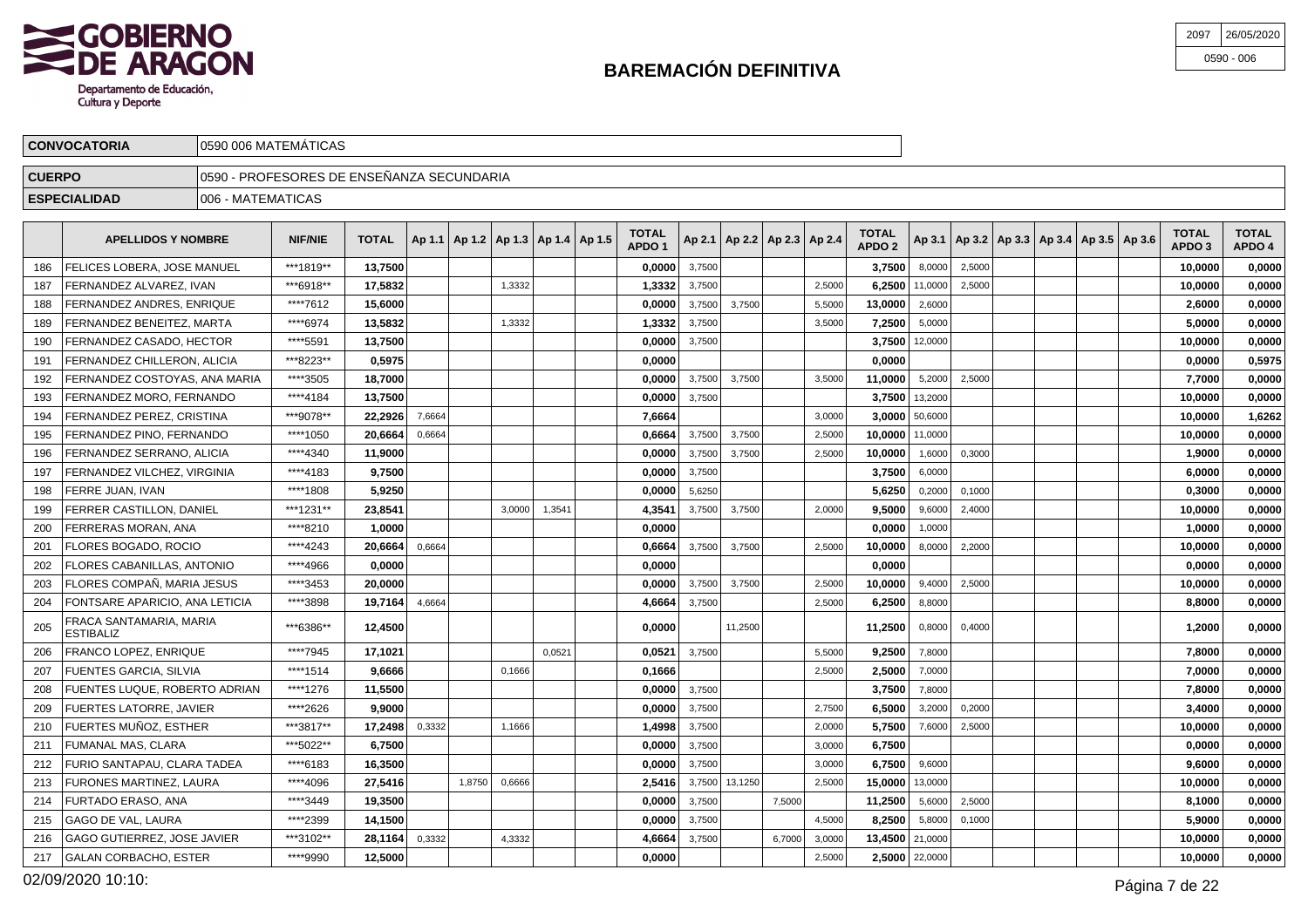

| 2097 | 26/05/2020   |
|------|--------------|
|      | $0590 - 006$ |

|               | <b>CONVOCATORIA</b>                |                    | 0590 006 MATEMÁTICAS                       |                                                    |  |        |  |                                   |        |                                   |        |                                   |                  |               |                                                     |  |                                   |                        |
|---------------|------------------------------------|--------------------|--------------------------------------------|----------------------------------------------------|--|--------|--|-----------------------------------|--------|-----------------------------------|--------|-----------------------------------|------------------|---------------|-----------------------------------------------------|--|-----------------------------------|------------------------|
| <b>CUERPO</b> |                                    |                    | 10590 - PROFESORES DE ENSEÑANZA SECUNDARIA |                                                    |  |        |  |                                   |        |                                   |        |                                   |                  |               |                                                     |  |                                   |                        |
|               | <b>ESPECIALIDAD</b>                | 1006 - MATEMATICAS |                                            |                                                    |  |        |  |                                   |        |                                   |        |                                   |                  |               |                                                     |  |                                   |                        |
|               | <b>APELLIDOS Y NOMBRE</b>          |                    | NIF/NIE                                    | TOTAL   Ap 1.1   Ap 1.2   Ap 1.3   Ap 1.4   Ap 1.5 |  |        |  | <b>TOTAL</b><br>APDO <sub>1</sub> |        | Ap 2.1   Ap 2.2   Ap 2.3   Ap 2.4 |        | <b>TOTAL</b><br>APDO <sub>2</sub> |                  |               | Ap 3.1   Ap 3.2   Ap 3.3   Ap 3.4   Ap 3.5   Ap 3.6 |  | <b>TOTAL</b><br>APDO <sub>3</sub> | <b>TOTAL</b><br>APDO 4 |
| 186           | <b>FELICES LOBERA, JOSE MANUEL</b> |                    | ***1819**                                  | 13,7500                                            |  |        |  | 0,0000                            | 3,7500 |                                   |        | 3,7500                            | 8,0000           | 2,5000        |                                                     |  | 10,0000                           | 0,0000                 |
| 187           | FERNANDEZ ALVAREZ. IVAN            |                    | ***6918**                                  | 17,5832                                            |  | 1,3332 |  | 1,3332                            | 3,7500 |                                   | 2,5000 |                                   | 6.2500   11,0000 | 2,5000        |                                                     |  | 10,0000                           | 0,0000                 |
| 188           | FERNANDEZ ANDRES. ENRIQUE          |                    | ****7612                                   | 15,6000                                            |  |        |  | 0.0000                            | 3,7500 | 3,7500                            | 5,5000 | 13,0000                           | 2,6000           |               |                                                     |  | 2,6000                            | 0,0000                 |
| 189           | FERNANDEZ BENEITEZ, MARTA          |                    | ****6974                                   | 13,5832                                            |  | 1,3332 |  | 1,3332                            | 3,7500 |                                   | 3,5000 | 7,2500                            | 5,0000           |               |                                                     |  | 5,0000                            | 0,0000                 |
| 190           | FERNANDEZ CASADO, HECTOR           |                    | ****5591                                   | 13,7500                                            |  |        |  | 0,0000                            | 3,7500 |                                   |        |                                   | 3.7500 12,0000   |               |                                                     |  | 10,0000                           | 0,0000                 |
| 191           | FERNANDEZ CHILLERON, ALICIA        |                    | ***8223**                                  | 0,5975                                             |  |        |  | 0.00001                           |        |                                   |        | 0,0000                            |                  |               |                                                     |  | 0,0000                            | 0,5975                 |
|               | 192 FERNANDEZ COSTOYAS, ANA MARIA  |                    | ****3505                                   | 18.7000                                            |  |        |  |                                   |        | $0.0000$ 3.7500 3.7500            | 3,5000 | 11.0000                           |                  | 5,2000 2,5000 |                                                     |  | 7.7000                            | 0.0000                 |

| 190 | FERNANDEZ CASADO. HECTOR                    | **** 5591 | 13.7500 |        |        |        |        | 0.0000 | 3,7500 |         |        |        | 3.7500           | 12,0000        |        |  |  | 10.0000 | 0,0000 |
|-----|---------------------------------------------|-----------|---------|--------|--------|--------|--------|--------|--------|---------|--------|--------|------------------|----------------|--------|--|--|---------|--------|
| 191 | FERNANDEZ CHILLERON, ALICIA                 | ***8223** | 0.5975  |        |        |        |        | 0.0000 |        |         |        |        | 0.0000           |                |        |  |  | 0.0000  | 0,5975 |
| 192 | FERNANDEZ COSTOYAS, ANA MARIA               | ****3505  | 18,7000 |        |        |        |        | 0.0000 | 3,7500 | 3,7500  |        | 3,5000 | 11.0000          | 5,2000         | 2,5000 |  |  | 7.7000  | 0,0000 |
| 193 | FERNANDEZ MORO. FERNANDO                    | ****4184  | 13,7500 |        |        |        |        | 0.0000 | 3,7500 |         |        |        | 3.7500           | 13,2000        |        |  |  | 10.0000 | 0,0000 |
| 194 | FERNANDEZ PEREZ. CRISTINA                   | ***9078** | 22.2926 | 7,6664 |        |        |        | 7.6664 |        |         |        | 3,0000 | $3,0000$ 50,6000 |                |        |  |  | 10.0000 | 1,6262 |
| 195 | FERNANDEZ PINO. FERNANDO                    | ****1050  | 20.6664 | 0,6664 |        |        |        | 0.6664 | 3,7500 | 3,7500  |        | 2,5000 | 10.0000          | 11,0000        |        |  |  | 10.0000 | 0,0000 |
| 196 | FERNANDEZ SERRANO. ALICIA                   | ****4340  | 11.9000 |        |        |        |        | 0.0000 | 3,7500 | 3,7500  |        | 2,5000 | 10.0000          | 1,6000         | 0,3000 |  |  | 1.9000  | 0,0000 |
| 197 | FERNANDEZ VILCHEZ, VIRGINIA                 | ****4183  | 9,7500  |        |        |        |        | 0,0000 | 3,7500 |         |        |        | 3,7500           | 6,0000         |        |  |  | 6,0000  | 0,0000 |
| 198 | FERRE JUAN, IVAN                            | ****1808  | 5,9250  |        |        |        |        | 0,0000 | 5,6250 |         |        |        | 5,6250           | 0,2000         | 0,1000 |  |  | 0,3000  | 0,0000 |
| 199 | FERRER CASTILLON, DANIEL                    | ***1231** | 23,8541 |        |        | 3.0000 | 1,3541 | 4,3541 | 3,7500 | 3,7500  |        | 2,0000 | 9,5000           | 9,6000         | 2,4000 |  |  | 10,0000 | 0,0000 |
| 200 | FERRERAS MORAN. ANA                         | ****8210  | 1.0000  |        |        |        |        | 0.0000 |        |         |        |        | 0.0000           | 1.0000         |        |  |  | 1,0000  | 0,0000 |
| 201 | FLORES BOGADO, ROCIO                        | ****4243  | 20,6664 | 0.6664 |        |        |        | 0,6664 | 3,7500 | 3,7500  |        | 2,5000 | 10.0000          | 8,0000         | 2,2000 |  |  | 10.0000 | 0,0000 |
| 202 | <b>FLORES CABANILLAS, ANTONIO</b>           | ****4966  | 0,0000  |        |        |        |        | 0,0000 |        |         |        |        | 0.0000           |                |        |  |  | 0,0000  | 0,0000 |
| 203 | FLORES COMPAÑ. MARIA JESUS                  | ****3453  | 20,0000 |        |        |        |        | 0.0000 | 3,7500 | 3,7500  |        | 2,5000 | 10.0000          | 9,4000         | 2,5000 |  |  | 10.0000 | 0,0000 |
| 204 | FONTSARE APARICIO. ANA LETICIA              | ****3898  | 19.7164 | 4,6664 |        |        |        | 4.6664 | 3,7500 |         |        | 2,5000 | 6.2500           | 8,8000         |        |  |  | 8.8000  | 0,0000 |
| 205 | FRACA SANTAMARIA, MARIA<br><b>ESTIBALIZ</b> | ***6386** | 12,4500 |        |        |        |        | 0.0000 |        | 11.2500 |        |        | 11,2500          | 0,8000         | 0.4000 |  |  | 1.2000  | 0,0000 |
| 206 | FRANCO LOPEZ. ENRIQUE                       | ****7945  | 17.1021 |        |        |        | 0.0521 | 0.0521 | 3,7500 |         |        | 5,5000 | 9.2500           | 7,8000         |        |  |  | 7.8000  | 0,0000 |
| 207 | <b>FUENTES GARCIA, SILVIA</b>               | ****1514  | 9.6666  |        |        | 0,1666 |        | 0.1666 |        |         |        | 2,5000 | 2.5000           | 7,0000         |        |  |  | 7.0000  | 0,0000 |
| 208 | FUENTES LUQUE. ROBERTO ADRIAN               | ****1276  | 11.5500 |        |        |        |        | 0.0000 | 3,7500 |         |        |        | 3.7500           | 7,8000         |        |  |  | 7.8000  | 0,0000 |
| 209 | <b>FUERTES LATORRE, JAVIER</b>              | ****2626  | 9.9000  |        |        |        |        | 0.0000 | 3,7500 |         |        | 2,7500 | 6.5000           | 3,2000         | 0,2000 |  |  | 3.4000  | 0,0000 |
| 210 | FUERTES MUÑOZ. ESTHER                       | ***3817** | 17.2498 | 0,3332 |        | 1,1666 |        | 1.4998 | 3,7500 |         |        | 2,0000 | 5.7500           | 7,6000         | 2,5000 |  |  | 10.0000 | 0,0000 |
| 211 | FUMANAL MAS, CLARA                          | ***5022** | 6,7500  |        |        |        |        | 0,0000 | 3,7500 |         |        | 3,0000 | 6,7500           |                |        |  |  | 0,0000  | 0,0000 |
| 212 | FURIO SANTAPAU, CLARA TADEA                 | ****6183  | 16,3500 |        |        |        |        | 0,0000 | 3,7500 |         |        | 3,0000 | 6,7500           | 9,6000         |        |  |  | 9,6000  | 0,0000 |
| 213 | FURONES MARTINEZ, LAURA                     | ****4096  | 27,5416 |        | 1,8750 | 0,6666 |        | 2,5416 | 3,7500 | 13,1250 |        | 2,5000 | 15,0000          | 13,0000        |        |  |  | 10,0000 | 0,0000 |
| 214 | FURTADO ERASO. ANA                          | ****3449  | 19,3500 |        |        |        |        | 0,0000 | 3,7500 |         | 7.5000 |        | 11,2500          | 5,6000         | 2,5000 |  |  | 8,1000  | 0,0000 |
| 215 | <b>GAGO DE VAL. LAURA</b>                   | ****2399  | 14,1500 |        |        |        |        | 0.0000 | 3,7500 |         |        | 4,5000 | 8.2500           | 5,8000         | 0.1000 |  |  | 5.9000  | 0,0000 |
| 216 | <b>GAGO GUTIERREZ, JOSE JAVIER</b>          | ***3102** | 28,1164 | 0,3332 |        | 4,3332 |        | 4,6664 | 3,7500 |         | 6,7000 | 3,0000 | 13,4500 21,0000  |                |        |  |  | 10.0000 | 0,0000 |
| 217 | <b>GALAN CORBACHO, ESTER</b>                | ****9990  | 12,5000 |        |        |        |        | 0.0000 |        |         |        | 2,5000 |                  | 2,5000 22,0000 |        |  |  | 10.0000 | 0,0000 |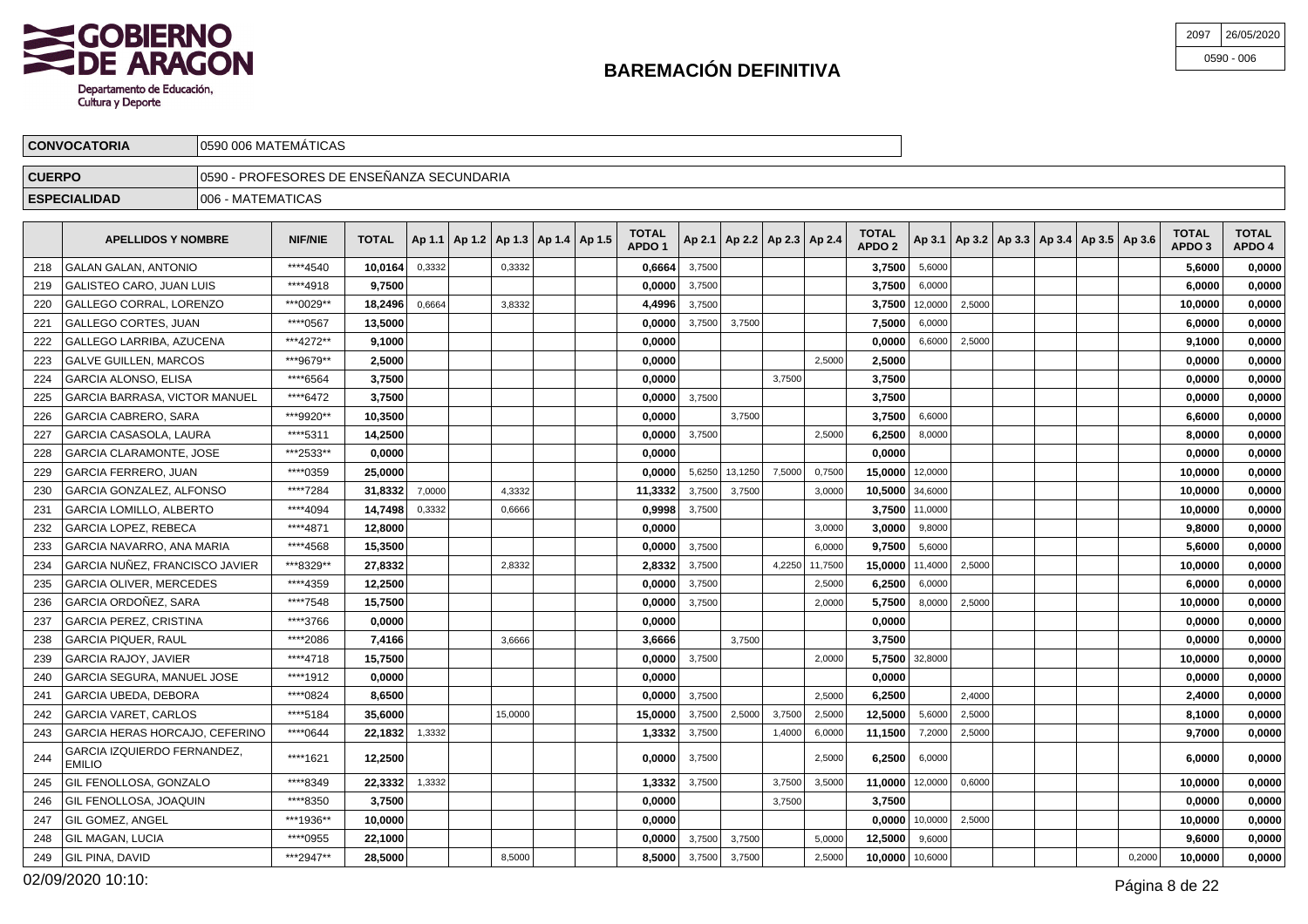

| 2097 | 26/05/2020   |
|------|--------------|
|      | $0590 - 006$ |

|               | <b>CONVOCATORIA</b>                                                                                                                                                                                                                                                                        | 10590 006 MATEMATICAS                      |          |         |        |  |        |  |  |  |                 |  |  |  |                                   |                        |  |  |  |        |        |
|---------------|--------------------------------------------------------------------------------------------------------------------------------------------------------------------------------------------------------------------------------------------------------------------------------------------|--------------------------------------------|----------|---------|--------|--|--------|--|--|--|-----------------|--|--|--|-----------------------------------|------------------------|--|--|--|--------|--------|
| <b>CUERPO</b> |                                                                                                                                                                                                                                                                                            | 10590 - PROFESORES DE ENSEÑANZA SECUNDARIA |          |         |        |  |        |  |  |  |                 |  |  |  |                                   |                        |  |  |  |        |        |
|               | <b>ESPECIALIDAD</b>                                                                                                                                                                                                                                                                        | 1006 - MATEMATICAS                         |          |         |        |  |        |  |  |  |                 |  |  |  |                                   |                        |  |  |  |        |        |
|               | <b>TOTAL</b><br><b>TOTAL</b><br><b>NIF/NIE</b><br><b>TOTAL</b><br>$ $ Ap 3.1   Ap 3.2   Ap 3.3   Ap 3.4   Ap 3.5   Ap 3.6  <br>$\vert$ Ap 1.1   Ap 1.2   Ap 1.3   Ap 1.4   Ap 1.5  <br><b>APELLIDOS Y NOMBRE</b><br>$ $ Ap 2.1   Ap 2.2   Ap 2.3   Ap 2.4  <br>APDO '<br>APDO <sub>2</sub> |                                            |          |         |        |  |        |  |  |  |                 |  |  |  | <b>TOTAL</b><br>APDO <sub>3</sub> | <b>TOTAL</b><br>APDO 4 |  |  |  |        |        |
|               | 218 GALAN GALAN, ANTONIO                                                                                                                                                                                                                                                                   |                                            | ****4540 | 10.0164 | 0,3332 |  | 0,3332 |  |  |  | $0,6664$ 3,7500 |  |  |  | 3.7500                            | 5,6000                 |  |  |  | 5.6000 | 0,0000 |
| 219           | GALISTEO CARO, JUAN LUIS                                                                                                                                                                                                                                                                   |                                            | ****4918 | 9,7500  |        |  |        |  |  |  | $0,0000$ 3,7500 |  |  |  | 3.7500                            | 6,0000                 |  |  |  | 6.0000 | 0,0000 |

| 220 | GALLEGO CORRAL. LORENZO                      | ***0029** | 18.2496 | 0,6664 | 3,8332  | 4.4996  | 3,7500 |         |        |         | 3.7500          | 12,0000        | 2,5000 |  |        | 10,0000 | 0.0000 |
|-----|----------------------------------------------|-----------|---------|--------|---------|---------|--------|---------|--------|---------|-----------------|----------------|--------|--|--------|---------|--------|
| 221 | <b>GALLEGO CORTES, JUAN</b>                  | ****0567  | 13.5000 |        |         | 0.0000  | 3.7500 | 3,7500  |        |         | 7.5000          | 6,0000         |        |  |        | 6,0000  | 0,0000 |
| 222 | GALLEGO LARRIBA. AZUCENA                     | ***4272** | 9.1000  |        |         | 0.0000  |        |         |        |         | 0.0000          | 6,6000         | 2,5000 |  |        | 9.1000  | 0,0000 |
| 223 | <b>GALVE GUILLEN. MARCOS</b>                 | ***9679** | 2,5000  |        |         | 0.0000  |        |         |        | 2,5000  | 2,5000          |                |        |  |        | 0,0000  | 0.0000 |
| 224 | <b>GARCIA ALONSO, ELISA</b>                  | ****6564  | 3,7500  |        |         | 0.0000  |        |         | 3,7500 |         | 3,7500          |                |        |  |        | 0.0000  | 0,0000 |
| 225 | <b>GARCIA BARRASA, VICTOR MANUEL</b>         | ****6472  | 3,7500  |        |         | 0,0000  | 3,7500 |         |        |         | 3,7500          |                |        |  |        | 0,0000  | 0,0000 |
| 226 | <b>GARCIA CABRERO, SARA</b>                  | ***9920** | 10,3500 |        |         | 0.0000  |        | 3,7500  |        |         | 3,7500          | 6,6000         |        |  |        | 6,6000  | 0,0000 |
| 227 | <b>GARCIA CASASOLA, LAURA</b>                | ****5311  | 14.2500 |        |         | 0.0000  | 3,7500 |         |        | 2,5000  | 6.2500          | 8,0000         |        |  |        | 8.0000  | 0.0000 |
| 228 | <b>GARCIA CLARAMONTE, JOSE</b>               | ***2533** | 0.0000  |        |         | 0.0000  |        |         |        |         | 0.0000          |                |        |  |        | 0.0000  | 0.0000 |
| 229 | <b>GARCIA FERRERO, JUAN</b>                  | ****0359  | 25.0000 |        |         | 0.0000  | 5,6250 | 13,1250 | 7.5000 | 0,7500  | 15.0000         | 12,0000        |        |  |        | 10.0000 | 0.0000 |
| 230 | <b>GARCIA GONZALEZ, ALFONSO</b>              | ****7284  | 31.8332 | 7.0000 | 4.3332  | 11.3332 | 3,7500 | 3,7500  |        | 3.0000  | 10,5000 34,6000 |                |        |  |        | 10,0000 | 0,0000 |
| 231 | <b>GARCIA LOMILLO, ALBERTO</b>               | ****4094  | 14,7498 | 0,3332 | 0,6666  | 0,9998  | 3,7500 |         |        |         |                 | 3,7500 11,0000 |        |  |        | 10.0000 | 0,0000 |
| 232 | <b>GARCIA LOPEZ, REBECA</b>                  | ****4871  | 12,8000 |        |         | 0,0000  |        |         |        | 3.0000  | 3.0000          | 9,8000         |        |  |        | 9,8000  | 0,0000 |
| 233 | GARCIA NAVARRO, ANA MARIA                    | ****4568  | 15,3500 |        |         | 0,0000  | 3,7500 |         |        | 6,0000  | 9,7500          | 5,6000         |        |  |        | 5,6000  | 0,0000 |
| 234 | GARCIA NUÑEZ, FRANCISCO JAVIER               | ***8329** | 27,8332 |        | 2,8332  | 2,8332  | 3,7500 |         | 4,2250 | 11,7500 | 15,0000         | 11,4000        | 2,5000 |  |        | 10,0000 | 0,0000 |
| 235 | <b>GARCIA OLIVER, MERCEDES</b>               | ****4359  | 12.2500 |        |         | 0.0000  | 3,7500 |         |        | 2,5000  | 6.2500          | 6,0000         |        |  |        | 6.0000  | 0,0000 |
| 236 | <b>GARCIA ORDOÑEZ, SARA</b>                  | ****7548  | 15.7500 |        |         | 0.00001 | 3,7500 |         |        | 2,0000  | 5.7500          | 8,0000         | 2,5000 |  |        | 10.0000 | 0.0000 |
| 237 | <b>GARCIA PEREZ, CRISTINA</b>                | ****3766  | 0.0000  |        |         | 0.0000  |        |         |        |         | 0.0000          |                |        |  |        | 0.0000  | 0,0000 |
| 238 | <b>GARCIA PIQUER, RAUL</b>                   | ****2086  | 7.4166  |        | 3,6666  | 3.6666  |        | 3.7500  |        |         | 3.7500          |                |        |  |        | 0,0000  | 0,0000 |
| 239 | <b>GARCIA RAJOY, JAVIER</b>                  | ****4718  | 15.7500 |        |         | 0,0000  | 3,7500 |         |        | 2,0000  |                 | 5,7500 32,8000 |        |  |        | 10.0000 | 0.0000 |
| 240 | GARCIA SEGURA, MANUEL JOSE                   | ****1912  | 0.0000  |        |         | 0.0000  |        |         |        |         | 0.0000          |                |        |  |        | 0,0000  | 0,0000 |
| 241 | GARCIA UBEDA, DEBORA                         | ****0824  | 8,6500  |        |         | 0,0000  | 3,7500 |         |        | 2,5000  | 6,2500          |                | 2,4000 |  |        | 2,4000  | 0,0000 |
| 242 | <b>GARCIA VARET, CARLOS</b>                  | ****5184  | 35,6000 |        | 15,0000 | 15,0000 | 3,7500 | 2,5000  | 3,7500 | 2,5000  | 12,5000         | 5,6000         | 2,5000 |  |        | 8.1000  | 0.0000 |
| 243 | GARCIA HERAS HORCAJO, CEFERINO               | ****0644  | 22.1832 | 1.3332 |         | 1.3332  | 3,7500 |         | 1.4000 | 6,0000  | 11.1500         | 7,2000         | 2,5000 |  |        | 9.7000  | 0.0000 |
| 244 | GARCIA IZQUIERDO FERNANDEZ,<br><b>EMILIO</b> | ****1621  | 12.2500 |        |         | 0.00001 | 3,7500 |         |        | 2,5000  | 6.2500          | 6,0000         |        |  |        | 6.0000  | 0,0000 |
| 245 | <b>GIL FENOLLOSA. GONZALO</b>                | ****8349  | 22,3332 | 1,3332 |         | 1,3332  | 3,7500 |         | 3,7500 | 3,5000  | 11,0000         | 12,0000        | 0.6000 |  |        | 10,0000 | 0.0000 |
| 246 | <b>GIL FENOLLOSA, JOAQUIN</b>                | ****8350  | 3.7500  |        |         | 0.0000  |        |         | 3,7500 |         | 3.7500          |                |        |  |        | 0.0000  | 0.0000 |
| 247 | GIL GOMEZ, ANGEL                             | ***1936** | 10,0000 |        |         | 0,0000  |        |         |        |         | 0,0000          | 10,0000        | 2,5000 |  |        | 10,0000 | 0,0000 |
| 248 | <b>GIL MAGAN, LUCIA</b>                      | ****0955  | 22,1000 |        |         | 0,0000  | 3,7500 | 3,7500  |        | 5,0000  | 12,5000         | 9,6000         |        |  |        | 9,6000  | 0,0000 |
| 249 | <b>GIL PINA, DAVID</b>                       | ***2947** | 28,5000 |        | 8,5000  | 8.5000  | 3,7500 | 3,7500  |        | 2,5000  | 10.0000         | 10,6000        |        |  | 0,2000 | 10.0000 | 0,0000 |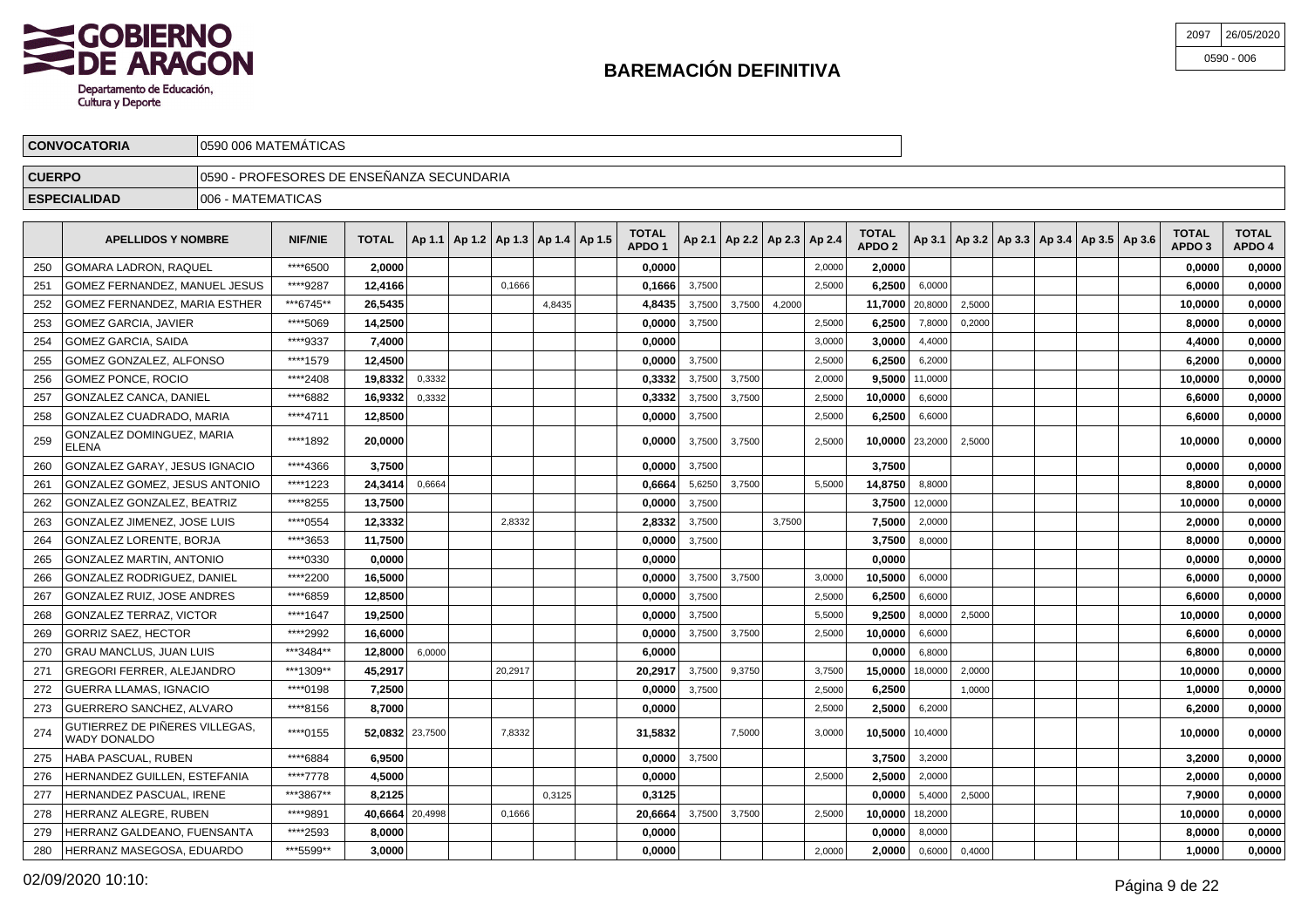

GONZALEZ LORENTE, BORJA

GONZALEZ MARTIN, ANTONIO

GONZALEZ RUIZ, JOSE ANDRES

GONZALEZ TERRAZ, VICTOR

GRAU MANCLUS, JUAN LUIS

GUERRA LLAMAS, IGNACIO

HABA PASCUAL, RUBEN

GREGORI FERRER, ALEJANDRO

GUERRERO SANCHEZ, ALVARO

HERNANDEZ GUILLEN, ESTEFANIA

HERRANZ GALDEANO, FUENSANTA

HERRANZ MASEGOSA, EDUARDO

HERNANDEZ PASCUAL, IRENE

HERRANZ ALEGRE, RUBEN

GORRIZ SAEZ, HECTOR

\*\*\*\*3653 **11,7500 0,0000** 3,7500 **3,7500** 8,0000 **8,0000 0,0000**

\*\*\*\*0330 **0,0000 0,0000 0,0000 0,0000 0,0000**

\*\*\*\*6859 **12,8500 0,0000** 3,7500 2,5000 **6,2500** 6,6000 **6,6000 0,0000**

\*\*\*\*1647 **19,2500 0,0000** 3,7500 5,5000 **9,2500** 8,0000 2,5000 **10,0000 0,0000**

\*\*\*3484\*\* **12,8000** 6,0000 **6,0000 0,0000** 6,8000 **6,8000 0,0000**

\*\*\*\*0198 **7,2500 0,0000** 3,7500 2,5000 **6,2500** 1,0000 **1,0000 0,0000**

\*\*\*\*6884 **6,9500 0,0000** 3,7500 **3,7500** 3,2000 **3,2000 0,0000**

 $\bullet$  \*\*\*1309\*\* **45,2917**  $\bullet$  20,2917 20,2917 3,7500 9,3750 3,3750 15,**0000** 18,0000 2,0000 **10,0000 10,0000 0,0000** 

\*\*\*\*8156 **8,7000 0,0000** 2,5000 **2,5000** 6,2000 **6,2000 0,0000**

\*\*\*\*7778 **4,5000 0,0000** 2,5000 **2,5000** 2,0000 **2,0000 0,0000**

\*\*\*\*2593 **8,0000 0,0000 0,0000** 8,0000 **8,0000 0,0000**

\*\*\*5599\*\* **3,0000 0,0000** 2,0000 **2,0000** 0,6000 0,4000 **1,0000 0,0000**

\*\*\*3867\*\* **8,2125** 0,3125 **0,3125 0,0000** 5,4000 2,5000 **7,9000 0,0000**

 $N$  \*\*\*\*9891 **40,6664** 20,4998 0,1666 0,1666 **20,4998 0,1666 0,0000 2,5000 3,7500** 2,5000 **10,0000** 18,2000 **10,0000** 19,**0000** 0,0000

\*\*\*\*2992 **16,6000 0,0000** 3,7500 3,7500 2,5000 **10,0000** 6,6000 **6,6000 0,0000**

| 2097 | 26/05/2020   |
|------|--------------|
|      | $0590 - 006$ |

|               | <b>CONVOCATORIA</b>                       | 0590 006 MATEMÁTICAS                      |                |              |        |                                            |        |        |                                   |        |                                   |        |        |                                   |         |        |                                                     |  |                                   |                        |
|---------------|-------------------------------------------|-------------------------------------------|----------------|--------------|--------|--------------------------------------------|--------|--------|-----------------------------------|--------|-----------------------------------|--------|--------|-----------------------------------|---------|--------|-----------------------------------------------------|--|-----------------------------------|------------------------|
| <b>CUERPO</b> |                                           | 0590 - PROFESORES DE ENSEÑANZA SECUNDARIA |                |              |        |                                            |        |        |                                   |        |                                   |        |        |                                   |         |        |                                                     |  |                                   |                        |
|               | <b>ESPECIALIDAD</b>                       | 006 - MATEMATICAS                         |                |              |        |                                            |        |        |                                   |        |                                   |        |        |                                   |         |        |                                                     |  |                                   |                        |
|               | <b>APELLIDOS Y NOMBRE</b>                 |                                           | <b>NIF/NIE</b> | <b>TOTAL</b> |        | Ap 1.1   Ap 1.2   Ap 1.3   Ap 1.4   Ap 1.5 |        |        | <b>TOTAL</b><br>APDO <sub>1</sub> |        | Ap 2.1   Ap 2.2   Ap 2.3   Ap 2.4 |        |        | <b>TOTAL</b><br>APDO <sub>2</sub> |         |        | Ap 3.1   Ap 3.2   Ap 3.3   Ap 3.4   Ap 3.5   Ap 3.6 |  | <b>TOTAL</b><br>APDO <sub>3</sub> | <b>TOTAL</b><br>APDO 4 |
| 250           | GOMARA LADRON, RAQUEL                     |                                           | ****6500       | 2.0000       |        |                                            |        |        | 0.0000                            |        |                                   |        | 2,0000 | 2,0000                            |         |        |                                                     |  | 0,0000                            | 0,0000                 |
|               | GOMEZ FERNANDEZ, MANUEL JESUS             |                                           | ****9287       | 12,4166      |        |                                            | 0.1666 |        | 0,1666                            | 3,7500 |                                   |        | 2.5000 | 6,2500                            | 6,0000  |        |                                                     |  | 6,0000                            | 0,0000                 |
|               | <b>GOMEZ FERNANDEZ, MARIA ESTHER</b>      |                                           | ***6745**      | 26,5435      |        |                                            |        | 4,8435 | 4,8435                            | 3,7500 | 3,7500                            | 4,2000 |        | 11,7000                           | 20,8000 | 2,5000 |                                                     |  | 10.0000                           | 0,0000                 |
|               | <b>GOMEZ GARCIA, JAVIER</b>               |                                           | ****5069       | 14,2500      |        |                                            |        |        | 0,0000                            | 3,7500 |                                   |        | 2,5000 | 6,2500                            | 7,8000  | 0,2000 |                                                     |  | 8.0000                            | 0,0000                 |
| 254           | GOMEZ GARCIA, SAIDA                       |                                           | ****9337       | 7.4000       |        |                                            |        |        | 0.0000                            |        |                                   |        | 3,0000 | 3,0000                            | 4,4000  |        |                                                     |  | 4.4000                            | 0,0000                 |
| 255           | GOMEZ GONZALEZ, ALFONSO                   |                                           | ****1579       | 12,4500      |        |                                            |        |        | 0,0000                            | 3,7500 |                                   |        | 2,5000 | 6,2500                            | 6,2000  |        |                                                     |  | 6,2000                            | 0,0000                 |
| 256           | GOMEZ PONCE, ROCIO                        |                                           | ****2408       | 19,8332      | 0,3332 |                                            |        |        | 0,3332                            | 3,7500 | 3,7500                            |        | 2,0000 | 9,5000                            | 11,0000 |        |                                                     |  | 10.0000                           | 0,0000                 |
| 257           | GONZALEZ CANCA, DANIEL                    |                                           | ****6882       | 16,9332      | 0,3332 |                                            |        |        | 0,3332                            | 3,7500 | 3,7500                            |        | 2,5000 | 10.0000                           | 6,6000  |        |                                                     |  | 6.6000                            | 0,0000                 |
| 258           | GONZALEZ CUADRADO, MARIA                  |                                           | ****4711       | 12,8500      |        |                                            |        |        | 0,0000                            | 3,7500 |                                   |        | 2,5000 | 6,2500                            | 6,6000  |        |                                                     |  | 6,6000                            | 0,0000                 |
| 259           | GONZALEZ DOMINGUEZ, MARIA<br><b>ELENA</b> |                                           | ****1892       | 20,0000      |        |                                            |        |        | 0,0000                            | 3,7500 | 3,7500                            |        | 2,5000 | $10,0000$   23,2000               |         | 2,5000 |                                                     |  | 10,0000                           | 0,0000                 |
| 260           | GONZALEZ GARAY, JESUS IGNACIO             |                                           | ****4366       | 3.7500       |        |                                            |        |        | 0,0000                            | 3,7500 |                                   |        |        | 3,7500                            |         |        |                                                     |  | 0.0000                            | 0,0000                 |
| 261           | GONZALEZ GOMEZ, JESUS ANTONIO             |                                           | ****1223       | 24,3414      | 0,6664 |                                            |        |        | 0,6664                            | 5,6250 | 3,7500                            |        | 5,5000 | 14,8750                           | 8,8000  |        |                                                     |  | 8.8000                            | 0,0000                 |
| 262           | GONZALEZ GONZALEZ, BEATRIZ                |                                           | ****8255       | 13,7500      |        |                                            |        |        | 0,0000                            | 3,7500 |                                   |        |        | 3,7500                            | 12,0000 |        |                                                     |  | 10.0000                           | 0,0000                 |
| 263           | GONZALEZ JIMENEZ, JOSE LUIS               |                                           | ****0554       | 12,3332      |        |                                            | 2,8332 |        | 2,8332                            | 3,7500 |                                   | 3,7500 |        | 7,5000                            | 2,0000  |        |                                                     |  | 2,0000                            | 0,0000                 |
|               |                                           |                                           |                |              |        |                                            |        |        |                                   |        |                                   |        |        |                                   |         |        |                                                     |  |                                   |                        |

GONZALEZ RODRIGUEZ, DANIEL \*\*\*\*2200 **16,5000 0,0000** 3,7500 3,7500 3,0000 **10,5000** 6,0000 **6,0000 0,0000**

\*\*\*\*0155 **52,0832** 23,7500 7,8332 **31,5832** 7,5000 3,0000 **10,5000** 10,4000 **10,0000 0,0000** GUTIERREZ DE PIÑERES VILLEGAS, WADY DONALDO

264

265

266

267

268

269

270

271

272

273

274

275

276

277

278

279

280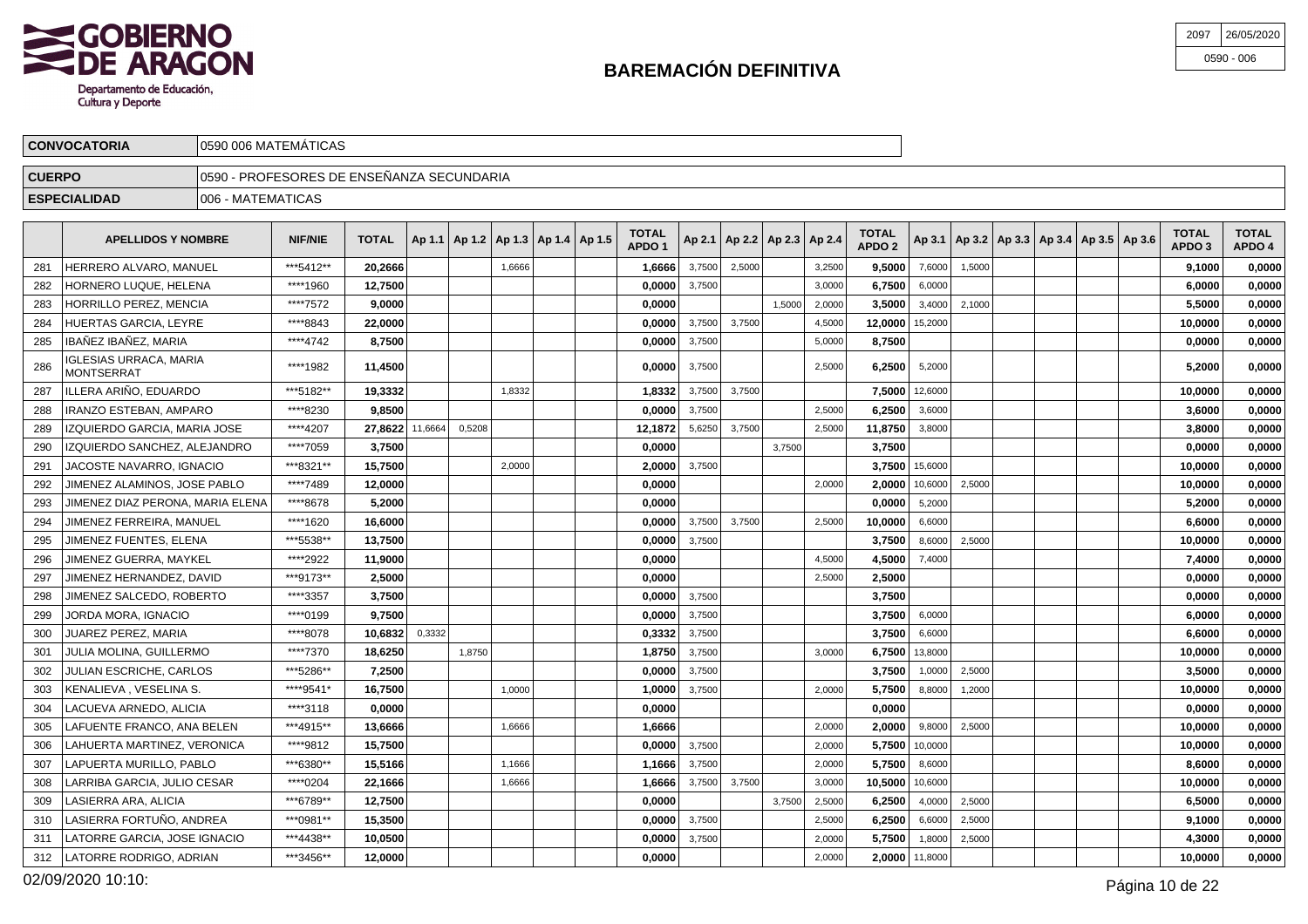

| 2097 | 26/05/2020   |
|------|--------------|
|      | $0590 - 006$ |

|               | <b>CONVOCATORIA</b>       | 10590 006 MATEMATICAS                      |                |              |  |                                            |  |                                   |        |        |        |                                   |                                   |        |                   |  |                                                     |                                   |                        |
|---------------|---------------------------|--------------------------------------------|----------------|--------------|--|--------------------------------------------|--|-----------------------------------|--------|--------|--------|-----------------------------------|-----------------------------------|--------|-------------------|--|-----------------------------------------------------|-----------------------------------|------------------------|
| <b>CUERPO</b> |                           | 10590 - PROFESORES DE ENSEÑANZA SECUNDARIA |                |              |  |                                            |  |                                   |        |        |        |                                   |                                   |        |                   |  |                                                     |                                   |                        |
|               | <b>ESPECIALIDAD</b>       | 1006 - MATEMATICAS                         |                |              |  |                                            |  |                                   |        |        |        |                                   |                                   |        |                   |  |                                                     |                                   |                        |
|               | <b>APELLIDOS Y NOMBRE</b> |                                            | <b>NIF/NIE</b> | <b>TOTAL</b> |  | Ap 1.1   Ap 1.2   Ap 1.3   Ap 1.4   Ap 1.5 |  | <b>TOTAL</b><br>APDO <sub>1</sub> |        |        |        | Ap 2.1   Ap 2.2   Ap 2.3   Ap 2.4 | <b>TOTAL</b><br>APDO <sub>2</sub> |        |                   |  | Ap 3.1   Ap 3.2   Ap 3.3   Ap 3.4   Ap 3.5   Ap 3.6 | <b>TOTAL</b><br>APDO <sub>3</sub> | <b>TOTAL</b><br>APDO 4 |
| 281           | HERRERO ALVARO, MANUEL    |                                            | ***5412**      | 20,2666      |  | 1,6666                                     |  | 1.6666                            | 3,7500 | 2,5000 |        | 3,2500                            | 9.5000                            | 7,6000 | 1.5000            |  |                                                     | 9.1000                            | 0,0000                 |
| 282           | HORNERO LUQUE, HELENA     |                                            | ****1960       | 12.7500      |  |                                            |  | 0.0000                            | 3,7500 |        |        | 3,0000                            | 6.7500                            | 6,0000 |                   |  |                                                     | 6,0000                            | 0,0000                 |
| 283           | HORRILLO PEREZ, MENCIA    |                                            | ****7572       | 9.0000       |  |                                            |  | 0.0000                            |        |        | 1,5000 | 2,0000                            | 3.5000                            |        | $3,4000$   2,1000 |  |                                                     | 5.5000                            | 0,0000                 |
|               | 201 UILDTAS CADCIA LEVDE  |                                            | $C A$ 00****   | າງ ດດດດ      |  |                                            |  | n noon l                          | 27500  | 27500  |        | 1.5000                            | 12.00001152200                    |        |                   |  |                                                     | <b>10.0000</b>                    | n nnnn l               |

|     | HORRILLO PEREZ. MENCIA                      | ****7572   | 9.0000          |        |        |        | 0.0000  |        |        | 1.5000 | 2,0000 | 3.5000  | 3,4000         | 2,1000 |  |  | 5.5000  | 0.0000 |
|-----|---------------------------------------------|------------|-----------------|--------|--------|--------|---------|--------|--------|--------|--------|---------|----------------|--------|--|--|---------|--------|
| 284 | HUERTAS GARCIA, LEYRE                       | ****8843   | 22.0000         |        |        |        | 0.0000  | 3,7500 | 3,7500 |        | 4,5000 | 12,0000 | 15,2000        |        |  |  | 10.0000 | 0.0000 |
| 285 | IBAÑEZ IBAÑEZ, MARIA                        | ****4742   | 8.7500          |        |        |        | 0,0000  | 3,7500 |        |        | 5,0000 | 8,7500  |                |        |  |  | 0,0000  | 0,0000 |
| 286 | <b>IGLESIAS URRACA, MARIA</b><br>MONTSERRAT | ****1982   | 11,4500         |        |        |        | 0.0000  | 3,7500 |        |        | 2,5000 | 6,2500  | 5,2000         |        |  |  | 5,2000  | 0,0000 |
| 287 | ILLERA ARIÑO. EDUARDO                       | ***5182**  | 19,3332         |        |        | 1,8332 | 1.8332  | 3,7500 | 3,7500 |        |        | 7.5000  | 12,6000        |        |  |  | 10.0000 | 0,0000 |
| 288 | IRANZO ESTEBAN, AMPARO                      | ****8230   | 9.8500          |        |        |        | 0,0000  | 3.7500 |        |        | 2,5000 | 6.2500  | 3,6000         |        |  |  | 3,6000  | 0,0000 |
| 289 | IZQUIERDO GARCIA. MARIA JOSE                | ****4207   | 27.8622 11,6664 |        | 0,5208 |        | 12.1872 | 5,6250 | 3,7500 |        | 2,5000 | 11,8750 | 3,8000         |        |  |  | 3.8000  | 0.0000 |
| 290 | IZQUIERDO SANCHEZ. ALEJANDRO                | ****7059   | 3,7500          |        |        |        | 0,0000  |        |        | 3,7500 |        | 3,7500  |                |        |  |  | 0,0000  | 0,0000 |
| 291 | <b>JACOSTE NAVARRO, IGNACIO</b>             | ***8321**  | 15.7500         |        |        | 2.0000 | 2,0000  | 3.7500 |        |        |        |         | 3,7500 15,6000 |        |  |  | 10.0000 | 0.0000 |
| 292 | JIMENEZ ALAMINOS, JOSE PABLO                | ****7489   | 12,0000         |        |        |        | 0,0000  |        |        |        | 2,0000 | 2.0000  | 10,6000        | 2,5000 |  |  | 10,0000 | 0,0000 |
| 293 | JIMENEZ DIAZ PERONA, MARIA ELENA            | ****8678   | 5.2000          |        |        |        | 0,0000  |        |        |        |        | 0.0000  | 5,2000         |        |  |  | 5.2000  | 0,0000 |
| 294 | JIMENEZ FERREIRA, MANUEL                    | ****1620   | 16,6000         |        |        |        | 0,0000  | 3,7500 | 3,7500 |        | 2,5000 | 10,0000 | 6,6000         |        |  |  | 6,6000  | 0,0000 |
| 295 | JIMENEZ FUENTES, ELENA                      | ***5538**  | 13.7500         |        |        |        | 0.0000  | 3,7500 |        |        |        | 3.7500  | 8,6000         | 2,5000 |  |  | 10.0000 | 0,0000 |
| 296 | JIMENEZ GUERRA. MAYKEL                      | ****2922   | 11.9000         |        |        |        | 0,0000  |        |        |        | 4,5000 | 4,5000  | 7,4000         |        |  |  | 7.4000  | 0.0000 |
| 297 | JIMENEZ HERNANDEZ. DAVID                    | ***9173**  | 2,5000          |        |        |        | 0,0000  |        |        |        | 2,5000 | 2,5000  |                |        |  |  | 0,0000  | 0,0000 |
| 298 | JIMENEZ SALCEDO, ROBERTO                    | ****3357   | 3.7500          |        |        |        | 0,0000  | 3,7500 |        |        |        | 3.7500  |                |        |  |  | 0.0000  | 0.0000 |
| 299 | JORDA MORA. IGNACIO                         | ****0199   | 9,7500          |        |        |        | 0,0000  | 3,7500 |        |        |        | 3,7500  | 6,0000         |        |  |  | 6,0000  | 0.0000 |
| 300 | <b>JUAREZ PEREZ, MARIA</b>                  | ****8078   | 10.6832         | 0.3332 |        |        | 0.3332  | 3,7500 |        |        |        | 3.7500  | 6,6000         |        |  |  | 6.6000  | 0.0000 |
| 301 | JULIA MOLINA, GUILLERMO                     | ****7370   | 18,6250         |        | 1,8750 |        | 1,8750  | 3,7500 |        |        | 3,0000 | 6,7500  | 13,8000        |        |  |  | 10,0000 | 0,0000 |
| 302 | <b>JULIAN ESCRICHE, CARLOS</b>              | ***5286**  | 7,2500          |        |        |        | 0.0000  | 3,7500 |        |        |        | 3.7500  | 1,0000         | 2,5000 |  |  | 3,5000  | 0,0000 |
| 303 | KENALIEVA, VESELINA S.                      | ****9541*  | 16,7500         |        |        | 1,0000 | 1,0000  | 3,7500 |        |        | 2,0000 | 5,7500  | 8,8000         | 1,2000 |  |  | 10,0000 | 0,0000 |
| 304 | LACUEVA ARNEDO, ALICIA                      | ****3118   | 0,0000          |        |        |        | 0,0000  |        |        |        |        | 0.0000  |                |        |  |  | 0,0000  | 0,0000 |
| 305 | LAFUENTE FRANCO, ANA BELEN                  | ***4915**  | 13,6666         |        |        | 1,6666 | 1,6666  |        |        |        | 2,0000 | 2,0000  | 9,8000         | 2,5000 |  |  | 10,0000 | 0,0000 |
| 306 | LAHUERTA MARTINEZ, VERONICA                 | ****9812   | 15,7500         |        |        |        | 0,0000  | 3,7500 |        |        | 2,0000 |         | 5,7500 10,0000 |        |  |  | 10.0000 | 0,0000 |
| 307 | LAPUERTA MURILLO, PABLO                     | ***6380**  | 15,5166         |        |        | 1,1666 | 1,1666  | 3,7500 |        |        | 2,0000 | 5.7500  | 8,6000         |        |  |  | 8.6000  | 0.0000 |
| 308 | LARRIBA GARCIA, JULIO CESAR                 | ****0204   | 22,1666         |        |        | 1.6666 | 1,6666  | 3,7500 | 3,7500 |        | 3,0000 | 10,5000 | 10,6000        |        |  |  | 10,0000 | 0.0000 |
| 309 | LASIERRA ARA. ALICIA                        | ***6789**  | 12.7500         |        |        |        | 0.0000  |        |        | 3.7500 | 2,5000 | 6,2500  | 4,0000         | 2.5000 |  |  | 6,5000  | 0.0000 |
| 310 | LASIERRA FORTUÑO, ANDREA                    | *** 0981** | 15,3500         |        |        |        | 0,0000  | 3,7500 |        |        | 2,5000 | 6,2500  | 6,6000         | 2,5000 |  |  | 9,1000  | 0,0000 |
| 311 | LATORRE GARCIA. JOSE IGNACIO                | ***4438**  | 10,0500         |        |        |        | 0,0000  | 3,7500 |        |        | 2,0000 | 5,7500  | 1,8000         | 2,5000 |  |  | 4,3000  | 0,0000 |
| 312 | LATORRE RODRIGO, ADRIAN                     | ***3456**  | 12,0000         |        |        |        | 0,0000  |        |        |        | 2,0000 |         | 2,0000 11,8000 |        |  |  | 10,0000 | 0,0000 |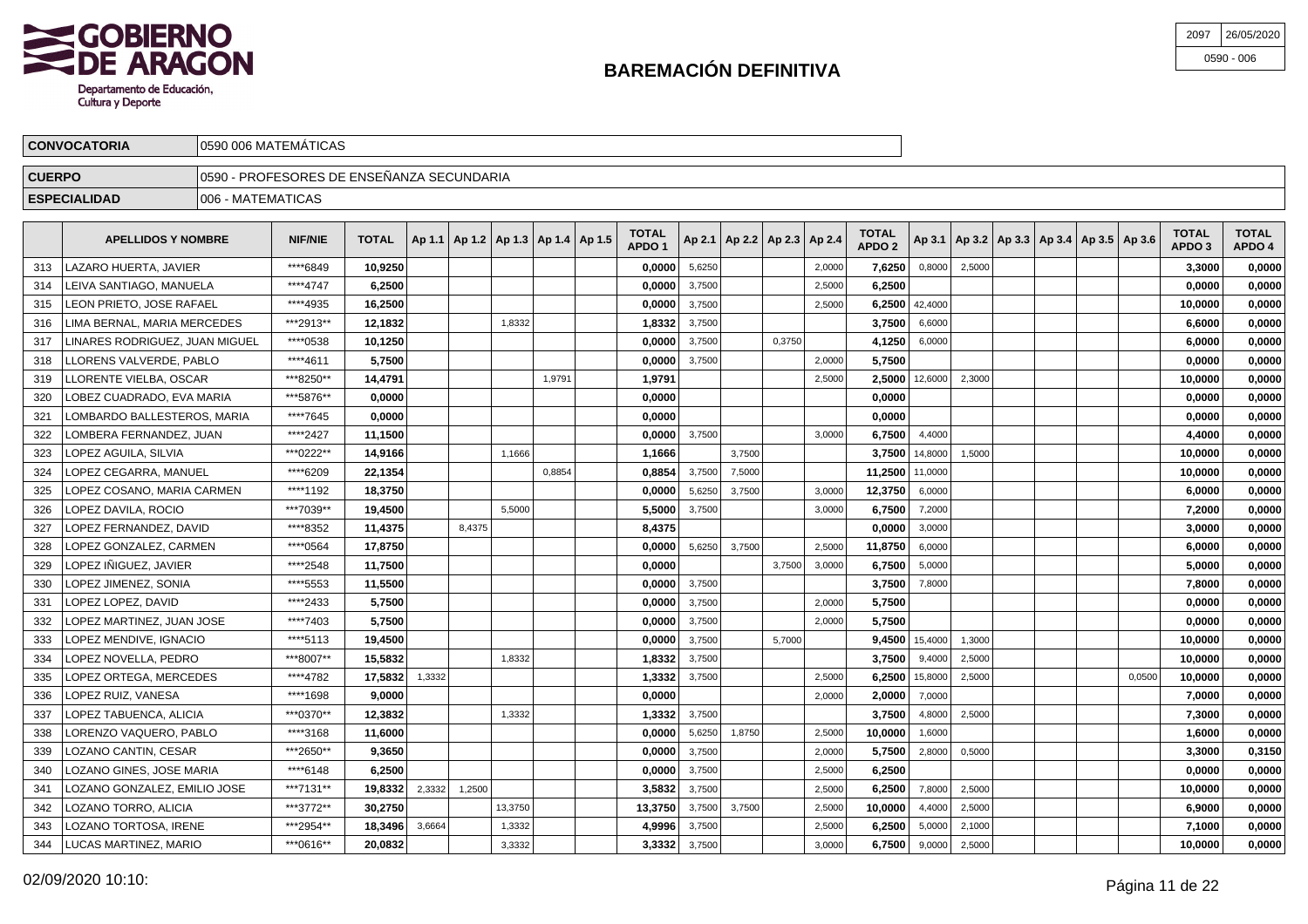

\*\*\*\*5553 **11,5500 0,0000** 3,7500 **3,7500** 7,8000 **7,8000 0,0000**

\*\*\*\*7403 **5,7500 0,0000** 3,7500 2,0000 **5,7500 0,0000 0,0000**

\*\*\*\*5113 **19,4500 0,0000** 3,7500 5,7000 **9,4500** 15,4000 1,3000 **10,0000 0,0000**

\*\*\*8007\*\* **15,5832** 1,8332 **1,8332** 3,7500 **3,7500** 9,4000 2,5000 **10,0000 0,0000**

\*\*\*0370\*\* **12,3832** 1,3332 **1,3332** 3,7500 **3,7500** 4,8000 2,5000 **7,3000 0,0000**

\*\*\*2650\*\* **9,3650 0,0000** 3,7500 2,0000 **5,7500** 2,8000 0,5000 **3,3000 0,3150**

\*\*\*3772\*\* **30,2750** 13,3750 **13,3750** 3,7500 3,7500 2,5000 **10,0000** 4,4000 2,5000 **6,9000 0,0000**

\*\*\*2954\*\* **18,3496** 3,6664 1,3332 **4,9996** 3,7500 2,5000 **6,2500** 5,0000 2,1000 **7,1000 0,0000**

 $\bullet$  **3,3332 3,7500 10,0000 6,7500** 9,0000 2,5000 **10,0000 1,0000 0,0000 1,0000 1,0000 1,0000 1,0000 1,0000** 

\*\*\*\*3168 **11,6000 0,0000** 5,6250 1,8750 2,5000 **10,0000** 1,6000 **1,6000 0,0000**

\*\*\*\*6148 **6,2500 0,0000** 3,7500 2,5000 **6,2500 0,0000 0,0000**

\*\*\*7131\*\* **19,8332** 2,3332 1,2500 **3,5832** 3,7500 2,5000 **6,2500** 7,8000 2,5000 **10,0000 0,0000**

\*\*\*\*1698 **9,0000 0,0000** 2,0000 **2,0000** 7,0000 **7,0000 0,0000**

\*\*\*\*4782 **17,5832** 1,3332 **1,3332** 3,7500 2,5000 **6,2500** 15,8000 2,5000 0,0500 **10,0000 0,0000**

\*\*\*\*2433 **5,7500 0,0000** 3,7500 2,0000 **5,7500 0,0000 0,0000**

| 2097 | 26/05/2020   |
|------|--------------|
|      | $0590 - 006$ |

|               | <b>CONVOCATORIA</b>            |                    | 0590 006 MATEMÁTICAS                       |              |  |        |        |                                            |                                   |                    |                                   |        |                                   |                    |        |                                                     |  |                        |                        |
|---------------|--------------------------------|--------------------|--------------------------------------------|--------------|--|--------|--------|--------------------------------------------|-----------------------------------|--------------------|-----------------------------------|--------|-----------------------------------|--------------------|--------|-----------------------------------------------------|--|------------------------|------------------------|
| <b>CUERPO</b> |                                |                    | 10590 - PROFESORES DE ENSEÑANZA SECUNDARIA |              |  |        |        |                                            |                                   |                    |                                   |        |                                   |                    |        |                                                     |  |                        |                        |
|               | <b>ESPECIALIDAD</b>            | 1006 - MATEMATICAS |                                            |              |  |        |        |                                            |                                   |                    |                                   |        |                                   |                    |        |                                                     |  |                        |                        |
|               | <b>APELLIDOS Y NOMBRE</b>      |                    | <b>NIF/NIE</b>                             | <b>TOTAL</b> |  |        |        | Ap 1.1   Ap 1.2   Ap 1.3   Ap 1.4   Ap 1.5 | <b>TOTAL</b><br>APDO <sub>1</sub> |                    | Ap 2.1   Ap 2.2   Ap 2.3   Ap 2.4 |        | <b>TOTAL</b><br>APDO <sub>2</sub> |                    |        | Ap 3.1   Ap 3.2   Ap 3.3   Ap 3.4   Ap 3.5   Ap 3.6 |  | <b>TOTAL</b><br>APDO 3 | <b>TOTAL</b><br>APDO 4 |
| 313           | LAZARO HUERTA, JAVIER          |                    | ****6849                                   | 10,9250      |  |        |        |                                            | 0,0000                            | 5,6250             |                                   | 2,0000 | 7,6250                            | 0,8000             | 2,5000 |                                                     |  | 3,3000                 | 0,0000                 |
| 314           | LEIVA SANTIAGO, MANUELA        |                    | ****4747                                   | 6,2500       |  |        |        |                                            | 0,0000                            | 3,7500             |                                   | 2,5000 | 6,2500                            |                    |        |                                                     |  | 0,0000                 | 0,0000                 |
| 315           | LEON PRIETO, JOSE RAFAEL       |                    | ****4935                                   | 16,2500      |  |        |        |                                            | 0,0000                            | 3,7500             |                                   | 2,5000 |                                   | 6,2500 $ $ 42,4000 |        |                                                     |  | 10,0000                | 0,0000                 |
| 316           | LIMA BERNAL, MARIA MERCEDES    |                    | ***2913**                                  | 12,1832      |  | 1,8332 |        |                                            | 1,8332                            | 3,7500             |                                   |        | 3,7500                            | 6,6000             |        |                                                     |  | 6,6000                 | 0,0000                 |
| 317           | LINARES RODRIGUEZ, JUAN MIGUEL |                    | ****0538                                   | 10,1250      |  |        |        |                                            | 0,0000                            | 3,7500             | 0,3750                            |        | 4,1250                            | 6,0000             |        |                                                     |  | 6,0000                 | 0,0000                 |
| 318           | LLORENS VALVERDE, PABLO        |                    | ****4611                                   | 5,7500       |  |        |        |                                            | 0,0000                            | 3,7500             |                                   | 2,0000 | 5,7500                            |                    |        |                                                     |  | 0,0000                 | 0,0000                 |
| 319           | LLORENTE VIELBA, OSCAR         |                    | ***8250**                                  | 14,4791      |  |        | 1.9791 |                                            | 1,9791                            |                    |                                   | 2,5000 |                                   | 2,5000 12,6000     | 2,3000 |                                                     |  | 10,0000                | 0,0000                 |
| 320           | LOBEZ CUADRADO, EVA MARIA      |                    | ***5876**                                  | 0,0000       |  |        |        |                                            | 0,0000                            |                    |                                   |        | 0,0000                            |                    |        |                                                     |  | 0,0000                 | 0,0000                 |
| 321           | LOMBARDO BALLESTEROS, MARIA    |                    | ****7645                                   | 0.00001      |  |        |        |                                            | 0,0000                            |                    |                                   |        | 0,0000                            |                    |        |                                                     |  | 0.0000                 | 0,0000                 |
| 322           | ILOMBERA FERNANDEZ ILIAN       |                    | *****2427                                  | 11 1500      |  |        |        |                                            |                                   | $0.00001 - 3.7500$ |                                   | 3.0000 |                                   | 6.7500 $4.4000$    |        |                                                     |  | 4 4000                 | n nnnn l               |

| 313 | LAZARO HUERTA, JAVIER          | ****6849  | 10,9250 |        |        |        | 0,0000 | 5,6250 |        |        | 2,0000 | 7,6250          | 0,8000             | 2,5000 |  |  | 3,3000  | 0,0000 |
|-----|--------------------------------|-----------|---------|--------|--------|--------|--------|--------|--------|--------|--------|-----------------|--------------------|--------|--|--|---------|--------|
| 314 | LEIVA SANTIAGO, MANUELA        | ****4747  | 6,2500  |        |        |        | 0,0000 | 3,7500 |        |        | 2,5000 | 6,2500          |                    |        |  |  | 0,0000  | 0,0000 |
| 315 | LEON PRIETO, JOSE RAFAEL       | ****4935  | 16,2500 |        |        |        | 0,0000 | 3,7500 |        |        | 2,5000 |                 | 6,2500 $ $ 42,4000 |        |  |  | 10,0000 | 0,0000 |
| 316 | LIMA BERNAL, MARIA MERCEDES    | ***2913** | 12,1832 |        | 1,8332 |        | 1,8332 | 3,7500 |        |        |        | 3,7500          | 6,6000             |        |  |  | 6,6000  | 0,0000 |
| 317 | LINARES RODRIGUEZ, JUAN MIGUEL | ****0538  | 10,1250 |        |        |        | 0,0000 | 3,7500 |        | 0,3750 |        | 4,1250          | 6,0000             |        |  |  | 6,0000  | 0,0000 |
| 318 | LLORENS VALVERDE, PABLO        | ****4611  | 5,7500  |        |        |        | 0,0000 | 3,7500 |        |        | 2,0000 | 5,7500          |                    |        |  |  | 0,0000  | 0,0000 |
| 319 | LLORENTE VIELBA, OSCAR         | ***8250** | 14,4791 |        |        | 1,9791 | 1,9791 |        |        |        | 2,5000 |                 | $2,5000$ 12,6000   | 2,3000 |  |  | 10,0000 | 0,0000 |
| 320 | LOBEZ CUADRADO, EVA MARIA      | ***5876** | 0,0000  |        |        |        | 0,0000 |        |        |        |        | 0,0000          |                    |        |  |  | 0,0000  | 0,0000 |
| 321 | LOMBARDO BALLESTEROS, MARIA    | ****7645  | 0,0000  |        |        |        | 0,0000 |        |        |        |        | 0,0000          |                    |        |  |  | 0,0000  | 0,0000 |
| 322 | LOMBERA FERNANDEZ, JUAN        | ****2427  | 11,1500 |        |        |        | 0,0000 | 3,7500 |        |        | 3,0000 | 6,7500          | 4,4000             |        |  |  | 4,4000  | 0,0000 |
| 323 | LOPEZ AGUILA, SILVIA           | ***0222** | 14,9166 |        | 1,1666 |        | 1,1666 |        | 3,7500 |        |        |                 | 3,7500 14,8000     | 1,5000 |  |  | 10,0000 | 0,0000 |
| 324 | LOPEZ CEGARRA, MANUEL          | ****6209  | 22,1354 |        |        | 0,8854 | 0,8854 | 3,7500 | 7,5000 |        |        | 11,2500 11,0000 |                    |        |  |  | 10,0000 | 0,0000 |
| 325 | LOPEZ COSANO, MARIA CARMEN     | ****1192  | 18,3750 |        |        |        | 0,0000 | 5,6250 | 3,7500 |        | 3,0000 | 12,3750         | 6,0000             |        |  |  | 6,0000  | 0,0000 |
| 326 | LOPEZ DAVILA, ROCIO            | ***7039** | 19,4500 |        | 5,5000 |        | 5,5000 | 3,7500 |        |        | 3,0000 | 6,7500          | 7,2000             |        |  |  | 7,2000  | 0,0000 |
| 327 | LOPEZ FERNANDEZ, DAVID         | ****8352  | 11,4375 | 8,4375 |        |        | 8,4375 |        |        |        |        | 0,0000          | 3,0000             |        |  |  | 3,0000  | 0,0000 |
| 328 | LOPEZ GONZALEZ, CARMEN         | ****0564  | 17,8750 |        |        |        | 0,0000 | 5,6250 | 3,7500 |        | 2,5000 | 11,8750         | 6,0000             |        |  |  | 6,0000  | 0,0000 |
| 329 | LOPEZ IÑIGUEZ, JAVIER          | *****2548 | 11,7500 |        |        |        | 0,0000 |        |        | 3,7500 | 3,0000 | 6,7500          | 5,0000             |        |  |  | 5,0000  | 0,0000 |
|     |                                |           |         |        |        |        |        |        |        |        |        |                 |                    |        |  |  |         |        |

330

331

332

333

334

335

336

337

338

339

340

341

342

343

344

LOPEZ JIMENEZ, SONIA

LOPEZ MARTINEZ, JUAN JOSE

LOPEZ MENDIVE, IGNACIO

LOPEZ NOVELLA, PEDRO

LOPEZ TABUENCA, ALICIA

LOZANO CANTIN, CESAR

LOZANO TORRO, ALICIA

LOZANO TORTOSA, IRENE

LUCAS MARTINEZ, MARIO

LOPEZ RUIZ, VANESA

LOPEZ ORTEGA, MERCEDES

LORENZO VAQUERO, PABLO

LOZANO GINES, JOSE MARIA

LOZANO GONZALEZ, EMILIO JOSE

LOPEZ LOPEZ, DAVID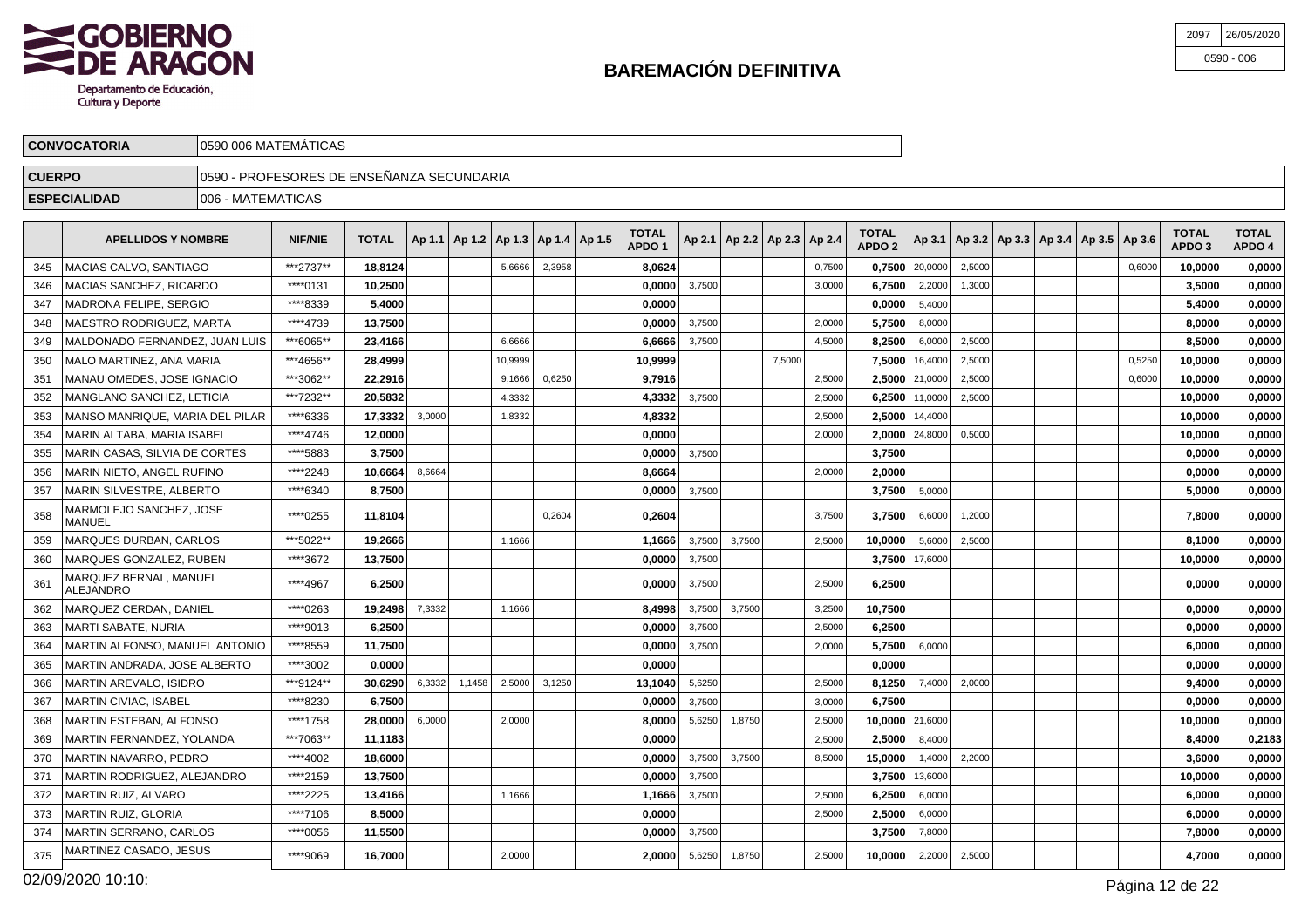

| 2097 | 26/05/2020   |
|------|--------------|
|      | $0590 - 006$ |

|               | <b>CONVOCATORIA</b>                        |                    | 0590 006 MATEMÁTICAS                       |                |        |                                            |         |        |                                   |        |        |                                   |        |                                   |                  |        |  |                                                     |        |                        |                        |
|---------------|--------------------------------------------|--------------------|--------------------------------------------|----------------|--------|--------------------------------------------|---------|--------|-----------------------------------|--------|--------|-----------------------------------|--------|-----------------------------------|------------------|--------|--|-----------------------------------------------------|--------|------------------------|------------------------|
| <b>CUERPO</b> |                                            |                    | 10590 - PROFESORES DE ENSEÑANZA SECUNDARIA |                |        |                                            |         |        |                                   |        |        |                                   |        |                                   |                  |        |  |                                                     |        |                        |                        |
|               | <b>ESPECIALIDAD</b>                        | 1006 - MATEMATICAS |                                            |                |        |                                            |         |        |                                   |        |        |                                   |        |                                   |                  |        |  |                                                     |        |                        |                        |
|               | <b>APELLIDOS Y NOMBRE</b>                  |                    | <b>NIF/NIE</b>                             | <b>TOTAL</b>   |        | Ap 1.1   Ap 1.2   Ap 1.3   Ap 1.4   Ap 1.5 |         |        | <b>TOTAL</b><br>APDO <sub>1</sub> |        |        | Ap 2.1   Ap 2.2   Ap 2.3   Ap 2.4 |        | <b>TOTAL</b><br>APDO <sub>2</sub> |                  |        |  | Ap 3.1   Ap 3.2   Ap 3.3   Ap 3.4   Ap 3.5   Ap 3.6 |        | <b>TOTAL</b><br>APDO 3 | <b>TOTAL</b><br>APDO 4 |
| 345           | IMACIAS CALVO. SANTIAGO                    |                    | ***2737**                                  | 18,8124        |        |                                            | 5.6666  | 2,3958 | 8.0624                            |        |        |                                   | 0,7500 |                                   | $0,7500$ 20,0000 | 2,5000 |  |                                                     | 0.6000 | 10.0000                | 0,0000                 |
| 346           | <b>MACIAS SANCHEZ, RICARDO</b>             |                    | ****0131                                   | 10,2500        |        |                                            |         |        | 0,0000                            | 3,7500 |        |                                   | 3,0000 | 6,7500                            | 2,2000           | 1,3000 |  |                                                     |        | 3.5000                 | 0,0000                 |
| 347           | <b>MADRONA FELIPE, SERGIO</b>              |                    | ****8339                                   | 5,4000         |        |                                            |         |        | 0.0000                            |        |        |                                   |        | 0,0000                            | 5,4000           |        |  |                                                     |        | 5.4000                 | 0,0000                 |
| 348           | <b>MAESTRO RODRIGUEZ, MARTA</b>            |                    | ****4739                                   | 13,7500        |        |                                            |         |        | 0,0000                            | 3,7500 |        |                                   | 2,0000 | 5,7500                            | 8,0000           |        |  |                                                     |        | 8.0000                 | 0,0000                 |
| 349           | MALDONADO FERNANDEZ. JUAN LUIS             |                    | ***6065**                                  | 23.4166        |        |                                            | 6.6666  |        | 6,6666                            | 3,7500 |        |                                   | 4,5000 | 8,2500                            | 6,0000           | 2,5000 |  |                                                     |        | 8.5000                 | 0,0000                 |
| 350           | MALO MARTINEZ, ANA MARIA                   |                    | ***4656**                                  | 28.4999        |        |                                            | 10,9999 |        | 10,9999                           |        |        | 7,5000                            |        |                                   | 7,5000 16,4000   | 2,5000 |  |                                                     | 0,5250 | 10.0000                | 0,0000                 |
| 351           | MANAU OMEDES, JOSE IGNACIO                 |                    | ***3062**                                  | 22.2916        |        |                                            | 9,1666  | 0,6250 | 9.7916                            |        |        |                                   | 2,5000 |                                   | 2,5000 21,0000   | 2,5000 |  |                                                     | 0,6000 | 10.0000                | 0,0000                 |
| 352           | MANGLANO SANCHEZ, LETICIA                  |                    | ***7232**                                  | 20,5832        |        |                                            | 4.3332  |        | 4,3332                            | 3,7500 |        |                                   | 2,5000 |                                   | 6,2500 11,0000   | 2,5000 |  |                                                     |        | 10.0000                | 0,0000                 |
| 353           | MANSO MANRIQUE, MARIA DEL PILAR            |                    | ****6336                                   | 17,3332        | 3,0000 |                                            | 1.8332  |        | 4,8332                            |        |        |                                   | 2,5000 |                                   | 2,5000 14,4000   |        |  |                                                     |        | 10.0000                | 0,0000                 |
| 354           | MARIN ALTABA, MARIA ISABEL                 |                    | ****4746                                   | 12,0000        |        |                                            |         |        | 0,0000                            |        |        |                                   | 2,0000 |                                   | $2,0000$ 24,8000 | 0,5000 |  |                                                     |        | 10,0000                | 0,0000                 |
| 355           | MARIN CASAS, SILVIA DE CORTES              |                    | ****5883                                   | 3.7500         |        |                                            |         |        | 0,0000                            | 3,7500 |        |                                   |        | 3,7500                            |                  |        |  |                                                     |        | 0.0000                 | 0,0000                 |
| 356           | MARIN NIETO, ANGEL RUFINO                  |                    | *****2248                                  | 10,6664        | 8,6664 |                                            |         |        | 8,6664                            |        |        |                                   | 2,0000 | 2,0000                            |                  |        |  |                                                     |        | 0.0000                 | 0,0000                 |
| 357           | MARIN SILVESTRE, ALBERTO                   |                    | ****6340                                   | 8,7500         |        |                                            |         |        | 0,0000                            | 3,7500 |        |                                   |        | 3,7500                            | 5,0000           |        |  |                                                     |        | 5,0000                 | 0,0000                 |
| 358           | MARMOLEJO SANCHEZ, JOSE<br><b>MANUEL</b>   |                    | ****0255                                   | 11.8104        |        |                                            |         | 0,2604 | 0,2604                            |        |        |                                   | 3,7500 | 3.7500                            | 6,6000           | 1,2000 |  |                                                     |        | 7.8000                 | 0,0000                 |
|               | <b>MARQUES DURBAN, CARLOS</b>              |                    | ***5022**                                  | 19,2666        |        |                                            | 1.1666  |        | 1,1666                            | 3,7500 | 3,7500 |                                   | 2,5000 | 10,0000                           | 5,6000           | 2,5000 |  |                                                     |        | 8,1000                 | 0,0000                 |
| 360           | MARQUES GONZALEZ, RUBEN                    |                    | ****3672                                   | 13.7500        |        |                                            |         |        | 0.0000                            | 3,7500 |        |                                   |        |                                   | 3.7500 17,6000   |        |  |                                                     |        | 10.0000                | 0,0000                 |
| 361           | MARQUEZ BERNAL, MANUEL<br><b>ALEJANDRO</b> |                    | ****4967                                   | 6,2500         |        |                                            |         |        | 0,0000                            | 3,7500 |        |                                   | 2,5000 | 6,2500                            |                  |        |  |                                                     |        | 0.0000                 | 0,0000                 |
| 362           | <b>IMARQUEZ CERDAN, DANIEL</b>             |                    | ****0263                                   | 19.2498 7.3332 |        |                                            | 1.1666  |        | 8.4998                            | 3,7500 | 3.7500 |                                   | 3.2500 | 10.7500                           |                  |        |  |                                                     |        | 0.0000                 | 0.0000                 |

MARQUEZ CERDAN, DANIEL \*\*\*\*0263 **19,2498** 7,3332 1,1666 **8,4998** 3,7500 3,7500 3,2500 **10,7500 0,0000 0,0000**

MARTIN CIVIAC, ISABEL \*\*\*\*8230 **6,7500 0,0000** 3,7500 3,0000 **6,7500 0,0000 0,0000**

\*\*\*\*9069 **16,7000** 2,0000 **2,0000** 5,6250 1,8750 2,5000 **10,0000** 2,2000 2,5000 **4,7000 0,0000** MARTINEZ CASADO, JESUS

\*\*\*\*9013 **6,2500 0,0000** 3,7500 2,5000 **6,2500 0,0000 0,0000**

\*\*\*9124\*\* **30,6290** 6,3332 1,1458 2,5000 3,1250 **13,1040** 5,6250 2,5000 **8,1250** 7,4000 2,0000 **9,4000 0,0000**

 $\bullet$  \*\*\*\*\*1758 **28,0000** 6,0000 2,0000 2,0000 **8,0000** 5,0250 1,8750 2,5000 **10,0000** 21,6000 **10,0000 10,0000 0,0000** 

\*\*\*\*4002 **18,6000 0,0000** 3,7500 3,7500 8,5000 **15,0000** 1,4000 2,2000 **3,6000 0,0000**

\*\*\*\*0056 **11,5500 0,0000** 3,7500 **3,7500** 7,8000 **7,8000 0,0000**

\*\*\*\*2225 **13,4166** 1,1666 **1,1666** 3,7500 2,5000 **6,2500** 6,0000 **6,0000 0,0000**

\*\*\*\*7106 **8,5000 0,0000** 2,5000 **2,5000** 6,0000 **6,0000 0,0000**

\*\*\*7063\*\* **11,1183 0,0000** 2,5000 **2,5000** 8,4000 **8,4000 0,2183**

\*\*\*\*2159 **13,7500 0,0000** 3,7500 **3,7500** 13,6000 **10,0000 0,0000**

\*\*\*\*8559 **11,7500 0,0000** 3,7500 2,0000 **5,7500** 6,0000 **6,0000 0,0000**

\*\*\*\*3002 **0,0000 0,0000 0,0000 0,0000 0,0000**

02/09/2020 10:10:

MARTIN SERRANO, CARLOS

MARTI SABATE, NURIA

MARTIN AREVALO, ISIDRO

MARTIN ESTEBAN, ALFONSO

MARTIN NAVARRO, PEDRO

MARTIN RUIZ, ALVARO

MARTIN RUIZ, GLORIA

MARTIN FERNANDEZ, YOLANDA

MARTIN RODRIGUEZ, ALEJANDRO

MARTIN ALFONSO, MANUEL ANTONIO

MARTIN ANDRADA, JOSE ALBERTO

363

364

365

366

367

368

369

370

371

372

373

374

375

Página 12 de 22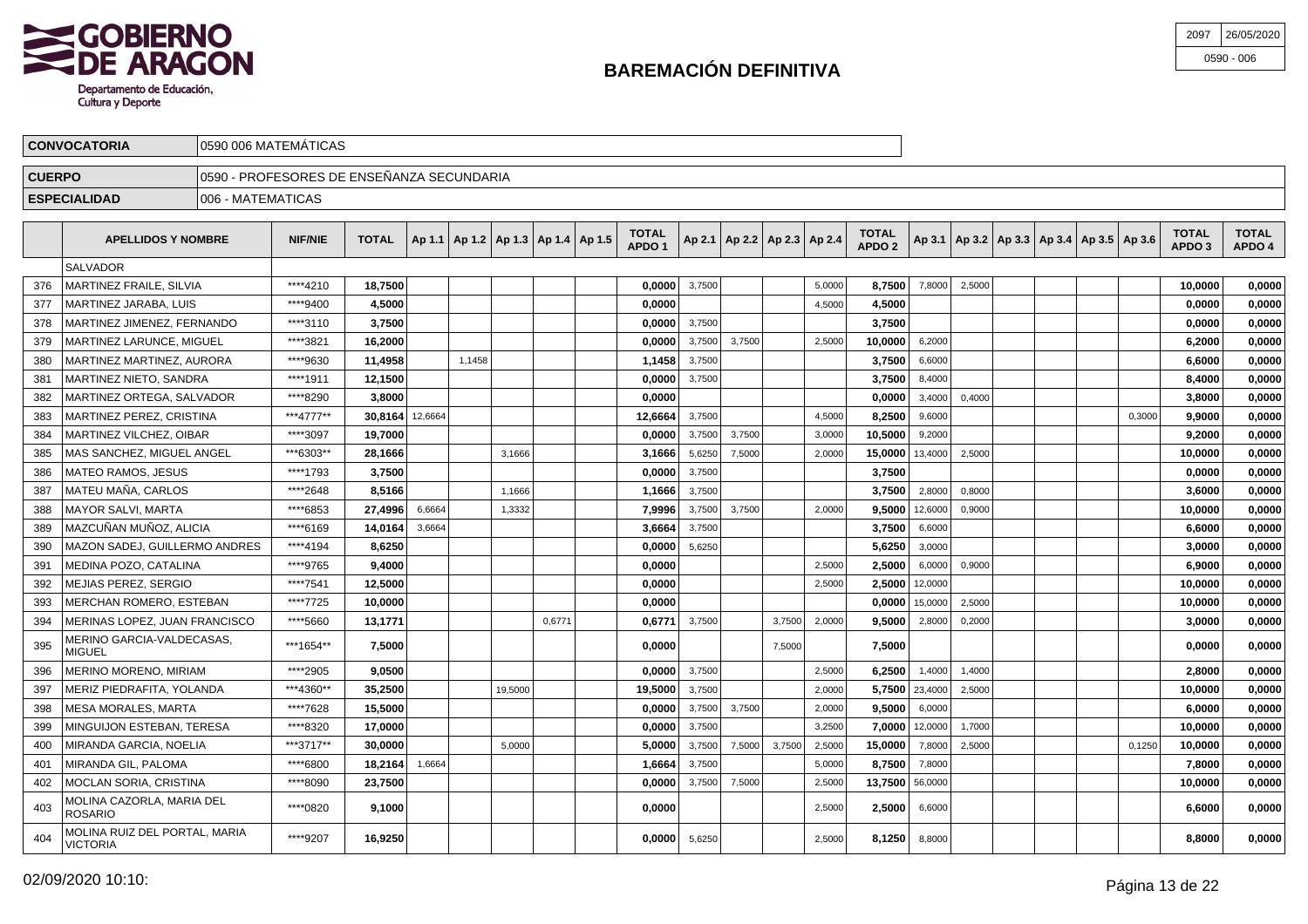

| 2097 26/05/2020 |
|-----------------|
| 0590 - 006      |

|               | <b>CONVOCATORIA</b>                         | 0590 006 MATEMÁTICAS                      |                |                 |        |                                            |         |        |                                   |        |        |                                   |        |                                   |                |        |  |                                            |        |                        |                        |
|---------------|---------------------------------------------|-------------------------------------------|----------------|-----------------|--------|--------------------------------------------|---------|--------|-----------------------------------|--------|--------|-----------------------------------|--------|-----------------------------------|----------------|--------|--|--------------------------------------------|--------|------------------------|------------------------|
| <b>CUERPO</b> |                                             | 0590 - PROFESORES DE ENSEÑANZA SECUNDARIA |                |                 |        |                                            |         |        |                                   |        |        |                                   |        |                                   |                |        |  |                                            |        |                        |                        |
|               | <b>ESPECIALIDAD</b>                         | 006 - MATEMATICAS                         |                |                 |        |                                            |         |        |                                   |        |        |                                   |        |                                   |                |        |  |                                            |        |                        |                        |
|               |                                             |                                           |                |                 |        |                                            |         |        |                                   |        |        |                                   |        |                                   |                |        |  |                                            |        |                        |                        |
|               | <b>APELLIDOS Y NOMBRE</b>                   |                                           | <b>NIF/NIE</b> | <b>TOTAL</b>    |        | Ap 1.1   Ap 1.2   Ap 1.3   Ap 1.4   Ap 1.5 |         |        | <b>TOTAL</b><br>APDO <sub>1</sub> |        |        | Ap 2.1   Ap 2.2   Ap 2.3   Ap 2.4 |        | <b>TOTAL</b><br>APDO <sub>2</sub> | Ap 3.1         |        |  | Ap 3.2   Ap 3.3   Ap 3.4   Ap 3.5   Ap 3.6 |        | <b>TOTAL</b><br>APDO 3 | <b>TOTAL</b><br>APDO 4 |
|               | <b>SALVADOR</b>                             |                                           |                |                 |        |                                            |         |        |                                   |        |        |                                   |        |                                   |                |        |  |                                            |        |                        |                        |
| 376           | MARTINEZ FRAILE, SILVIA                     |                                           | ****4210       | 18,7500         |        |                                            |         |        | 0,0000                            | 3,7500 |        |                                   | 5,0000 | 8,7500                            | 7,8000         | 2,5000 |  |                                            |        | 10,0000                | 0,0000                 |
| 377           | MARTINEZ JARABA. LUIS                       |                                           | ****9400       | 4,5000          |        |                                            |         |        | 0.0000                            |        |        |                                   | 4,5000 | 4,5000                            |                |        |  |                                            |        | 0.0000                 | 0,0000                 |
| 378           | MARTINEZ JIMENEZ, FERNANDO                  |                                           | ****3110       | 3,7500          |        |                                            |         |        | 0,0000                            | 3,7500 |        |                                   |        | 3,7500                            |                |        |  |                                            |        | 0,0000                 | 0,0000                 |
| 379           | MARTINEZ LARUNCE. MIGUEL                    |                                           | ****3821       | 16,2000         |        |                                            |         |        | 0.0000                            | 3,7500 | 3.7500 |                                   | 2.5000 | 10,0000                           | 6,2000         |        |  |                                            |        | 6,2000                 | 0,0000                 |
| 380           | MARTINEZ MARTINEZ, AURORA                   |                                           | ****9630       | 11,4958         |        | 1,1458                                     |         |        | 1,1458                            | 3,7500 |        |                                   |        | 3,7500                            | 6,6000         |        |  |                                            |        | 6,6000                 | 0,0000                 |
| 381           | MARTINEZ NIETO. SANDRA                      |                                           | ****1911       | 12.1500         |        |                                            |         |        | 0.0000                            | 3,7500 |        |                                   |        | 3,7500                            | 8,4000         |        |  |                                            |        | 8.4000                 | 0,0000                 |
| 382           | MARTINEZ ORTEGA, SALVADOR                   |                                           | ****8290       | 3,8000          |        |                                            |         |        | 0,0000                            |        |        |                                   |        | 0,0000                            | 3,4000         | 0,4000 |  |                                            |        | 3,8000                 | 0,0000                 |
| 383           | MARTINEZ PEREZ. CRISTINA                    |                                           | ***4777**      | 30.8164 12,6664 |        |                                            |         |        | 12.6664                           | 3,7500 |        |                                   | 4.5000 | 8,2500                            | 9,6000         |        |  |                                            | 0.3000 | 9.9000                 | 0,0000                 |
| 384           | <b>MARTINEZ VILCHEZ, OIBAR</b>              |                                           | ****3097       | 19,7000         |        |                                            |         |        | 0,0000                            | 3,7500 | 3,7500 |                                   | 3,0000 | 10,5000                           | 9,2000         |        |  |                                            |        | 9,2000                 | 0,0000                 |
| 385           | MAS SANCHEZ. MIGUEL ANGEL                   |                                           | ***6303**      | 28,1666         |        |                                            | 3,1666  |        | 3,1666                            | 5,6250 | 7,5000 |                                   | 2,0000 | 15,0000                           | 13,4000        | 2,5000 |  |                                            |        | 10,0000                | 0,0000                 |
| 386           | MATEO RAMOS. JESUS                          |                                           | ****1793       | 3,7500          |        |                                            |         |        | 0,0000                            | 3,7500 |        |                                   |        | 3,7500                            |                |        |  |                                            |        | 0,0000                 | 0,0000                 |
| 387           | MATEU MAÑA, CARLOS                          |                                           | ****2648       | 8,5166          |        |                                            | 1,1666  |        | 1,1666                            | 3,7500 |        |                                   |        | 3,7500                            | 2,8000         | 0,8000 |  |                                            |        | 3,6000                 | 0,0000                 |
| 388           | <b>MAYOR SALVI, MARTA</b>                   |                                           | ****6853       | 27,4996         | 6,6664 |                                            | 1,3332  |        | 7,9996                            | 3,7500 | 3,7500 |                                   | 2.0000 | 9,5000                            | 12,6000        | 0,9000 |  |                                            |        | 10,0000                | 0,0000                 |
| 389           | MAZCUÑAN MUÑOZ, ALICIA                      |                                           | ****6169       | 14,0164         | 3,6664 |                                            |         |        | 3,6664                            | 3,7500 |        |                                   |        | 3,7500                            | 6,6000         |        |  |                                            |        | 6,6000                 | 0,0000                 |
| 390           | MAZON SADEJ, GUILLERMO ANDRES               |                                           | ****4194       | 8,6250          |        |                                            |         |        | 0,0000                            | 5,6250 |        |                                   |        | 5,6250                            | 3,0000         |        |  |                                            |        | 3,0000                 | 0,0000                 |
| 391           | MEDINA POZO, CATALINA                       |                                           | ****9765       | 9,4000          |        |                                            |         |        | 0,0000                            |        |        |                                   | 2,5000 | 2,5000                            | 6,0000         | 0,9000 |  |                                            |        | 6,9000                 | 0,0000                 |
| 392           | MEJIAS PEREZ, SERGIO                        |                                           | ****7541       | 12,5000         |        |                                            |         |        | 0.0000                            |        |        |                                   | 2,5000 | 2,5000                            | 12,0000        |        |  |                                            |        | 10,0000                | 0,0000                 |
| 393           | MERCHAN ROMERO, ESTEBAN                     |                                           | ****7725       | 10,0000         |        |                                            |         |        | 0.0000                            |        |        |                                   |        | 0,0000                            | 15,0000        | 2,5000 |  |                                            |        | 10,0000                | 0,0000                 |
| 394           | MERINAS LOPEZ. JUAN FRANCISCO               |                                           | ****5660       | 13,1771         |        |                                            |         | 0.6771 | 0.6771                            | 3,7500 |        | 3,7500                            | 2,0000 | 9,5000                            | 2,8000         | 0,2000 |  |                                            |        | 3.0000                 | 0,0000                 |
| 395           | MERINO GARCIA-VALDECASAS,<br>MIGUEL         |                                           | ***1654**      | 7,5000          |        |                                            |         |        | 0,0000                            |        |        | 7,5000                            |        | 7,5000                            |                |        |  |                                            |        | 0,0000                 | 0,0000                 |
| 396           | MERINO MORENO, MIRIAM                       |                                           | ****2905       | 9,0500          |        |                                            |         |        | 0.0000                            | 3,7500 |        |                                   | 2,5000 | 6,2500                            | 1,4000         | 1,4000 |  |                                            |        | 2.8000                 | 0,0000                 |
| 397           | MERIZ PIEDRAFITA, YOLANDA                   |                                           | ***4360**      | 35,2500         |        |                                            | 19,5000 |        | 19,5000                           | 3,7500 |        |                                   | 2,0000 |                                   | 5,7500 23,4000 | 2,5000 |  |                                            |        | 10,0000                | 0,0000                 |
| 398           | MESA MORALES, MARTA                         |                                           | ****7628       | 15.5000         |        |                                            |         |        | 0.0000                            | 3,7500 | 3,7500 |                                   | 2,0000 | 9,5000                            | 6,0000         |        |  |                                            |        | 6.0000                 | 0,0000                 |
| 399           | MINGUIJON ESTEBAN, TERESA                   |                                           | ****8320       | 17,0000         |        |                                            |         |        | 0,0000                            | 3,7500 |        |                                   | 3,2500 | 7,0000                            | 12,0000        | 1,7000 |  |                                            |        | 10,0000                | 0,0000                 |
| 400           | MIRANDA GARCIA, NOELIA                      |                                           | ***3717**      | 30.0000         |        |                                            | 5.0000  |        | 5.0000                            | 3,7500 | 7,5000 | 3,7500                            | 2,5000 | 15,0000                           | 7,8000         | 2,5000 |  |                                            | 0.1250 | 10,0000                | 0,0000                 |
| 401           | MIRANDA GIL, PALOMA                         |                                           | ****6800       | 18,2164         | 1,6664 |                                            |         |        | 1,6664                            | 3,7500 |        |                                   | 5,0000 | 8,7500                            | 7,8000         |        |  |                                            |        | 7,8000                 | 0,0000                 |
| 402           | MOCLAN SORIA, CRISTINA                      |                                           | ****8090       | 23,7500         |        |                                            |         |        | 0.0000                            | 3,7500 | 7,5000 |                                   | 2.5000 | 13,7500                           | 56,0000        |        |  |                                            |        | 10.0000                | 0,0000                 |
| 403           | <b>MOLINA CAZORLA, MARIA DEL</b><br>ROSARIO |                                           | ****0820       | 9,1000          |        |                                            |         |        | 0,0000                            |        |        |                                   | 2,5000 | 2,5000                            | 6,6000         |        |  |                                            |        | 6,6000                 | 0,0000                 |

\*\*\*\*9207 **16,9250 0,0000** 5,6250 2,5000 **8,1250** 8,8000 **8,8000 0,0000** MOLINA RUIZ DEL PORTAL, MARIA VICTORIA

404

MOLINA RUIZ DEL PORTAL, MARIA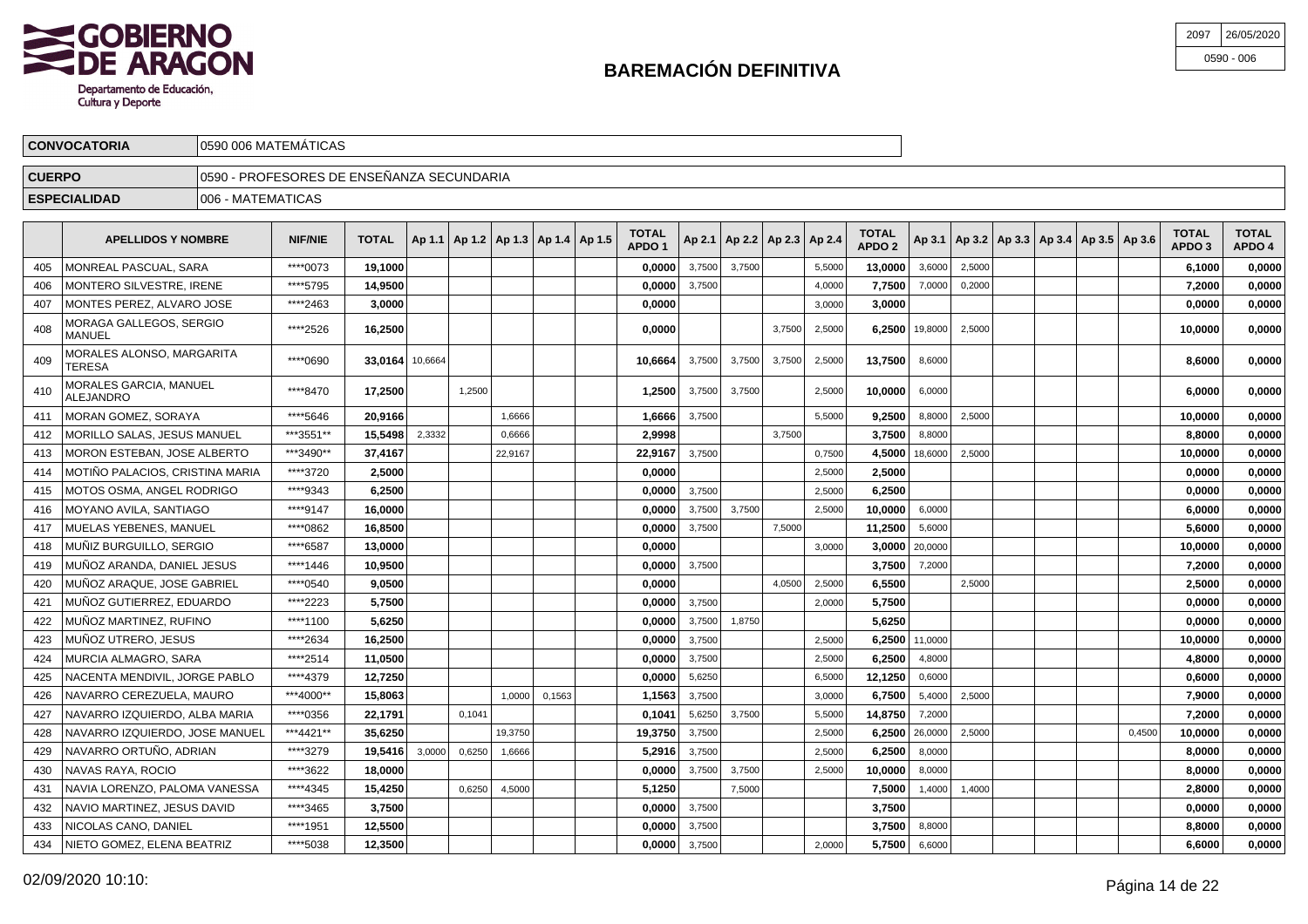

| 2097 | 26/05/2020   |
|------|--------------|
|      | $0590 - 006$ |

|               | <b>CONVOCATORIA</b> | 10590 006 MATEMATICAS                      |                                           |             |        |  |              |  |   |              |   |             |   |   |              |              |
|---------------|---------------------|--------------------------------------------|-------------------------------------------|-------------|--------|--|--------------|--|---|--------------|---|-------------|---|---|--------------|--------------|
| <b>CUERPO</b> |                     | 10590 - PROFESORES DE ENSEÑANZA SECUNDARIA |                                           |             |        |  |              |  |   |              |   |             |   |   |              |              |
|               | <b>ESPECIALIDAD</b> | 006 - MATEMATICAS                          |                                           |             |        |  |              |  |   |              |   |             |   |   |              |              |
|               | .                   |                                            | $\sim$ $\sim$ $\sim$ $\sim$ $\sim$ $\sim$ | $- - - - -$ | .<br>. |  | <b>TOTAL</b> |  | . | <b>TOTAL</b> | . | $\sim$<br>. | . | . | <b>TOTAL</b> | <b>TOTAL</b> |

|     | <b>APELLIDOS Y NOMBRE</b>                  | <b>NIF/NIE</b> | <b>TOTAL</b>    |        | Ap 1.1   Ap 1.2   Ap 1.3   Ap 1.4   Ap 1.5 |         |        | TOTAL<br>APDO <sub>1</sub> |        | Ap 2.1   Ap 2.2   Ap 2.3   Ap 2.4 |        |        | <b>TOTAL</b><br>APDO <sub>2</sub> |                   |        | Ap 3.1   Ap 3.2   Ap 3.3   Ap 3.4   Ap 3.5   Ap 3.6 |        | TOTAL<br>APDO <sub>3</sub> | <b>TOTAL</b><br>APDO 4 |
|-----|--------------------------------------------|----------------|-----------------|--------|--------------------------------------------|---------|--------|----------------------------|--------|-----------------------------------|--------|--------|-----------------------------------|-------------------|--------|-----------------------------------------------------|--------|----------------------------|------------------------|
| 405 | MONREAL PASCUAL, SARA                      | ****0073       | 19,1000         |        |                                            |         |        | 0,0000                     | 3,7500 | 3,7500                            |        | 5,5000 | 13,0000                           | 3,6000            | 2,5000 |                                                     |        | 6,1000                     | 0,0000                 |
| 406 | MONTERO SILVESTRE. IRENE                   | ****5795       | 14.9500         |        |                                            |         |        | 0,0000                     | 3,7500 |                                   |        | 4,0000 | 7,7500                            | 7,0000            | 0,2000 |                                                     |        | 7,2000                     | 0,0000                 |
| 407 | MONTES PEREZ, ALVARO JOSE                  | ****2463       | 3,0000          |        |                                            |         |        | 0,0000                     |        |                                   |        | 3,0000 | 3,0000                            |                   |        |                                                     |        | 0,0000                     | 0,0000                 |
| 408 | MORAGA GALLEGOS, SERGIO<br>MANUEL          | ****2526       | 16,2500         |        |                                            |         |        | 0,0000                     |        |                                   | 3,7500 | 2,5000 |                                   | 6,2500   19,8000  | 2,5000 |                                                     |        | 10,0000                    | 0,0000                 |
| 409 | MORALES ALONSO, MARGARITA<br>TERESA        | ****0690       | 33,0164 10,6664 |        |                                            |         |        | 10.6664                    | 3,7500 | 3,7500                            | 3,7500 | 2,5000 | 13,7500                           | 8,6000            |        |                                                     |        | 8.6000                     | 0,0000                 |
| 410 | MORALES GARCIA, MANUEL<br><b>ALEJANDRO</b> | ****8470       | 17,2500         |        | 1,2500                                     |         |        | 1.2500                     | 3,7500 | 3,7500                            |        | 2,5000 | 10,0000                           | 6,0000            |        |                                                     |        | 6.0000                     | 0,0000                 |
| 411 | MORAN GOMEZ, SORAYA                        | ****5646       | 20,9166         |        |                                            | 1.6666  |        | 1,6666                     | 3,7500 |                                   |        | 5.5000 | 9.2500                            | 8,8000            | 2,5000 |                                                     |        | 10,0000                    | 0,0000                 |
| 412 | <b>MORILLO SALAS, JESUS MANUEL</b>         | ***3551**      | 15,5498         | 2,3332 |                                            | 0.6666  |        | 2,9998                     |        |                                   | 3.7500 |        | 3,7500                            | 8,8000            |        |                                                     |        | 8,8000                     | 0,0000                 |
| 413 | MORON ESTEBAN, JOSE ALBERTO                | ***3490**      | 37,4167         |        |                                            | 22,9167 |        | 22,9167                    | 3,7500 |                                   |        | 0,7500 | 4,5000                            | 18,6000           | 2,5000 |                                                     |        | 10,0000                    | 0,0000                 |
| 414 | MOTIÑO PALACIOS. CRISTINA MARIA            | ****3720       | 2,5000          |        |                                            |         |        | 0,0000                     |        |                                   |        | 2,5000 | 2,5000                            |                   |        |                                                     |        | 0,0000                     | 0,0000                 |
| 415 | MOTOS OSMA, ANGEL RODRIGO                  | ****9343       | 6,2500          |        |                                            |         |        | 0,0000                     | 3,7500 |                                   |        | 2,5000 | 6,2500                            |                   |        |                                                     |        | 0,0000                     | 0,0000                 |
| 416 | MOYANO AVILA, SANTIAGO                     | ****9147       | 16,0000         |        |                                            |         |        | 0.00001                    | 3,7500 | 3,7500                            |        | 2,5000 | 10,0000                           | 6,0000            |        |                                                     |        | 6,0000                     | 0,0000                 |
| 417 | MUELAS YEBENES, MANUEL                     | ****0862       | 16,8500         |        |                                            |         |        | 0,0000                     | 3,7500 |                                   | 7,5000 |        | 11,2500                           | 5,6000            |        |                                                     |        | 5,6000                     | 0,0000                 |
| 418 | MUÑIZ BURGUILLO. SERGIO                    | ****6587       | 13.0000         |        |                                            |         |        | 0.0000                     |        |                                   |        | 3,0000 | 3.0000                            | 20,0000           |        |                                                     |        | 10,0000                    | 0,0000                 |
| 419 | MUÑOZ ARANDA, DANIEL JESUS                 | ****1446       | 10,9500         |        |                                            |         |        | 0,0000                     | 3,7500 |                                   |        |        |                                   | 3,7500 7,2000     |        |                                                     |        | 7,2000                     | 0,0000                 |
| 420 | MUÑOZ ARAQUE, JOSE GABRIEL                 | ****0540       | 9,0500          |        |                                            |         |        | 0.0000                     |        |                                   | 4.0500 | 2,5000 | 6,5500                            |                   | 2.5000 |                                                     |        | 2,5000                     | 0,0000                 |
| 421 | MUÑOZ GUTIERREZ, EDUARDO                   | ****2223       | 5,7500          |        |                                            |         |        | 0,0000                     | 3,7500 |                                   |        | 2,0000 | 5,7500                            |                   |        |                                                     |        | 0,0000                     | 0,0000                 |
| 422 | MUÑOZ MARTINEZ. RUFINO                     | ****1100       | 5,6250          |        |                                            |         |        | 0.0000                     | 3,7500 | 1,8750                            |        |        | 5.6250                            |                   |        |                                                     |        | 0.0000                     | 0,0000                 |
| 423 | MUÑOZ UTRERO, JESUS                        | ****2634       | 16,2500         |        |                                            |         |        | 0,0000                     | 3,7500 |                                   |        | 2,5000 |                                   | 6,2500 11,0000    |        |                                                     |        | 10,0000                    | 0,0000                 |
| 424 | <b>MURCIA ALMAGRO, SARA</b>                | ****2514       | 11,0500         |        |                                            |         |        | 0,0000                     | 3,7500 |                                   |        | 2,5000 | 6,2500                            | 4,8000            |        |                                                     |        | 4,8000                     | 0,0000                 |
| 425 | NACENTA MENDIVIL, JORGE PABLO              | ****4379       | 12,7250         |        |                                            |         |        | 0,0000                     | 5,6250 |                                   |        | 6,5000 | 12,1250                           | 0,6000            |        |                                                     |        | 0,6000                     | 0,0000                 |
| 426 | NAVARRO CEREZUELA, MAURO                   | ***4000**      | 15,8063         |        |                                            | 1.0000  | 0,1563 | 1,1563                     | 3.7500 |                                   |        | 3,0000 | 6,7500                            | 5,4000            | 2,5000 |                                                     |        | 7,9000                     | 0,0000                 |
| 427 | NAVARRO IZQUIERDO, ALBA MARIA              | ****0356       | 22,1791         |        | 0,1041                                     |         |        | 0,1041                     | 5,6250 | 3,7500                            |        | 5,5000 | 14.8750                           | 7,2000            |        |                                                     |        | 7,2000                     | 0,0000                 |
| 428 | NAVARRO IZQUIERDO, JOSE MANUEL             | ***4421**      | 35,6250         |        |                                            | 19,3750 |        | 19,3750                    | 3,7500 |                                   |        | 2,5000 |                                   | 6,2500 $ 26,0000$ | 2,5000 |                                                     | 0,4500 | 10,0000                    | 0,0000                 |
| 429 | NAVARRO ORTUÑO, ADRIAN                     | ****3279       | 19,5416         | 3,0000 | 0,6250                                     | 1,6666  |        | 5,2916                     | 3,7500 |                                   |        | 2,5000 | 6,2500                            | 8,0000            |        |                                                     |        | 8,0000                     | 0,0000                 |
| 430 | NAVAS RAYA, ROCIO                          | ****3622       | 18,0000         |        |                                            |         |        | 0.00001                    | 3,7500 | 3,7500                            |        | 2,5000 | 10.0000                           | 8,0000            |        |                                                     |        | 8.0000                     | 0,0000                 |
| 431 | NAVIA LORENZO, PALOMA VANESSA              | ****4345       | 15,4250         |        | 0,6250                                     | 4,5000  |        | 5,1250                     |        | 7,5000                            |        |        | 7,5000                            | 1,4000            | 1,4000 |                                                     |        | 2,8000                     | 0,0000                 |
| 432 | NAVIO MARTINEZ, JESUS DAVID                | ****3465       | 3,7500          |        |                                            |         |        | 0.0000                     | 3,7500 |                                   |        |        | 3,7500                            |                   |        |                                                     |        | 0,0000                     | 0,0000                 |
| 433 | NICOLAS CANO, DANIEL                       | ****1951       | 12,5500         |        |                                            |         |        | 0,0000                     | 3,7500 |                                   |        |        | 3,7500                            | 8,8000            |        |                                                     |        | 8,8000                     | 0,0000                 |
| 434 | NIETO GOMEZ, ELENA BEATRIZ                 | ****5038       | 12,3500         |        |                                            |         |        | 0.00001                    | 3,7500 |                                   |        | 2,0000 | 5.7500                            | 6,6000            |        |                                                     |        | 6.6000                     | 0,0000                 |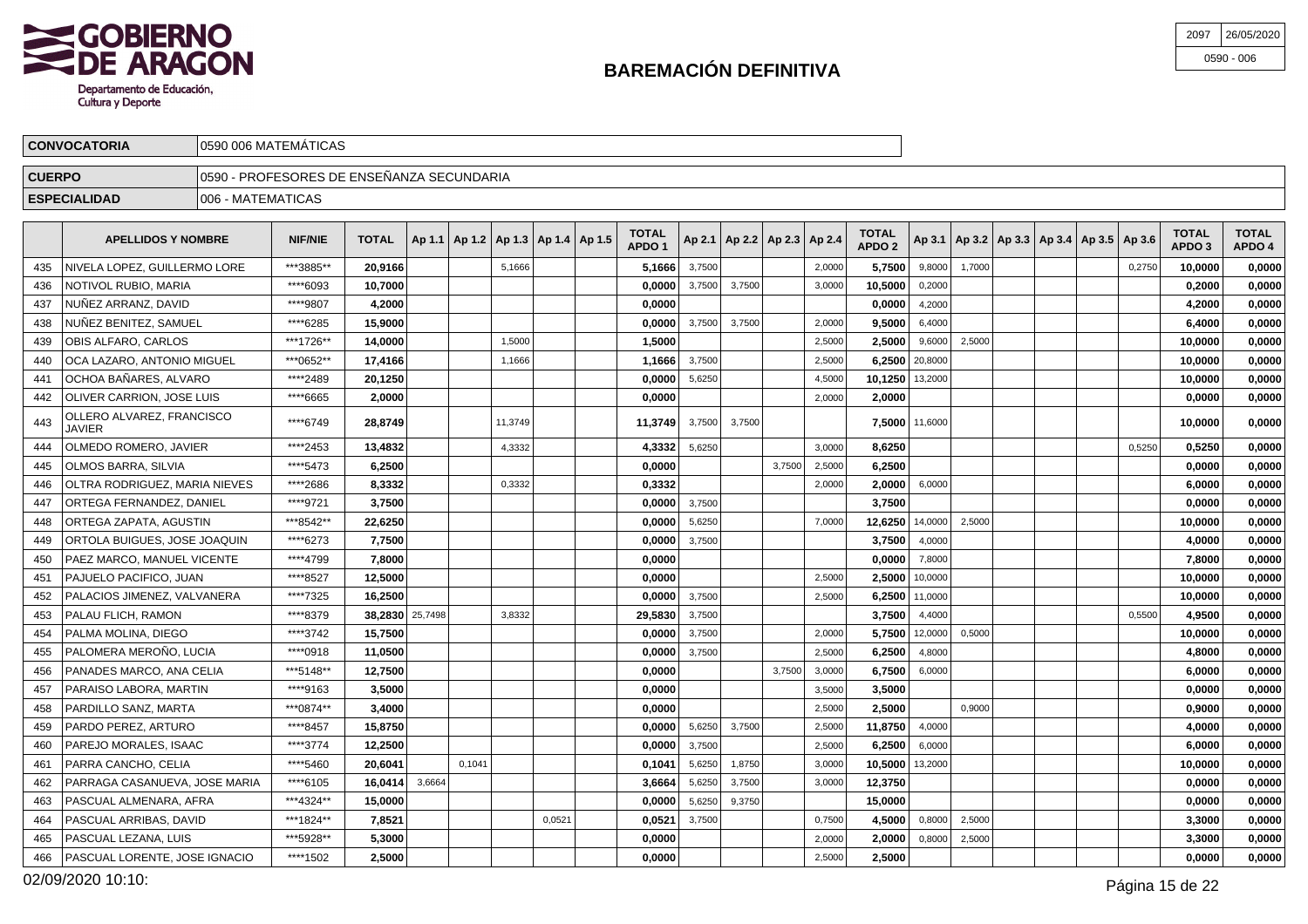

| 2097 | 26/05/2020   |
|------|--------------|
|      | $0590 - 006$ |

|               | <b>CONVOCATORIA</b>                                                                                                                                                                                                                                                                                                                                  | 10590 006 MATEMATICAS                     |           |         |  |  |        |  |  |        |        |        |  |        |         |        |        |  |        |         |        |
|---------------|------------------------------------------------------------------------------------------------------------------------------------------------------------------------------------------------------------------------------------------------------------------------------------------------------------------------------------------------------|-------------------------------------------|-----------|---------|--|--|--------|--|--|--------|--------|--------|--|--------|---------|--------|--------|--|--------|---------|--------|
| <b>CUERPO</b> |                                                                                                                                                                                                                                                                                                                                                      | 0590 - PROFESORES DE ENSEÑANZA SECUNDARIA |           |         |  |  |        |  |  |        |        |        |  |        |         |        |        |  |        |         |        |
|               | <b>ESPECIALIDAD</b>                                                                                                                                                                                                                                                                                                                                  | 1006 - MATEMATICAS                        |           |         |  |  |        |  |  |        |        |        |  |        |         |        |        |  |        |         |        |
|               | <b>TOTAL</b><br><b>TOTAL</b><br><b>TOTAL</b><br><b>TOTAL</b><br>$ $ Ap 3.1   Ap 3.2   Ap 3.3   Ap 3.4   Ap 3.5   Ap 3.6  <br>TOTAL $ $ Ap 1.1   Ap 1.2   Ap 1.3   Ap 1.4   Ap 1.5  <br>  Ap 2.1   Ap 2.2   Ap 2.3   Ap 2.4  <br><b>NIF/NIE</b><br><b>APELLIDOS Y NOMBRE</b><br>APDO <sub>2</sub><br>APDO <sup>1</sup><br>APDO <sub>3</sub><br>APDO 4 |                                           |           |         |  |  |        |  |  |        |        |        |  |        |         |        |        |  |        |         |        |
| 435           | NIVELA LOPEZ, GUILLERMO LORE                                                                                                                                                                                                                                                                                                                         |                                           | ***3885** | 20.9166 |  |  | 5,1666 |  |  | 5.1666 | 3,7500 |        |  | 2,0000 | 5,7500  | 9,8000 | 1,7000 |  | 0,2750 | 10,0000 | 0,0000 |
| 436           | NOTIVOL RUBIO, MARIA                                                                                                                                                                                                                                                                                                                                 |                                           | ****6093  | 10.7000 |  |  |        |  |  | 0.0000 | 3,7500 | 3,7500 |  | 3,0000 | 10,5000 | 0.2000 |        |  |        | 0.2000  | 0,0000 |
| 437           | INUÑEZ ARRANZ. DAVID                                                                                                                                                                                                                                                                                                                                 |                                           | ****9807  | 4,2000  |  |  |        |  |  | 0,0000 |        |        |  |        | 0.0000  | 4,2000 |        |  |        | 4,2000  | 0,0000 |

| NUÑEZ BENITEZ. SAMUEL<br>****6285<br>15.9000<br>0.0000<br>3,7500<br>3,7500<br>9.5000<br>6,4000<br>6.4000<br>438<br>2,0000<br>***1726**<br>OBIS ALFARO, CARLOS<br>14,0000<br>1.5000<br>1,5000<br>2,5000<br>2,5000<br>9,6000<br>2,5000<br>10,0000<br>439<br>OCA LAZARO. ANTONIO MIGUEL<br>***0652**<br>17,4166<br>6.2500<br>20,8000<br>1,1666<br>1.1666<br>3,7500<br>2,5000<br>10,0000<br>440<br>OCHOA BAÑARES, ALVARO<br>****2489<br>20,1250<br>10.1250<br>0.0000<br>5,6250<br>4,5000<br>13,2000<br>10.0000<br>441<br>****6665<br>2,0000<br>OLIVER CARRION, JOSE LUIS<br>0,0000<br>2,0000<br>0,0000<br>442<br>2,0000<br>OLLERO ALVAREZ, FRANCISCO<br>****6749<br>28,8749<br>11.3749<br>11.3749<br>3,7500<br>3,7500<br>7.5000 11,6000<br>10,0000<br>443<br><b>JAVIER</b><br>****2453<br>13,4832<br>4.3332<br>0,5250<br>OLMEDO ROMERO, JAVIER<br>4.3332<br>5,6250<br>3.0000<br>8.6250<br>0.5250<br>444<br>****5473<br><b>OLMOS BARRA, SILVIA</b><br>6,2500<br>0,0000<br>3,7500<br>2,5000<br>6,2500<br>0,0000<br>445<br>OLTRA RODRIGUEZ. MARIA NIEVES<br>****2686<br>8,3332<br>0.3332<br>0,3332<br>2.0000<br>2,0000<br>6,0000<br>6,0000<br>446<br>****9721<br>3,7500<br>3.7500<br>ORTEGA FERNANDEZ. DANIEL<br>0.0000<br>3.7500<br>0.0000<br>447<br>***8542**<br>22,6250<br>12,6250<br>14,0000<br>ORTEGA ZAPATA, AGUSTIN<br>0,0000<br>5,6250<br>2,5000<br>10,0000<br>7,0000<br>448<br>****6273<br>7,7500<br>0,0000<br>3,7500<br>4,0000<br>ORTOLA BUIGUES, JOSE JOAQUIN<br>3,7500<br>4,0000<br>449<br>****4799<br>0.0000<br>7,8000<br>7.8000<br>0.0000<br>7.8000<br>PAEZ MARCO, MANUEL VICENTE<br>450<br>PAJUELO PACIFICO, JUAN<br>****8527<br>12,5000<br>2,5000<br>0,0000<br>2,5000<br>10,0000<br>10,0000<br>451 | 0,0000 |
|-------------------------------------------------------------------------------------------------------------------------------------------------------------------------------------------------------------------------------------------------------------------------------------------------------------------------------------------------------------------------------------------------------------------------------------------------------------------------------------------------------------------------------------------------------------------------------------------------------------------------------------------------------------------------------------------------------------------------------------------------------------------------------------------------------------------------------------------------------------------------------------------------------------------------------------------------------------------------------------------------------------------------------------------------------------------------------------------------------------------------------------------------------------------------------------------------------------------------------------------------------------------------------------------------------------------------------------------------------------------------------------------------------------------------------------------------------------------------------------------------------------------------------------------------------------------------------------------------------------------------------------------------------------------------------------------------------------|--------|
|                                                                                                                                                                                                                                                                                                                                                                                                                                                                                                                                                                                                                                                                                                                                                                                                                                                                                                                                                                                                                                                                                                                                                                                                                                                                                                                                                                                                                                                                                                                                                                                                                                                                                                             | 0.0000 |
|                                                                                                                                                                                                                                                                                                                                                                                                                                                                                                                                                                                                                                                                                                                                                                                                                                                                                                                                                                                                                                                                                                                                                                                                                                                                                                                                                                                                                                                                                                                                                                                                                                                                                                             | 0,0000 |
|                                                                                                                                                                                                                                                                                                                                                                                                                                                                                                                                                                                                                                                                                                                                                                                                                                                                                                                                                                                                                                                                                                                                                                                                                                                                                                                                                                                                                                                                                                                                                                                                                                                                                                             | 0,0000 |
|                                                                                                                                                                                                                                                                                                                                                                                                                                                                                                                                                                                                                                                                                                                                                                                                                                                                                                                                                                                                                                                                                                                                                                                                                                                                                                                                                                                                                                                                                                                                                                                                                                                                                                             | 0,0000 |
|                                                                                                                                                                                                                                                                                                                                                                                                                                                                                                                                                                                                                                                                                                                                                                                                                                                                                                                                                                                                                                                                                                                                                                                                                                                                                                                                                                                                                                                                                                                                                                                                                                                                                                             | 0,0000 |
|                                                                                                                                                                                                                                                                                                                                                                                                                                                                                                                                                                                                                                                                                                                                                                                                                                                                                                                                                                                                                                                                                                                                                                                                                                                                                                                                                                                                                                                                                                                                                                                                                                                                                                             | 0,0000 |
|                                                                                                                                                                                                                                                                                                                                                                                                                                                                                                                                                                                                                                                                                                                                                                                                                                                                                                                                                                                                                                                                                                                                                                                                                                                                                                                                                                                                                                                                                                                                                                                                                                                                                                             | 0,0000 |
|                                                                                                                                                                                                                                                                                                                                                                                                                                                                                                                                                                                                                                                                                                                                                                                                                                                                                                                                                                                                                                                                                                                                                                                                                                                                                                                                                                                                                                                                                                                                                                                                                                                                                                             | 0,0000 |
|                                                                                                                                                                                                                                                                                                                                                                                                                                                                                                                                                                                                                                                                                                                                                                                                                                                                                                                                                                                                                                                                                                                                                                                                                                                                                                                                                                                                                                                                                                                                                                                                                                                                                                             | 0,0000 |
|                                                                                                                                                                                                                                                                                                                                                                                                                                                                                                                                                                                                                                                                                                                                                                                                                                                                                                                                                                                                                                                                                                                                                                                                                                                                                                                                                                                                                                                                                                                                                                                                                                                                                                             | 0,0000 |
|                                                                                                                                                                                                                                                                                                                                                                                                                                                                                                                                                                                                                                                                                                                                                                                                                                                                                                                                                                                                                                                                                                                                                                                                                                                                                                                                                                                                                                                                                                                                                                                                                                                                                                             | 0,0000 |
|                                                                                                                                                                                                                                                                                                                                                                                                                                                                                                                                                                                                                                                                                                                                                                                                                                                                                                                                                                                                                                                                                                                                                                                                                                                                                                                                                                                                                                                                                                                                                                                                                                                                                                             | 0,0000 |
|                                                                                                                                                                                                                                                                                                                                                                                                                                                                                                                                                                                                                                                                                                                                                                                                                                                                                                                                                                                                                                                                                                                                                                                                                                                                                                                                                                                                                                                                                                                                                                                                                                                                                                             | 0,0000 |
|                                                                                                                                                                                                                                                                                                                                                                                                                                                                                                                                                                                                                                                                                                                                                                                                                                                                                                                                                                                                                                                                                                                                                                                                                                                                                                                                                                                                                                                                                                                                                                                                                                                                                                             | 0,0000 |
| ****7325<br>PALACIOS JIMENEZ, VALVANERA<br>16.2500<br>3.7500<br>0,0000<br>2,5000<br>6,2500<br>11,0000<br>10,0000<br>452                                                                                                                                                                                                                                                                                                                                                                                                                                                                                                                                                                                                                                                                                                                                                                                                                                                                                                                                                                                                                                                                                                                                                                                                                                                                                                                                                                                                                                                                                                                                                                                     | 0.0000 |
| ****8379<br>38.2830 25,7498<br>29,5830<br>3.7500<br>4,9500<br>PALAU FLICH. RAMON<br>3,8332<br>3,7500<br>4,4000<br>453<br>0,5500                                                                                                                                                                                                                                                                                                                                                                                                                                                                                                                                                                                                                                                                                                                                                                                                                                                                                                                                                                                                                                                                                                                                                                                                                                                                                                                                                                                                                                                                                                                                                                             | 0,0000 |
| ****3742<br>15,7500<br>3,7500<br>5,7500<br>12,0000<br>0,5000<br>10,0000<br>PALMA MOLINA. DIEGO<br>0,0000<br>2,0000<br>454                                                                                                                                                                                                                                                                                                                                                                                                                                                                                                                                                                                                                                                                                                                                                                                                                                                                                                                                                                                                                                                                                                                                                                                                                                                                                                                                                                                                                                                                                                                                                                                   | 0,0000 |
| PALOMERA MEROÑO, LUCIA<br>****0918<br>6.2500<br>11.0500<br>0.0000<br>4,8000<br>4,8000<br>3,7500<br>2,5000<br>455                                                                                                                                                                                                                                                                                                                                                                                                                                                                                                                                                                                                                                                                                                                                                                                                                                                                                                                                                                                                                                                                                                                                                                                                                                                                                                                                                                                                                                                                                                                                                                                            | 0,0000 |
| PANADES MARCO, ANA CELIA<br>***5148**<br>12,7500<br>3,7500<br>0,0000<br>3,0000<br>6,7500<br>6,0000<br>6,0000<br>456                                                                                                                                                                                                                                                                                                                                                                                                                                                                                                                                                                                                                                                                                                                                                                                                                                                                                                                                                                                                                                                                                                                                                                                                                                                                                                                                                                                                                                                                                                                                                                                         | 0,0000 |
| ****9163<br>3,5000<br>3,5000<br>PARAISO LABORA, MARTIN<br>0.0000<br>3,5000<br>0.0000<br>457                                                                                                                                                                                                                                                                                                                                                                                                                                                                                                                                                                                                                                                                                                                                                                                                                                                                                                                                                                                                                                                                                                                                                                                                                                                                                                                                                                                                                                                                                                                                                                                                                 | 0,0000 |
| ***0874**<br>3.4000<br>PARDILLO SANZ, MARTA<br>0.0000<br>2,5000<br>2.5000<br>0,9000<br>0.9000<br>458                                                                                                                                                                                                                                                                                                                                                                                                                                                                                                                                                                                                                                                                                                                                                                                                                                                                                                                                                                                                                                                                                                                                                                                                                                                                                                                                                                                                                                                                                                                                                                                                        | 0.0000 |
| ****8457<br>15,8750<br>0,0000<br>11,8750<br>4,0000<br>4,0000<br>PARDO PEREZ, ARTURO<br>5,6250<br>3,7500<br>2,5000<br>459                                                                                                                                                                                                                                                                                                                                                                                                                                                                                                                                                                                                                                                                                                                                                                                                                                                                                                                                                                                                                                                                                                                                                                                                                                                                                                                                                                                                                                                                                                                                                                                    | 0,0000 |
| ****3774<br>12,2500<br>3,7500<br>6.2500<br>6,0000<br>6,0000<br>PAREJO MORALES. ISAAC<br>0,0000<br>2,5000<br>460                                                                                                                                                                                                                                                                                                                                                                                                                                                                                                                                                                                                                                                                                                                                                                                                                                                                                                                                                                                                                                                                                                                                                                                                                                                                                                                                                                                                                                                                                                                                                                                             | 0,0000 |
| ****5460<br>20.6041<br>1,8750<br>10.5000<br>PARRA CANCHO, CELIA<br>0.1041<br>5,6250<br>13,2000<br>10.0000<br>0,1041<br>3,0000<br>461                                                                                                                                                                                                                                                                                                                                                                                                                                                                                                                                                                                                                                                                                                                                                                                                                                                                                                                                                                                                                                                                                                                                                                                                                                                                                                                                                                                                                                                                                                                                                                        | 0,0000 |
| PARRAGA CASANUEVA. JOSE MARIA<br>****6105<br>16,0414<br>3,6664<br>3,6664<br>5,6250<br>3,7500<br>12,3750<br>3,0000<br>0,0000<br>462                                                                                                                                                                                                                                                                                                                                                                                                                                                                                                                                                                                                                                                                                                                                                                                                                                                                                                                                                                                                                                                                                                                                                                                                                                                                                                                                                                                                                                                                                                                                                                          | 0,0000 |
| ***4324**<br>15.0000<br>0.0000<br>5.6250<br>9.3750<br>0,0000<br>PASCUAL ALMENARA. AFRA<br>15,0000<br>463                                                                                                                                                                                                                                                                                                                                                                                                                                                                                                                                                                                                                                                                                                                                                                                                                                                                                                                                                                                                                                                                                                                                                                                                                                                                                                                                                                                                                                                                                                                                                                                                    | 0,0000 |
| ***1824**<br>PASCUAL ARRIBAS, DAVID<br>7,8521<br>0,0521<br>3,7500<br>4,5000<br>0,8000<br>464<br>0,0521<br>0,7500<br>2,5000<br>3,3000                                                                                                                                                                                                                                                                                                                                                                                                                                                                                                                                                                                                                                                                                                                                                                                                                                                                                                                                                                                                                                                                                                                                                                                                                                                                                                                                                                                                                                                                                                                                                                        | 0,0000 |
| PASCUAL LEZANA, LUIS<br>***5928**<br>5,3000<br>0,0000<br>2,0000<br>3,3000<br>0,8000<br>2,5000<br>465<br>2,0000                                                                                                                                                                                                                                                                                                                                                                                                                                                                                                                                                                                                                                                                                                                                                                                                                                                                                                                                                                                                                                                                                                                                                                                                                                                                                                                                                                                                                                                                                                                                                                                              | 0,0000 |
| PASCUAL LORENTE. JOSE IGNACIO<br>****1502<br>2.5000<br>0.0000<br>2,5000<br>0.0000<br>2,5000<br>466                                                                                                                                                                                                                                                                                                                                                                                                                                                                                                                                                                                                                                                                                                                                                                                                                                                                                                                                                                                                                                                                                                                                                                                                                                                                                                                                                                                                                                                                                                                                                                                                          | 0,0000 |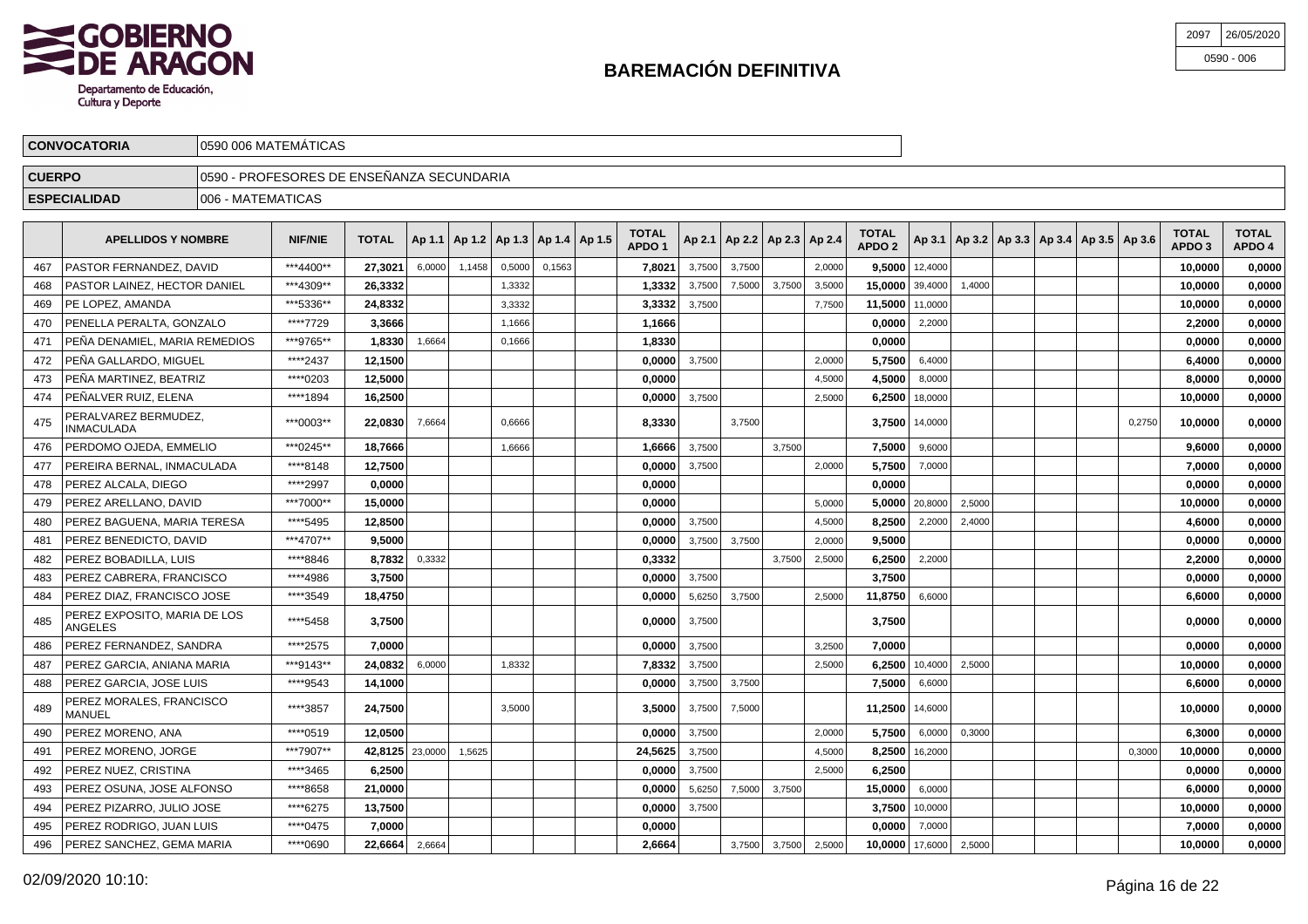

| 2097 | 26/05/2020   |
|------|--------------|
|      | $0590 - 006$ |

|               | <b>CONVOCATORIA</b>                 |                    | 0590 006 MATEMÁTICAS                        |              |        |        |        |        |                                            |                                   |                     |                                   |        |        |                                   |                    |        |  |                                                     |                                   |                        |
|---------------|-------------------------------------|--------------------|---------------------------------------------|--------------|--------|--------|--------|--------|--------------------------------------------|-----------------------------------|---------------------|-----------------------------------|--------|--------|-----------------------------------|--------------------|--------|--|-----------------------------------------------------|-----------------------------------|------------------------|
| <b>CUERPO</b> |                                     |                    | 10590 - PROFESORES DE ENSEÑANZA SECUNDARIA. |              |        |        |        |        |                                            |                                   |                     |                                   |        |        |                                   |                    |        |  |                                                     |                                   |                        |
|               | <b>ESPECIALIDAD</b>                 | 1006 - MATEMATICAS |                                             |              |        |        |        |        |                                            |                                   |                     |                                   |        |        |                                   |                    |        |  |                                                     |                                   |                        |
|               | <b>APELLIDOS Y NOMBRE</b>           |                    | <b>NIF/NIE</b>                              | <b>TOTAL</b> |        |        |        |        | Ap 1.1   Ap 1.2   Ap 1.3   Ap 1.4   Ap 1.5 | <b>TOTAL</b><br>APDO <sub>1</sub> |                     | Ap 2.1   Ap 2.2   Ap 2.3   Ap 2.4 |        |        | <b>TOTAL</b><br>APDO <sub>2</sub> |                    |        |  | Ap 3.1   Ap 3.2   Ap 3.3   Ap 3.4   Ap 3.5   Ap 3.6 | <b>TOTAL</b><br>APDO <sub>3</sub> | <b>TOTAL</b><br>APDO 4 |
| 467           | <b>PASTOR FERNANDEZ, DAVID</b>      |                    | ***4400**                                   | 27,3021      | 6,0000 | 1,1458 | 0,5000 | 0,1563 |                                            | 7,8021                            | 3,7500              | 3,7500                            |        | 2,0000 |                                   | $9,5000$   12,4000 |        |  |                                                     | 10,0000                           | 0,0000                 |
| 468           | <b>PASTOR LAINEZ, HECTOR DANIEL</b> |                    | ***4309**                                   | 26,3332      |        |        | 1,3332 |        |                                            | 1.3332                            | 3,7500              | 7,5000                            | 3,7500 | 3,5000 | $15,0000$   39,4000               |                    | 1,4000 |  |                                                     | 10,0000                           | 0,0000                 |
| 469           | <b>IPE LOPEZ, AMANDA</b>            |                    | ***5336**                                   | 24,8332      |        |        | 3,3332 |        |                                            | 3,3332                            | 3,7500              |                                   |        | 7,7500 | 11,5000 11,0000                   |                    |        |  |                                                     | 10,0000                           | 0,0000                 |
| 470           | PENELLA PERALTA, GONZALO            |                    | ****7729                                    | 3.3666       |        |        | 1,1666 |        |                                            | 1.1666 l                          |                     |                                   |        |        | 0,0000                            | 2,2000             |        |  |                                                     | 2,2000                            | 0,0000                 |
| 471           | PEÑA DENAMIEL, MARIA REMEDIOS       |                    | ***9765**                                   | 1,8330       | 1,6664 |        | 0,1666 |        |                                            | 1.8330                            |                     |                                   |        |        | 0.0000                            |                    |        |  |                                                     | 0,0000                            | 0,0000                 |
|               | 472 PEÑA GALLARDO MIGUEL            |                    | *****2437                                   | 12 1500      |        |        |        |        |                                            |                                   | $0.00001 - 3.75001$ |                                   |        | 20000  |                                   | $57500$ 64000      |        |  |                                                     | 64000                             | n nnnn l               |

| 469 | PE LOPEZ, AMANDA                          | ***5336** | 24.8332 |         |        | 3,3332 | 3.3332  | 3,7500 |        |        | 7.7500 | 11.5000 11,0000 |                |        |  |        | 10.0000 | 0.0000 |
|-----|-------------------------------------------|-----------|---------|---------|--------|--------|---------|--------|--------|--------|--------|-----------------|----------------|--------|--|--------|---------|--------|
| 470 | PENELLA PERALTA. GONZALO                  | ****7729  | 3,3666  |         |        | 1.1666 | 1,1666  |        |        |        |        | 0.0000          | 2,2000         |        |  |        | 2,2000  | 0,0000 |
| 471 | PEÑA DENAMIEL, MARIA REMEDIOS             | ***9765** | 1,8330  | 1,6664  |        | 0,1666 | 1,8330  |        |        |        |        | 0.0000          |                |        |  |        | 0,0000  | 0,0000 |
| 472 | PEÑA GALLARDO. MIGUEL                     | ****2437  | 12.1500 |         |        |        | 0.0000  | 3,7500 |        |        | 2,0000 | 5.7500          | 6,4000         |        |  |        | 6.4000  | 0,0000 |
| 473 | PEÑA MARTINEZ. BEATRIZ                    | ****0203  | 12,5000 |         |        |        | 0.0000  |        |        |        | 4,5000 | 4.5000          | 8,0000         |        |  |        | 8.0000  | 0,0000 |
| 474 | PEÑALVER RUIZ. ELENA                      | ****1894  | 16,2500 |         |        |        | 0,0000  | 3,7500 |        |        | 2,5000 | 6,2500          | 18,0000        |        |  |        | 10,0000 | 0,0000 |
| 475 | PERALVAREZ BERMUDEZ.<br><b>INMACULADA</b> | ***0003** | 22,0830 | 7,6664  |        | 0.6666 | 8,3330  |        | 3,7500 |        |        |                 | 3,7500 14,0000 |        |  | 0,2750 | 10,0000 | 0,0000 |
| 476 | PERDOMO OJEDA. EMMELIO                    | ***0245** | 18.7666 |         |        | 1,6666 | 1,6666  | 3,7500 |        | 3,7500 |        | 7.5000          | 9,6000         |        |  |        | 9.6000  | 0,0000 |
| 477 | PEREIRA BERNAL. INMACULADA                | ****8148  | 12,7500 |         |        |        | 0.0000  | 3.7500 |        |        | 2.0000 | 5.7500          | 7,0000         |        |  |        | 7.0000  | 0,0000 |
| 478 | PEREZ ALCALA, DIEGO                       | ****2997  | 0,0000  |         |        |        | 0,0000  |        |        |        |        | 0.0000          |                |        |  |        | 0,0000  | 0,0000 |
| 479 | PEREZ ARELLANO, DAVID                     | ***7000** | 15.0000 |         |        |        | 0.0000  |        |        |        | 5,0000 | 5.0000          | 20,8000        | 2,5000 |  |        | 10.0000 | 0.0000 |
| 480 | PEREZ BAGUENA, MARIA TERESA               | ****5495  | 12.8500 |         |        |        | 0.0000  | 3.7500 |        |        | 4.5000 | 8.2500          | 2,2000         | 2.4000 |  |        | 4.6000  | 0,0000 |
| 481 | PEREZ BENEDICTO, DAVID                    | ***4707** | 9,5000  |         |        |        | 0.0000  | 3,7500 | 3,7500 |        | 2,0000 | 9,5000          |                |        |  |        | 0.0000  | 0,0000 |
| 482 | PEREZ BOBADILLA, LUIS                     | ****8846  | 8,7832  | 0,3332  |        |        | 0,3332  |        |        | 3,7500 | 2,5000 | 6,2500          | 2,2000         |        |  |        | 2,2000  | 0,0000 |
| 483 | PEREZ CABRERA. FRANCISCO                  | ****4986  | 3.7500  |         |        |        | 0.0000  | 3.7500 |        |        |        | 3.7500          |                |        |  |        | 0.0000  | 0,0000 |
| 484 | PEREZ DIAZ, FRANCISCO JOSE                | ****3549  | 18.4750 |         |        |        | 0,0000  | 5,6250 | 3,7500 |        | 2,5000 | 11.8750         | 6,6000         |        |  |        | 6.6000  | 0,0000 |
| 485 | PEREZ EXPOSITO, MARIA DE LOS<br>ANGELES   | ****5458  | 3,7500  |         |        |        | 0,0000  | 3.7500 |        |        |        | 3,7500          |                |        |  |        | 0.0000  | 0,0000 |
| 486 | PEREZ FERNANDEZ. SANDRA                   | ****2575  | 7.0000  |         |        |        | 0.0000  | 3.7500 |        |        | 3.2500 | 7.0000          |                |        |  |        | 0.0000  | 0,0000 |
| 487 | PEREZ GARCIA, ANIANA MARIA                | ***9143** | 24,0832 | 6,0000  |        | 1,8332 | 7,8332  | 3,7500 |        |        | 2,5000 | 6.2500          | 10,4000        | 2,5000 |  |        | 10,0000 | 0,0000 |
| 488 | PEREZ GARCIA, JOSE LUIS                   | ****9543  | 14,1000 |         |        |        | 0,0000  | 3,7500 | 3,7500 |        |        | 7,5000          | 6,6000         |        |  |        | 6.6000  | 0,0000 |
| 489 | PEREZ MORALES, FRANCISCO<br>MANUEL        | ****3857  | 24,7500 |         |        | 3.5000 | 3.5000  | 3,7500 | 7,5000 |        |        | 11.2500 14,6000 |                |        |  |        | 10,0000 | 0,0000 |
| 490 | PEREZ MORENO, ANA                         | ****0519  | 12.0500 |         |        |        | 0,0000  | 3.7500 |        |        | 2.0000 | 5.7500          | 6,0000         | 0.3000 |  |        | 6.3000  | 0,0000 |
| 491 | PEREZ MORENO. JORGE                       | ***7907** | 42.8125 | 23,0000 | 1,5625 |        | 24,5625 | 3,7500 |        |        | 4,5000 | 8.2500          | 16,2000        |        |  | 0,3000 | 10.0000 | 0,0000 |
| 492 | <b>PEREZ NUEZ, CRISTINA</b>               | ****3465  | 6,2500  |         |        |        | 0,0000  | 3,7500 |        |        | 2,5000 | 6,2500          |                |        |  |        | 0,0000  | 0,0000 |
| 493 | PEREZ OSUNA. JOSE ALFONSO                 | ****8658  | 21.0000 |         |        |        | 0.0000  | 5,6250 | 7,5000 | 3,7500 |        | 15.0000         | 6,0000         |        |  |        | 6.0000  | 0,0000 |
| 494 | PEREZ PIZARRO. JULIO JOSE                 | ****6275  | 13,7500 |         |        |        | 0.0000  | 3,7500 |        |        |        | 3.7500          | 10,0000        |        |  |        | 10.0000 | 0,0000 |
| 495 | PEREZ RODRIGO, JUAN LUIS                  | ****0475  | 7,0000  |         |        |        | 0,0000  |        |        |        |        | 0.0000          | 7,0000         |        |  |        | 7,0000  | 0,0000 |
| 496 | PEREZ SANCHEZ, GEMA MARIA                 | ****0690  | 22.6664 | 2,6664  |        |        | 2.6664  |        | 3,7500 | 3,7500 | 2,5000 | 10.0000         | 17,6000        | 2,5000 |  |        | 10.0000 | 0.0000 |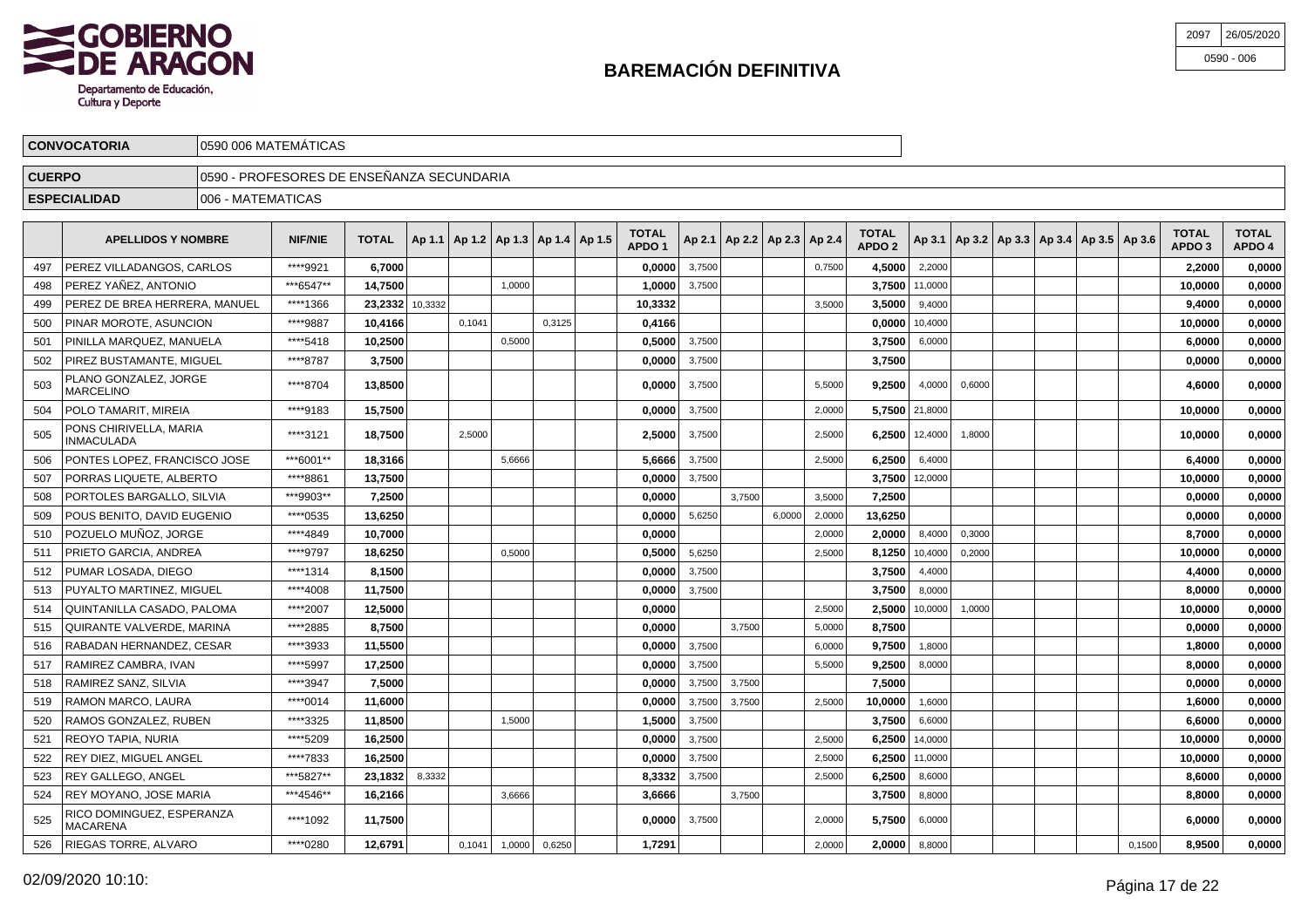

| 2097 | 26/05/2020   |
|------|--------------|
|      | $0590 - 006$ |

|               | <b>CONVOCATORIA</b>                                                                                                                                                                                                                | 10590 006 MATEMATICAS                      |           |                 |  |        |        |        |  |         |        |  |  |        |        |                    |                                                     |                                   |                        |         |        |
|---------------|------------------------------------------------------------------------------------------------------------------------------------------------------------------------------------------------------------------------------------|--------------------------------------------|-----------|-----------------|--|--------|--------|--------|--|---------|--------|--|--|--------|--------|--------------------|-----------------------------------------------------|-----------------------------------|------------------------|---------|--------|
| <b>CUERPO</b> |                                                                                                                                                                                                                                    | 10590 - PROFESORES DE ENSEÑANZA SECUNDARIA |           |                 |  |        |        |        |  |         |        |  |  |        |        |                    |                                                     |                                   |                        |         |        |
|               | <b>ESPECIALIDAD</b>                                                                                                                                                                                                                | 1006 - MATEMATICAS                         |           |                 |  |        |        |        |  |         |        |  |  |        |        |                    |                                                     |                                   |                        |         |        |
|               | <b>TOTAL</b><br><b>TOTAL</b><br>    Ap 1.1   Ap 1.2   Ap 1.3   Ap 1.4   Ap 1.5  <br>  Ap 2.1   Ap 2.2   Ap 2.3   Ap 2.4  <br><b>NIF/NIE</b><br><b>TOTAL</b><br><b>APELLIDOS Y NOMBRE</b><br>APDO <sub>2</sub><br>APDO <sub>1</sub> |                                            |           |                 |  |        |        |        |  |         |        |  |  |        |        |                    | Ap 3.1   Ap 3.2   Ap 3.3   Ap 3.4   Ap 3.5   Ap 3.6 | <b>TOTAL</b><br>APDO <sub>3</sub> | <b>TOTAL</b><br>APDO 4 |         |        |
| 497           | <b>PEREZ VILLADANGOS, CARLOS</b>                                                                                                                                                                                                   |                                            | ****9921  | 6.7000          |  |        |        |        |  | 0.0000  | 3,7500 |  |  | 0,7500 | 4.5000 | 2,2000             |                                                     |                                   |                        | 2.2000  | 0,0000 |
| 498           | PEREZ YAÑEZ, ANTONIO                                                                                                                                                                                                               |                                            | ***6547** | 14.7500         |  |        | 1,0000 |        |  | 1.0000  | 3,7500 |  |  |        |        | $3.7500$   11,0000 |                                                     |                                   |                        | 10.0000 | 0,0000 |
| 499           | <b>PEREZ DE BREA HERRERA, MANUEL</b>                                                                                                                                                                                               |                                            | ****1366  | 23,2332 10,3332 |  |        |        |        |  | 10,3332 |        |  |  | 3,5000 |        | $3,5000$   9,4000  |                                                     |                                   |                        | 9.4000  | 0,0000 |
| 500           | <b>PINAR MOROTE, ASUNCION</b>                                                                                                                                                                                                      |                                            | ****9887  | 10.4166         |  | 0,1041 |        | 0,3125 |  | 0,4166  |        |  |  |        |        | $0.0000$   10,4000 |                                                     |                                   |                        | 10.0000 | 0,0000 |
|               |                                                                                                                                                                                                                                    |                                            |           |                 |  |        |        |        |  |         |        |  |  |        |        |                    |                                                     |                                   |                        |         |        |

| 500 | PINAR MOROTE, ASUNCION                       | ****9887  | 10.4166 |        | 0.1041 |        | 0.3125 | 0.4166 |        |        |        |        | 0.0000             | 10.4000 |        |  |        | 10.0000 | 0,0000 |
|-----|----------------------------------------------|-----------|---------|--------|--------|--------|--------|--------|--------|--------|--------|--------|--------------------|---------|--------|--|--------|---------|--------|
| 501 | PINILLA MARQUEZ. MANUELA                     | ****5418  | 10,2500 |        |        | 0.5000 |        | 0.5000 | 3.7500 |        |        |        | 3.7500             | 6,0000  |        |  |        | 6.0000  | 0,0000 |
| 502 | PIREZ BUSTAMANTE, MIGUEL                     | ****8787  | 3,7500  |        |        |        |        | 0,0000 | 3,7500 |        |        |        | 3,7500             |         |        |  |        | 0,0000  | 0,0000 |
| 503 | PLANO GONZALEZ. JORGE<br><b>MARCELINO</b>    | ****8704  | 13,8500 |        |        |        |        | 0,0000 | 3,7500 |        |        | 5.5000 | 9.2500             | 4,0000  | 0.6000 |  |        | 4,6000  | 0,0000 |
| 504 | POLO TAMARIT, MIREIA                         | ****9183  | 15.7500 |        |        |        |        | 0,0000 | 3,7500 |        |        | 2,0000 | 5,7500 21,8000     |         |        |  |        | 10,0000 | 0,0000 |
| 505 | PONS CHIRIVELLA, MARIA<br><b>INMACULADA</b>  | ****3121  | 18,7500 |        | 2,5000 |        |        | 2,5000 | 3,7500 |        |        | 2,5000 | $6,2500$   12,4000 |         | 1,8000 |  |        | 10.0000 | 0,0000 |
| 506 | PONTES LOPEZ. FRANCISCO JOSE                 | ***6001** | 18,3166 |        |        | 5.6666 |        | 5.6666 | 3,7500 |        |        | 2,5000 | 6.2500             | 6,4000  |        |  |        | 6.4000  | 0,0000 |
| 507 | PORRAS LIQUETE, ALBERTO                      | ****8861  | 13,7500 |        |        |        |        | 0,0000 | 3,7500 |        |        |        | 3,7500             | 12,0000 |        |  |        | 10,0000 | 0,0000 |
| 508 | PORTOLES BARGALLO, SILVIA                    | ***9903** | 7.2500  |        |        |        |        | 0.0000 |        | 3,7500 |        | 3,5000 | 7.2500             |         |        |  |        | 0.0000  | 0,0000 |
| 509 | POUS BENITO, DAVID EUGENIO                   | ****0535  | 13.6250 |        |        |        |        | 0.0000 | 5.6250 |        | 6.0000 | 2,0000 | 13.6250            |         |        |  |        | 0.0000  | 0,0000 |
| 510 | POZUELO MUÑOZ. JORGE                         | ****4849  | 10.7000 |        |        |        |        | 0.0000 |        |        |        | 2,0000 | 2.0000             | 8,4000  | 0,3000 |  |        | 8,7000  | 0,0000 |
| 511 | PRIETO GARCIA, ANDREA                        | ****9797  | 18,6250 |        |        | 0,5000 |        | 0,5000 | 5,6250 |        |        | 2,5000 | 8,1250             | 10,4000 | 0,2000 |  |        | 10,0000 | 0,0000 |
| 512 | PUMAR LOSADA, DIEGO                          | ****1314  | 8.1500  |        |        |        |        | 0.0000 | 3,7500 |        |        |        | 3.7500             | 4,4000  |        |  |        | 4.4000  | 0,0000 |
| 513 | PUYALTO MARTINEZ. MIGUEL                     | ****4008  | 11.7500 |        |        |        |        | 0.0000 | 3,7500 |        |        |        | 3.7500             | 8,0000  |        |  |        | 8.0000  | 0,0000 |
| 514 | QUINTANILLA CASADO. PALOMA                   | ****2007  | 12.5000 |        |        |        |        | 0,0000 |        |        |        | 2.5000 | 2.5000             | 10,0000 | 1.0000 |  |        | 10.0000 | 0,0000 |
| 515 | QUIRANTE VALVERDE, MARINA                    | ****2885  | 8.7500  |        |        |        |        | 0.0000 |        | 3.7500 |        | 5,0000 | 8.7500             |         |        |  |        | 0.0000  | 0,0000 |
| 516 | RABADAN HERNANDEZ, CESAR                     | ****3933  | 11,5500 |        |        |        |        | 0,0000 | 3,7500 |        |        | 6,0000 | 9.7500             | 1,8000  |        |  |        | 1,8000  | 0,0000 |
| 517 | RAMIREZ CAMBRA. IVAN                         | ****5997  | 17.2500 |        |        |        |        | 0.0000 | 3,7500 |        |        | 5,5000 | 9.2500             | 8,0000  |        |  |        | 8.0000  | 0.0000 |
| 518 | RAMIREZ SANZ, SILVIA                         | ****3947  | 7.5000  |        |        |        |        | 0.0000 | 3.7500 | 3,7500 |        |        | 7.5000             |         |        |  |        | 0.0000  | 0,0000 |
| 519 | RAMON MARCO, LAURA                           | ****0014  | 11.6000 |        |        |        |        | 0,0000 | 3.7500 | 3,7500 |        | 2.5000 | 10.0000            | 1.6000  |        |  |        | 1.6000  | 0,0000 |
| 520 | RAMOS GONZALEZ, RUBEN                        | ****3325  | 11.8500 |        |        | 1.5000 |        | 1,5000 | 3,7500 |        |        |        | 3.7500             | 6,6000  |        |  |        | 6.6000  | 0,0000 |
| 521 | REOYO TAPIA, NURIA                           | ****5209  | 16,2500 |        |        |        |        | 0,0000 | 3,7500 |        |        | 2,5000 | 6.2500             | 14,0000 |        |  |        | 10,0000 | 0,0000 |
| 522 | <b>REY DIEZ. MIGUEL ANGEL</b>                | ****7833  | 16.2500 |        |        |        |        | 0,0000 | 3,7500 |        |        | 2,5000 | 6.2500             | 11,0000 |        |  |        | 10.0000 | 0,0000 |
| 523 | REY GALLEGO. ANGEL                           | ***5827** | 23.1832 | 8,3332 |        |        |        | 8,3332 | 3,7500 |        |        | 2,5000 | 6.2500             | 8,6000  |        |  |        | 8.6000  | 0,0000 |
| 524 | REY MOYANO, JOSE MARIA                       | ***4546** | 16.2166 |        |        | 3.6666 |        | 3,6666 |        | 3,7500 |        |        | 3.7500             | 8,8000  |        |  |        | 8.8000  | 0,0000 |
| 525 | RICO DOMINGUEZ, ESPERANZA<br><b>MACARENA</b> | ****1092  | 11,7500 |        |        |        |        | 0,0000 | 3.7500 |        |        | 2,0000 | 5.7500             | 6,0000  |        |  |        | 6.0000  | 0,0000 |
| 526 | RIEGAS TORRE, ALVARO                         | ****0280  | 12.6791 |        | 0.1041 | 1.0000 | 0,6250 | 1.7291 |        |        |        | 2.0000 | 2.0000             | 8,8000  |        |  | 0.1500 | 8.9500  | 0,0000 |
|     |                                              |           |         |        |        |        |        |        |        |        |        |        |                    |         |        |  |        |         |        |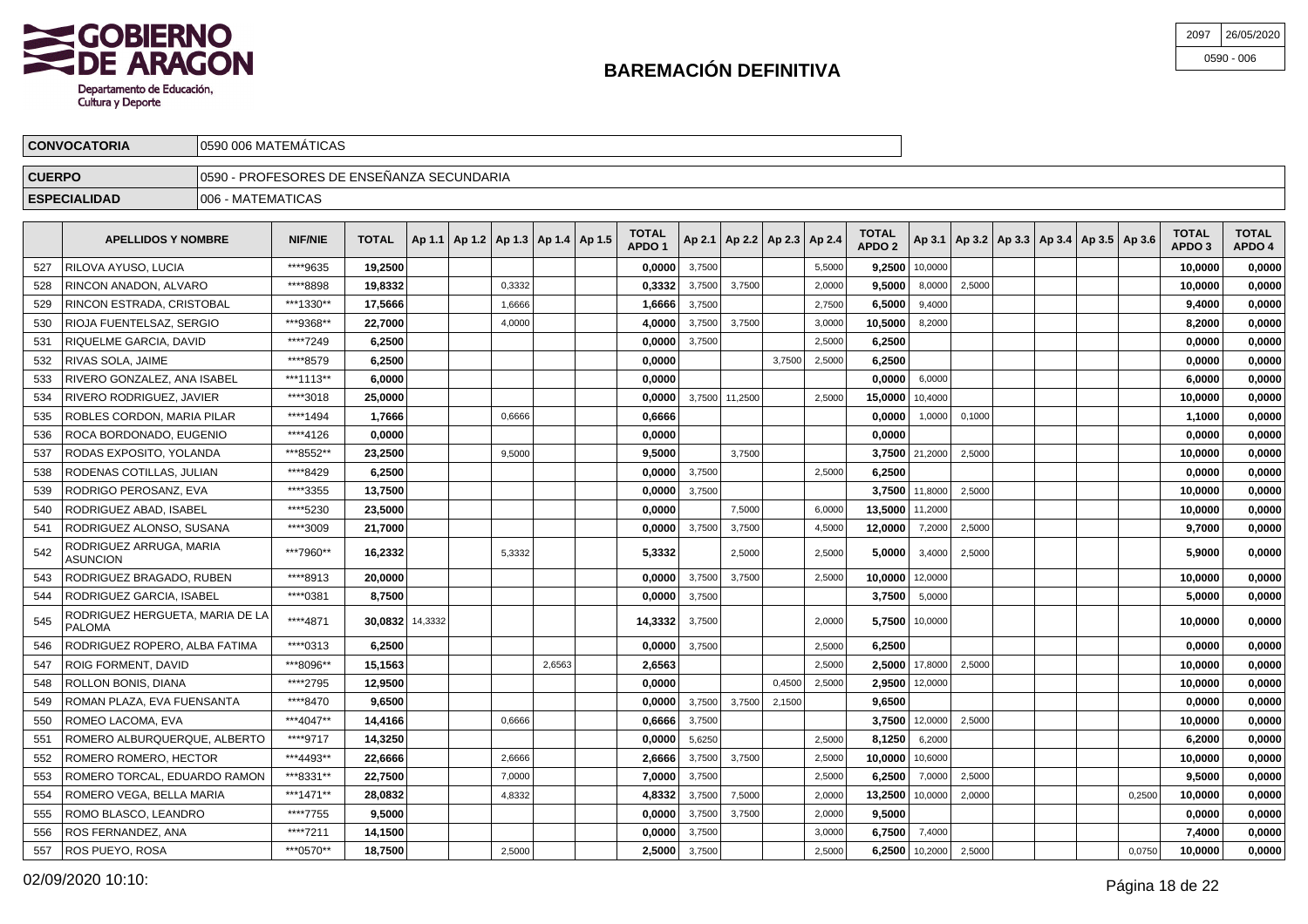

ROBLES CORDON, MARIA PILAR

ROCA BORDONADO, EUGENIO

RODAS EXPOSITO, YOLANDA

RODENAS COTILLAS, JULIAN

RODRIGUEZ ALONSO, SUSANA

RODRIGUEZ BRAGADO, RUBEN

RODRIGUEZ ROPERO, ALBA FATIMA

ROMAN PLAZA, EVA FUENSANTA

ROMERO ROMERO, HECTOR

ROMERO VEGA, BELLA MARIA

ROMO BLASCO, LEANDRO

ROS FERNANDEZ, ANA

ROS PUEYO, ROSA

ROMERO ALBURQUERQUE, ALBERTO

ROMERO TORCAL, EDUARDO RAMON

ROIG FORMENT, DAVID

ROLLON BONIS, DIANA

ROMEO LACOMA, EVA

RODRIGO PEROSANZ, EVA

\*\*\*\*1494 **1,7666** 0,6666 **0,6666 0,0000** 1,0000 0,1000 **1,1000 0,0000**

\*\*\*\*4126 **0,0000 0,0000 0,0000 0,0000 0,0000**

\*\*\*8552\*\* **23,2500** 9,5000 **9,5000** 3,7500 **3,7500** 21,2000 2,5000 **10,0000 0,0000**

\*\*\*\*8429 **6,2500 0,0000** 3,7500 2,5000 **6,2500 0,0000 0,0000**

\*\*\*\*3009 **21,7000 0,0000** 3,7500 3,7500 4,5000 **12,0000** 7,2000 2,5000 **9,7000 0,0000**

\*\*\*\*8913 **20,0000 0,0000** 3,7500 3,7500 2,5000 **10,0000** 12,0000 **10,0000 0,0000**

\*\*\*\*0313 **6,2500 0,0000** 3,7500 2,5000 **6,2500 0,0000 0,0000**

\*\*\*\*8470 **9,6500 0,0000** 3,7500 3,7500 2,1500 **9,6500 0,0000 0,0000**

\*\*\*4493\*\* **22,6666** 2,6666 **2,6666** 3,7500 3,7500 2,5000 **10,0000** 10,6000 **10,0000 0,0000**

\*\*\*1471\*\* **28,0832** 4,8332 **4,8332** 3,7500 7,5000 2,0000 **13,2500** 10,0000 2,0000 0,2500 **10,0000 0,0000**

\*\*\*\*7755 **9,5000 0,0000** 3,7500 3,7500 2,0000 **9,5000 0,0000 0,0000**

\*\*\*\*7211 **14,1500 0,0000** 3,7500 3,0000 **6,7500** 7,4000 **7,4000 0,0000**

\*\*\*0570\*\* **18,7500** 2,5000 **2,5000** 3,7500 2,5000 **6,2500** 10,2000 2,5000 0,0750 **10,0000 0,0000**

\*\*\*\*9717 **14,3250 0,0000** 5,6250 2,5000 **8,1250** 6,2000 **6,2000 0,0000**

\*\*\*8331\*\* **22,7500** 7,0000 **7,0000** 3,7500 2,5000 **6,2500** 7,0000 2,5000 **9,5000 0,0000**

\*\*\*8096\*\* **15,1563** 2,6563 **2,6563** 2,5000 **2,5000** 17,8000 2,5000 **10,0000 0,0000**

\*\*\*\*2795 **12,9500 0,0000** 0,4500 2,5000 **2,9500** 12,0000 **10,0000 0,0000**

\*\*\*4047\*\* **14,4166** 0,6666 **0,6666** 3,7500 **3,7500** 12,0000 2,5000 **10,0000 0,0000**

\*\*\*\*3355 **13,7500 0,0000** 3,7500 **3,7500** 11,8000 2,5000 **10,0000 0,0000**

| 2097 | 26/05/2020   |
|------|--------------|
|      | $0590 - 006$ |

|               | <b>CONVOCATORIA</b>         | 0590 006 MATEMÁTICAS                      |           |              |  |                                            |  |                                   |        |                                   |        |        |                                   |         |        |                                                     |  |                                   |                        |
|---------------|-----------------------------|-------------------------------------------|-----------|--------------|--|--------------------------------------------|--|-----------------------------------|--------|-----------------------------------|--------|--------|-----------------------------------|---------|--------|-----------------------------------------------------|--|-----------------------------------|------------------------|
| <b>CUERPO</b> |                             | 0590 - PROFESORES DE ENSEÑANZA SECUNDARIA |           |              |  |                                            |  |                                   |        |                                   |        |        |                                   |         |        |                                                     |  |                                   |                        |
|               | <b>ESPECIALIDAD</b>         | 1006 - MATEMATICAS                        |           |              |  |                                            |  |                                   |        |                                   |        |        |                                   |         |        |                                                     |  |                                   |                        |
|               | <b>APELLIDOS Y NOMBRE</b>   |                                           | NIF/NIE   | <b>TOTAL</b> |  | Ap 1.1   Ap 1.2   Ap 1.3   Ap 1.4   Ap 1.5 |  | <b>TOTAL</b><br>APDO <sub>1</sub> |        | Ap 2.1   Ap 2.2   Ap 2.3   Ap 2.4 |        |        | <b>TOTAL</b><br>APDO <sub>2</sub> |         |        | Ap 3.1   Ap 3.2   Ap 3.3   Ap 3.4   Ap 3.5   Ap 3.6 |  | <b>TOTAL</b><br>APDO <sub>3</sub> | <b>TOTAL</b><br>APDO 4 |
| 527           | RILOVA AYUSO, LUCIA         |                                           | ****9635  | 19,2500      |  |                                            |  | 0,0000                            | 3,7500 |                                   |        | 5,5000 | 9,2500                            | 10,0000 |        |                                                     |  | 10,0000                           | 0,0000                 |
| 528           | RINCON ANADON, ALVARO       |                                           | ****8898  | 19,8332      |  | 0,3332                                     |  | 0,3332                            | 3,7500 | 3,7500                            |        | 2,0000 | 9,5000                            | 8,0000  | 2,5000 |                                                     |  | 10,0000                           | 0,0000                 |
| 529           | RINCON ESTRADA, CRISTOBAL   |                                           | ***1330** | 17,5666      |  | 1,6666                                     |  | 1,6666                            | 3,7500 |                                   |        | 2,7500 | 6,5000                            | 9,4000  |        |                                                     |  | 9,4000                            | 0,0000                 |
| 530           | RIOJA FUENTELSAZ, SERGIO    |                                           | ***9368** | 22,7000      |  | 4,0000                                     |  | 4.0000                            | 3,7500 | 3,7500                            |        | 3,0000 | 10,5000                           | 8,2000  |        |                                                     |  | 8,2000                            | 0,0000                 |
| 531           | RIQUELME GARCIA, DAVID      |                                           | ****7249  | 6,2500       |  |                                            |  | 0,0000                            | 3,7500 |                                   |        | 2,5000 | 6,2500                            |         |        |                                                     |  | 0,0000                            | 0,0000                 |
| 532           | RIVAS SOLA, JAIME           |                                           | ****8579  | 6,2500       |  |                                            |  | 0,0000                            |        |                                   | 3,7500 | 2,5000 | 6,2500                            |         |        |                                                     |  | 0,0000                            | 0,0000                 |
| 533           | RIVERO GONZALEZ, ANA ISABEL |                                           | ***1113** | 6,0000       |  |                                            |  | 0,0000                            |        |                                   |        |        | 0,0000                            | 6,0000  |        |                                                     |  | 6,0000                            | 0,0000                 |
| 534           | RIVERO RODRIGUEZ, JAVIER    |                                           | ****3018  | 25,0000      |  |                                            |  | 0.0000                            | 3,7500 | 11,2500                           |        | 2,5000 | 15,0000                           | 10,4000 |        |                                                     |  | 10,0000                           | 0,0000                 |
|               |                             |                                           |           |              |  |                                            |  |                                   |        |                                   |        |        |                                   |         |        |                                                     |  |                                   |                        |

RODRIGUEZ ABAD, ISABEL \*\*\*\*5230 **23,5000 0,0000** 7,5000 6,0000 **13,5000** 11,2000 **10,0000 0,0000**

\*\*\*7960\*\* **16,2332** 5,3332 **5,3332** 2,5000 2,5000 **5,0000** 3,4000 2,5000 **5,9000 0,0000** RODRIGUEZ ARRUGA, MARIA ASUNCION

RODRIGUEZ GARCIA, ISABEL \*\*\*\*0381 **8,7500 0,0000** 3,7500 **3,7500** 5,0000 **5,0000 0,0000**

\*\*\*\*4871 **30,0832** 14,3332 **14,3332** 3,7500 2,0000 **5,7500** 10,0000 **10,0000 0,0000** RODRIGUEZ HERGUETA, MARIA DE LA PALOMA

02/09/2020 10:10:

535

536

537

538

539

540

541

542

543

544

545

546

547

548

549

550

551

552

553

554

555

556

557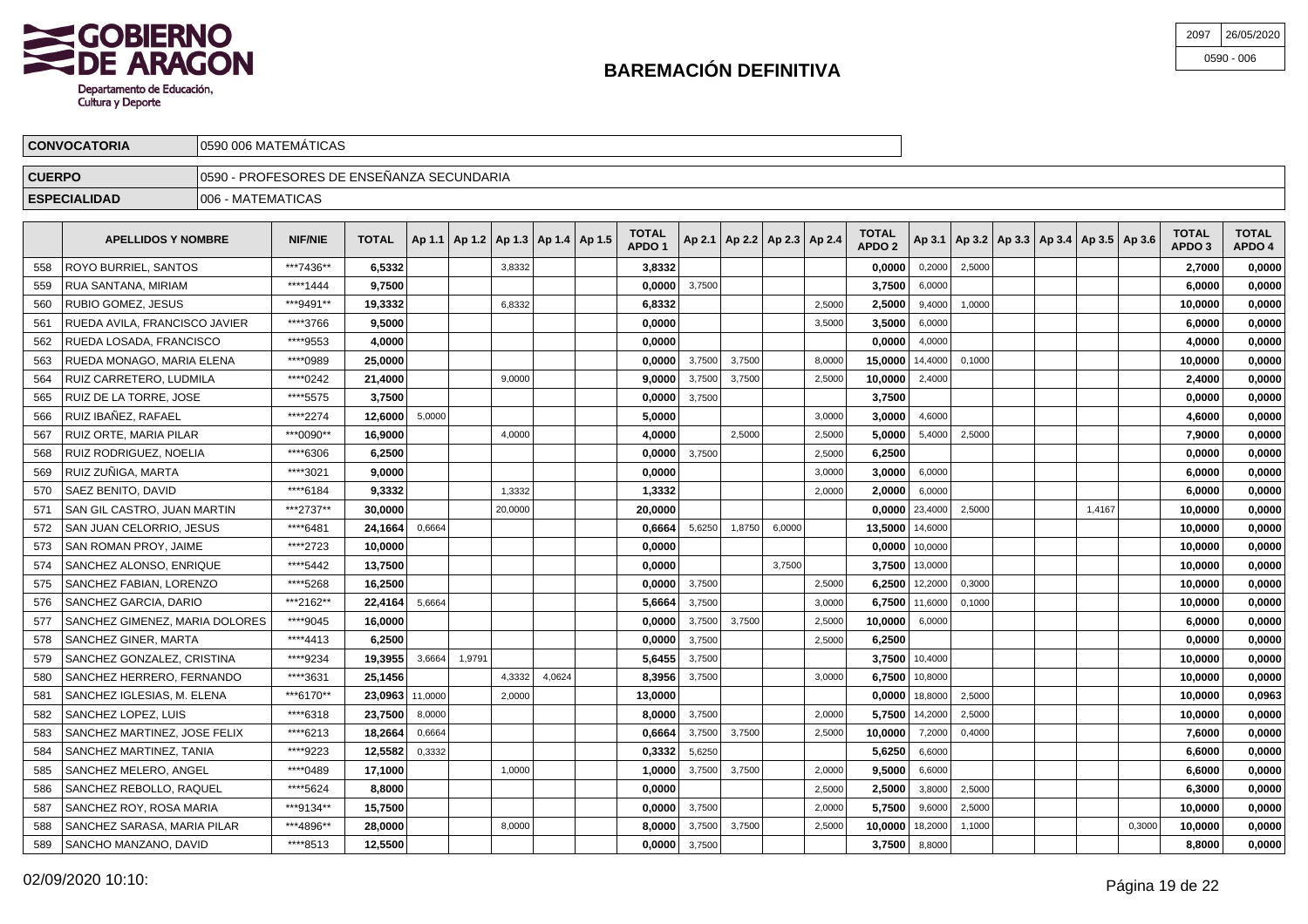

| 2097 | 26/05/2020   |
|------|--------------|
|      | $0590 - 006$ |

| <b>CONVOCATORIA</b>                                                                                                                                                                        |  |                               |                    |                      |                                       |  |                                            |                  |  |                  |                  |                                   |        |  |        |                                      |        |                                   |                        |                                                         |        |
|--------------------------------------------------------------------------------------------------------------------------------------------------------------------------------------------|--|-------------------------------|--------------------|----------------------|---------------------------------------|--|--------------------------------------------|------------------|--|------------------|------------------|-----------------------------------|--------|--|--------|--------------------------------------|--------|-----------------------------------|------------------------|---------------------------------------------------------|--------|
| <b>CUERPO</b>                                                                                                                                                                              |  |                               |                    |                      |                                       |  |                                            |                  |  |                  |                  |                                   |        |  |        |                                      |        |                                   |                        |                                                         |        |
| <b>ESPECIALIDAD</b>                                                                                                                                                                        |  |                               |                    |                      |                                       |  |                                            |                  |  |                  |                  |                                   |        |  |        |                                      |        |                                   |                        |                                                         |        |
| <b>TOTAL</b><br>Ap 2.1   Ap 2.2   Ap 2.3   Ap 2.4  <br>   Ap 1.1   Ap 1.2   Ap 1.3   Ap 1.4   Ap 1.5  <br><b>TOTAL</b><br><b>NIF/NIE</b><br><b>APELLIDOS Y NOMBRE</b><br>APDO <sub>1</sub> |  |                               |                    |                      |                                       |  |                                            |                  |  |                  |                  | <b>TOTAL</b><br>APDO <sub>2</sub> |        |  |        |                                      |        | <b>TOTAL</b><br>APDO <sub>3</sub> | <b>TOTAL</b><br>APDO 4 |                                                         |        |
| ROYO BURRIEL, SANTOS                                                                                                                                                                       |  | ***7436**                     |                    |                      |                                       |  |                                            |                  |  |                  |                  |                                   |        |  | 0,2000 |                                      |        |                                   |                        | 2.7000                                                  | 0,0000 |
| <b>RUA SANTANA, MIRIAM</b>                                                                                                                                                                 |  | ****1444                      |                    |                      |                                       |  |                                            |                  |  |                  |                  |                                   |        |  | 6,0000 |                                      |        |                                   |                        | 6.0000                                                  | 0,0000 |
| <b>RUBIO GOMEZ, JESUS</b>                                                                                                                                                                  |  | ***9491**                     |                    |                      |                                       |  |                                            |                  |  |                  |                  |                                   | 2,5000 |  |        |                                      |        |                                   |                        | 10.0000                                                 | 0,0000 |
|                                                                                                                                                                                            |  | ****3766                      |                    |                      |                                       |  |                                            |                  |  |                  |                  |                                   | 3,5000 |  | 6,0000 |                                      |        |                                   |                        | 6,0000                                                  | 0,0000 |
|                                                                                                                                                                                            |  | RUEDA AVILA, FRANCISCO JAVIER | 1006 - MATEMATICAS | 0590 006 MATEMATICAS | 6.5332<br>9.7500<br>19,3332<br>9,5000 |  | 10590 - PROFESORES DE ENSEÑANZA SECUNDARIA | 3,8332<br>6.8332 |  | 3.8332<br>6,8332 | 0.0000<br>0,0000 | 3,7500                            |        |  |        | 0.0000<br>3.7500<br>2.5000<br>3.5000 | 9,4000 | 2,5000<br>1,0000                  |                        | $ $ Ap 3.1   Ap 3.2   Ap 3.3   Ap 3.4   Ap 3.5   Ap 3.6 |        |

| 560 | RUBIO GOMEZ, JESUS             | ***9491** | 19,3332         |        |        | 6,8332  |        | 6,8332  |        |        |        | 2,5000 | 2.5000           | 9,4000           | 1,0000 |  |        |        | 10,0000 | 0,0000 |
|-----|--------------------------------|-----------|-----------------|--------|--------|---------|--------|---------|--------|--------|--------|--------|------------------|------------------|--------|--|--------|--------|---------|--------|
| 561 | RUEDA AVILA, FRANCISCO JAVIER  | ****3766  | 9.5000          |        |        |         |        | 0.0000  |        |        |        | 3,5000 | 3.5000           | 6,0000           |        |  |        |        | 6.0000  | 0,0000 |
| 562 | RUEDA LOSADA, FRANCISCO        | ****9553  | 4,0000          |        |        |         |        | 0.0000  |        |        |        |        | 0.0000           | 4.0000           |        |  |        |        | 4.0000  | 0,0000 |
| 563 | RUEDA MONAGO, MARIA ELENA      | ****0989  | 25.0000         |        |        |         |        | 0.0000  | 3,7500 | 3,7500 |        | 8.0000 | 15.0000          | 14,4000          | 0,1000 |  |        |        | 10.0000 | 0,0000 |
| 564 | RUIZ CARRETERO, LUDMILA        | ****0242  | 21,4000         |        |        | 9.0000  |        | 9,0000  | 3,7500 | 3,7500 |        | 2,5000 | 10,0000          | 2,4000           |        |  |        |        | 2,4000  | 0,0000 |
| 565 | RUIZ DE LA TORRE. JOSE         | ****5575  | 3,7500          |        |        |         |        | 0.0000  | 3.7500 |        |        |        | 3,7500           |                  |        |  |        |        | 0.0000  | 0,0000 |
| 566 | RUIZ IBAÑEZ, RAFAEL            | ****2274  | 12.6000         | 5,0000 |        |         |        | 5.0000  |        |        |        | 3,0000 | 3.0000           | 4.6000           |        |  |        |        | 4.6000  | 0,0000 |
| 567 | RUIZ ORTE. MARIA PILAR         | ***0090** | 16.9000         |        |        | 4,0000  |        | 4,0000  |        | 2,5000 |        | 2,5000 | 5.0000           | 5,4000           | 2,5000 |  |        |        | 7.9000  | 0,0000 |
| 568 | RUIZ RODRIGUEZ, NOELIA         | ****6306  | 6,2500          |        |        |         |        | 0,0000  | 3,7500 |        |        | 2,5000 | 6.2500           |                  |        |  |        |        | 0,0000  | 0,0000 |
| 569 | RUIZ ZUÑIGA, MARTA             | ****3021  | 9.0000          |        |        |         |        | 0.0000  |        |        |        | 3.0000 | 3,0000           | 6,0000           |        |  |        |        | 6.0000  | 0,0000 |
| 570 | SAEZ BENITO, DAVID             | ****6184  | 9,3332          |        |        | 1.3332  |        | 1,3332  |        |        |        | 2.0000 | 2,0000           | 6,0000           |        |  |        |        | 6.0000  | 0,0000 |
| 571 | SAN GIL CASTRO, JUAN MARTIN    | ***2737** | 30.0000         |        |        | 20,0000 |        | 20.0000 |        |        |        |        | 0.0000           | 23,4000          | 2,5000 |  | 1,4167 |        | 10.0000 | 0,0000 |
| 572 | SAN JUAN CELORRIO, JESUS       | ****6481  | 24,1664         | 0,6664 |        |         |        | 0,6664  | 5,6250 | 1,8750 | 6,0000 |        | 13,5000          | 14,6000          |        |  |        |        | 10,0000 | 0,0000 |
| 573 | SAN ROMAN PROY, JAIME          | ****2723  | 10,0000         |        |        |         |        | 0.0000  |        |        |        |        | $0.0000$ 10,0000 |                  |        |  |        |        | 10.0000 | 0,0000 |
| 574 | SANCHEZ ALONSO, ENRIQUE        | ****5442  | 13,7500         |        |        |         |        | 0,0000  |        |        | 3.7500 |        | 3.7500           | 13,0000          |        |  |        |        | 10.0000 | 0,0000 |
| 575 | SANCHEZ FABIAN, LORENZO        | ****5268  | 16,2500         |        |        |         |        | 0.0000  | 3,7500 |        |        | 2,5000 | $6.2500$ 12,2000 |                  | 0,3000 |  |        |        | 10.0000 | 0,0000 |
| 576 | SANCHEZ GARCIA, DARIO          | ***2162** | 22,4164         | 5,6664 |        |         |        | 5,6664  | 3,7500 |        |        | 3,0000 | 6,7500           | 11,6000          | 0,1000 |  |        |        | 10,0000 | 0,0000 |
| 577 | SANCHEZ GIMENEZ, MARIA DOLORES | ****9045  | 16,0000         |        |        |         |        | 0,0000  | 3,7500 | 3,7500 |        | 2.5000 | 10,0000          | 6,0000           |        |  |        |        | 6.0000  | 0,0000 |
| 578 | SANCHEZ GINER, MARTA           | ****4413  | 6,2500          |        |        |         |        | 0.0000  | 3,7500 |        |        | 2,5000 | 6.2500           |                  |        |  |        |        | 0.0000  | 0,0000 |
| 579 | SANCHEZ GONZALEZ, CRISTINA     | ****9234  | 19.3955         | 3,6664 | 1,9791 |         |        | 5.6455  | 3,7500 |        |        |        |                  | 3.7500 10,4000   |        |  |        |        | 10.0000 | 0,0000 |
| 580 | SANCHEZ HERRERO, FERNANDO      | ****3631  | 25,1456         |        |        | 4,3332  | 4,0624 | 8,3956  | 3,7500 |        |        | 3,0000 | 6.7500           | 10,8000          |        |  |        |        | 10,0000 | 0,0000 |
| 581 | SANCHEZ IGLESIAS, M. ELENA     | ***6170** | 23,0963 11,0000 |        |        | 2,0000  |        | 13,0000 |        |        |        |        |                  | $0,0000$ 18,8000 | 2,5000 |  |        |        | 10.0000 | 0,0963 |
| 582 | SANCHEZ LOPEZ, LUIS            | ****6318  | 23,7500         | 8,0000 |        |         |        | 8.0000  | 3,7500 |        |        | 2.0000 | 5.7500           | 14,2000          | 2,5000 |  |        |        | 10,0000 | 0,0000 |
| 583 | SANCHEZ MARTINEZ. JOSE FELIX   | ****6213  | 18.2664         | 0,6664 |        |         |        | 0.6664  | 3,7500 | 3,7500 |        | 2,5000 | 10,0000          | 7,2000           | 0,4000 |  |        |        | 7.6000  | 0.0000 |
| 584 | SANCHEZ MARTINEZ, TANIA        | ****9223  | 12,5582         | 0,3332 |        |         |        | 0,3332  | 5,6250 |        |        |        | 5,6250           | 6,6000           |        |  |        |        | 6,6000  | 0,0000 |
| 585 | SANCHEZ MELERO. ANGEL          | ****0489  | 17,1000         |        |        | 1,0000  |        | 1,0000  | 3,7500 | 3,7500 |        | 2,0000 | 9,5000           | 6,6000           |        |  |        |        | 6,6000  | 0,0000 |
| 586 | SANCHEZ REBOLLO, RAQUEL        | ****5624  | 8,8000          |        |        |         |        | 0.0000  |        |        |        | 2,5000 | 2,5000           | 3,8000           | 2,5000 |  |        |        | 6,3000  | 0,0000 |
| 587 | SANCHEZ ROY, ROSA MARIA        | ***9134** | 15,7500         |        |        |         |        | 0.0000  | 3,7500 |        |        | 2,0000 | 5.7500           | 9,6000           | 2,5000 |  |        |        | 10.0000 | 0,0000 |
| 588 | SANCHEZ SARASA, MARIA PILAR    | ***4896** | 28,0000         |        |        | 8,0000  |        | 8,0000  | 3,7500 | 3,7500 |        | 2,5000 | 10.0000          | 18,2000          | 1,1000 |  |        | 0,3000 | 10,0000 | 0,0000 |
| 589 | SANCHO MANZANO, DAVID          | ****8513  | 12,5500         |        |        |         |        | 0,0000  | 3,7500 |        |        |        | 3,7500 8,8000    |                  |        |  |        |        | 8.8000  | 0,0000 |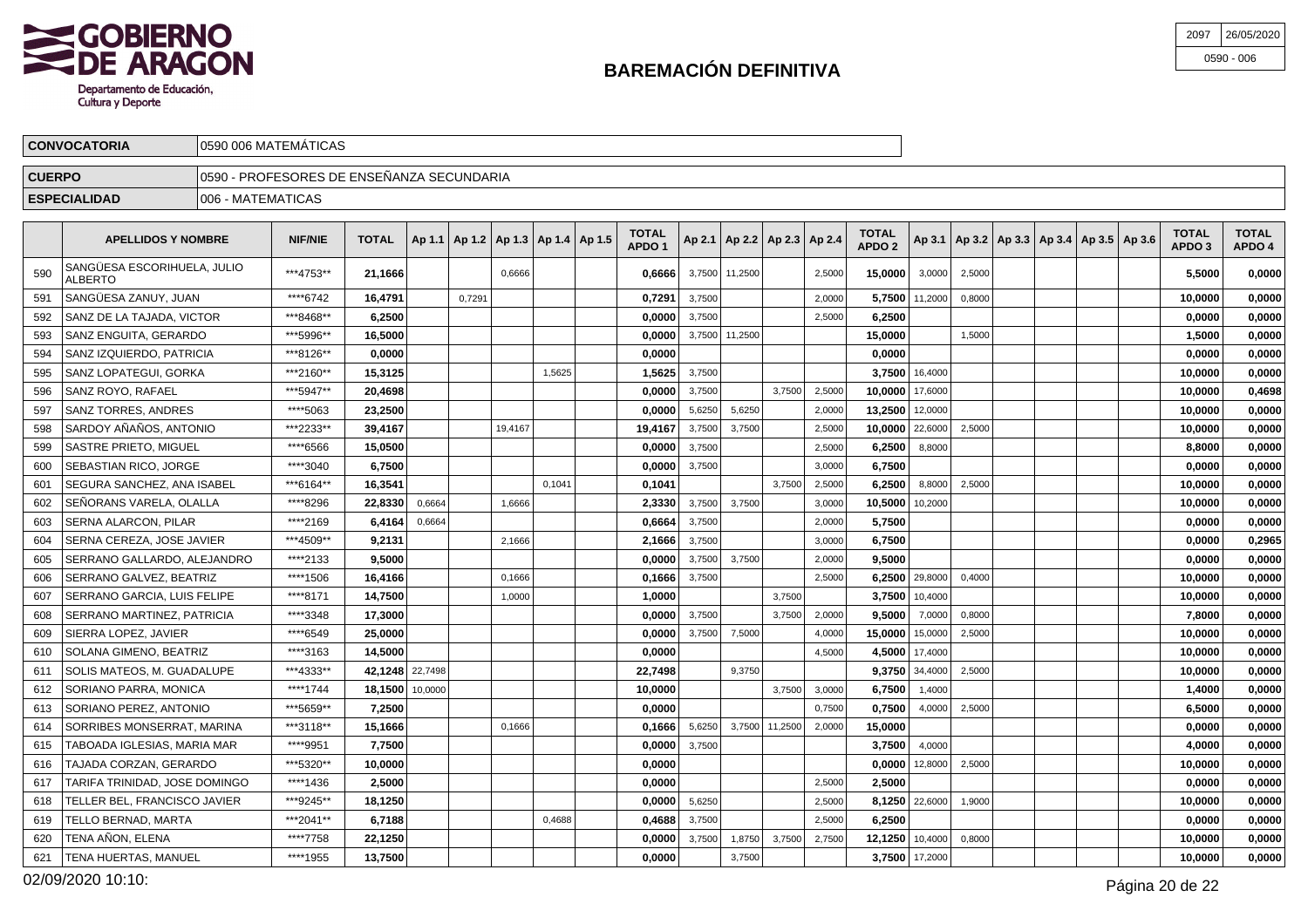

| 2097 | 26/05/2020   |
|------|--------------|
|      | $0590 - 006$ |

|               | <b>CONVOCATORIA</b>                       | 10590 006 MATEMATICAS                      |                |                                                      |  |  |  |  |  |                                   |                                       |  |  |  |                                   |                                                         |  |  |                                   |                        |
|---------------|-------------------------------------------|--------------------------------------------|----------------|------------------------------------------------------|--|--|--|--|--|-----------------------------------|---------------------------------------|--|--|--|-----------------------------------|---------------------------------------------------------|--|--|-----------------------------------|------------------------|
| <b>CUERPO</b> |                                           | ∏0590 - PROFESORES DE ENSEÑANZA SECUNDARIA |                |                                                      |  |  |  |  |  |                                   |                                       |  |  |  |                                   |                                                         |  |  |                                   |                        |
|               | <b>ESPECIALIDAD</b><br>1006 - MATEMATICAS |                                            |                |                                                      |  |  |  |  |  |                                   |                                       |  |  |  |                                   |                                                         |  |  |                                   |                        |
|               | <b>APELLIDOS Y NOMBRE</b>                 |                                            | <b>NIF/NIE</b> | TOTAL $ $ Ap 1.1   Ap 1.2   Ap 1.3   Ap 1.4   Ap 1.5 |  |  |  |  |  | <b>TOTAL</b><br>APDO <sub>1</sub> | $ $ Ap 2.1   Ap 2.2   Ap 2.3   Ap 2.4 |  |  |  | <b>TOTAL</b><br>APDO <sub>2</sub> | $ $ Ap 3.1   Ap 3.2   Ap 3.3   Ap 3.4   Ap 3.5   Ap 3.6 |  |  | <b>TOTAL</b><br>APDO <sub>3</sub> | <b>TOTAL</b><br>APDO 4 |

| 590 | SANGÜESA ESCORIHUELA, JULIO<br><b>ALBERTO</b> | ***4753** | 21,1666         |        |        | 0.6666  |        | 0.6666  | 3,7500 | 11,2500 |                | 2,5000 | 15.0000 | 3,0000         | 2,5000 |  |  | 5.5000  | 0,0000 |
|-----|-----------------------------------------------|-----------|-----------------|--------|--------|---------|--------|---------|--------|---------|----------------|--------|---------|----------------|--------|--|--|---------|--------|
| 591 | SANGÜESA ZANUY, JUAN                          | ****6742  | 16,4791         |        | 0,7291 |         |        | 0,729'  | 3,7500 |         |                | 2,0000 | 5,7500  | 11,2000        | 0,8000 |  |  | 10,0000 | 0,0000 |
| 592 | SANZ DE LA TAJADA. VICTOR                     | ***8468** | 6,2500          |        |        |         |        | 0,0000  | 3,7500 |         |                | 2,5000 | 6,2500  |                |        |  |  | 0,0000  | 0,0000 |
| 593 | SANZ ENGUITA, GERARDO                         | ***5996** | 16.5000         |        |        |         |        | 0,0000  | 3,7500 | 11,2500 |                |        | 15,0000 |                | 1,5000 |  |  | 1,5000  | 0,0000 |
| 594 | SANZ IZQUIERDO, PATRICIA                      | ***8126** | 0.0000          |        |        |         |        | 0,0000  |        |         |                |        | 0.0000  |                |        |  |  | 0,0000  | 0,0000 |
| 595 | SANZ LOPATEGUI, GORKA                         | ***2160** | 15,3125         |        |        |         | 1.5625 | 1,5625  | 3,7500 |         |                |        | 3,7500  | 16,4000        |        |  |  | 10,0000 | 0,0000 |
| 596 | SANZ ROYO, RAFAEL                             | ***5947** | 20,4698         |        |        |         |        | 0,0000  | 3,7500 |         | 3,7500         | 2,5000 | 10.0000 | 17,6000        |        |  |  | 10,0000 | 0,4698 |
| 597 | <b>SANZ TORRES, ANDRES</b>                    | ****5063  | 23,2500         |        |        |         |        | 0.0000  | 5,6250 | 5,6250  |                | 2,0000 | 13,2500 | 12,0000        |        |  |  | 10,0000 | 0,0000 |
| 598 | SARDOY AÑAÑOS, ANTONIO                        | ***2233** | 39,4167         |        |        | 19.4167 |        | 19,4167 | 3,7500 | 3,7500  |                | 2,5000 | 10.0000 | 22,6000        | 2,5000 |  |  | 10,0000 | 0,0000 |
| 599 | <b>SASTRE PRIETO, MIGUEL</b>                  | ****6566  | 15.0500         |        |        |         |        | 0,0000  | 3,7500 |         |                | 2,5000 | 6,2500  | 8,8000         |        |  |  | 8,8000  | 0,0000 |
| 600 | SEBASTIAN RICO, JORGE                         | ****3040  | 6,7500          |        |        |         |        | 0,0000  | 3,7500 |         |                | 3,0000 | 6,7500  |                |        |  |  | 0,0000  | 0,0000 |
| 601 | SEGURA SANCHEZ. ANA ISABEL                    | ***6164** | 16,3541         |        |        |         | 0.1041 | 0.1041  |        |         | 3.7500         | 2,5000 | 6.2500  | 8,8000         | 2,5000 |  |  | 10,0000 | 0,0000 |
| 602 | SEÑORANS VARELA. OLALLA                       | ****8296  | 22.8330         | 0.6664 |        | 1.6666  |        | 2,3330  | 3.7500 | 3,7500  |                | 3,0000 | 10.5000 | 10,2000        |        |  |  | 10,0000 | 0,0000 |
| 603 | SERNA ALARCON. PILAR                          | ****2169  | 6.4164          | 0.6664 |        |         |        | 0.6664  | 3.7500 |         |                | 2,0000 | 5,7500  |                |        |  |  | 0,0000  | 0,0000 |
| 604 | SERNA CEREZA, JOSE JAVIER                     | ***4509** | 9,2131          |        |        | 2.1666  |        | 2,1666  | 3.7500 |         |                | 3,0000 | 6,7500  |                |        |  |  | 0,0000  | 0,2965 |
| 605 | SERRANO GALLARDO. ALEJANDRO                   | ****2133  | 9.5000          |        |        |         |        | 0.0000  | 3.7500 | 3,7500  |                | 2.0000 | 9.5000  |                |        |  |  | 0.0000  | 0.0000 |
| 606 | SERRANO GALVEZ, BEATRIZ                       | ****1506  | 16.4166         |        |        | 0.1666  |        | 0.1666  | 3.7500 |         |                | 2.5000 | 6.2500  | 29,8000        | 0.4000 |  |  | 10,0000 | 0,0000 |
| 607 | SERRANO GARCIA. LUIS FELIPE                   | ****8171  | 14.7500         |        |        | 1.0000  |        | 1.0000  |        |         | 3.7500         |        | 3.7500  | 10,4000        |        |  |  | 10.0000 | 0,0000 |
| 608 | SERRANO MARTINEZ. PATRICIA                    | ****3348  | 17.3000         |        |        |         |        | 0.0000  | 3.7500 |         | 3.7500         | 2,0000 | 9.5000  | 7,0000         | 0.8000 |  |  | 7.8000  | 0,0000 |
| 609 | SIERRA LOPEZ. JAVIER                          | ****6549  | 25.0000         |        |        |         |        | 0.0000  | 3.7500 | 7,5000  |                | 4.0000 | 15.0000 | 15,0000        | 2,5000 |  |  | 10.0000 | 0.0000 |
| 610 | SOLANA GIMENO. BEATRIZ                        | ****3163  | 14.5000         |        |        |         |        | 0.0000  |        |         |                | 4.5000 | 4.5000  | 17,4000        |        |  |  | 10.0000 | 0,0000 |
| 611 | SOLIS MATEOS. M. GUADALUPE                    | ***4333** | 42.1248 22,7498 |        |        |         |        | 22.7498 |        | 9,3750  |                |        | 9.3750  | 34,4000        | 2,5000 |  |  | 10.0000 | 0.0000 |
| 612 | SORIANO PARRA, MONICA                         | ****1744  | 18.1500 10,0000 |        |        |         |        | 10.0000 |        |         | 3,7500         | 3,0000 | 6.7500  | 1,4000         |        |  |  | 1,4000  | 0.0000 |
| 613 | SORIANO PEREZ. ANTONIO                        | ***5659** | 7.2500          |        |        |         |        | 0.0000  |        |         |                | 0,7500 | 0.7500  | 4,0000         | 2,5000 |  |  | 6.5000  | 0.0000 |
| 614 | SORRIBES MONSERRAT, MARINA                    | ***3118** | 15,1666         |        |        | 0,1666  |        | 0,1666  | 5,6250 |         | 3,7500 11,2500 | 2,0000 | 15,0000 |                |        |  |  | 0,0000  | 0,0000 |
| 615 | TABOADA IGLESIAS. MARIA MAR                   | ****9951  | 7,7500          |        |        |         |        | 0,0000  | 3,7500 |         |                |        | 3.7500  | 4,0000         |        |  |  | 4,0000  | 0,0000 |
| 616 | TAJADA CORZAN, GERARDO                        | ***5320** | 10,0000         |        |        |         |        | 0,0000  |        |         |                |        | 0,0000  | 12,8000        | 2,5000 |  |  | 10,0000 | 0,0000 |
| 617 | TARIFA TRINIDAD, JOSE DOMINGO                 | ****1436  | 2.5000          |        |        |         |        | 0.0000  |        |         |                | 2,5000 | 2,5000  |                |        |  |  | 0,0000  | 0,0000 |
| 618 | TELLER BEL, FRANCISCO JAVIER                  | ***9245** | 18,1250         |        |        |         |        | 0,0000  | 5,6250 |         |                | 2,5000 | 8,1250  | 22,6000        | 1,9000 |  |  | 10,0000 | 0,0000 |
| 619 | <b>TELLO BERNAD. MARTA</b>                    | ***2041** | 6,7188          |        |        |         | 0,4688 | 0,4688  | 3,7500 |         |                | 2,5000 | 6.2500  |                |        |  |  | 0,0000  | 0,0000 |
| 620 | TENA AÑON. ELENA                              | ****7758  | 22,1250         |        |        |         |        | 0,0000  | 3,7500 | 1,8750  | 3,7500         | 2,7500 | 12,1250 | 10,4000        | 0,8000 |  |  | 10,0000 | 0,0000 |
| 621 | TENA HUERTAS. MANUEL                          | ****1955  | 13.7500         |        |        |         |        | 0.0000  |        | 3,7500  |                |        |         | 3,7500 17,2000 |        |  |  | 10.0000 | 0.0000 |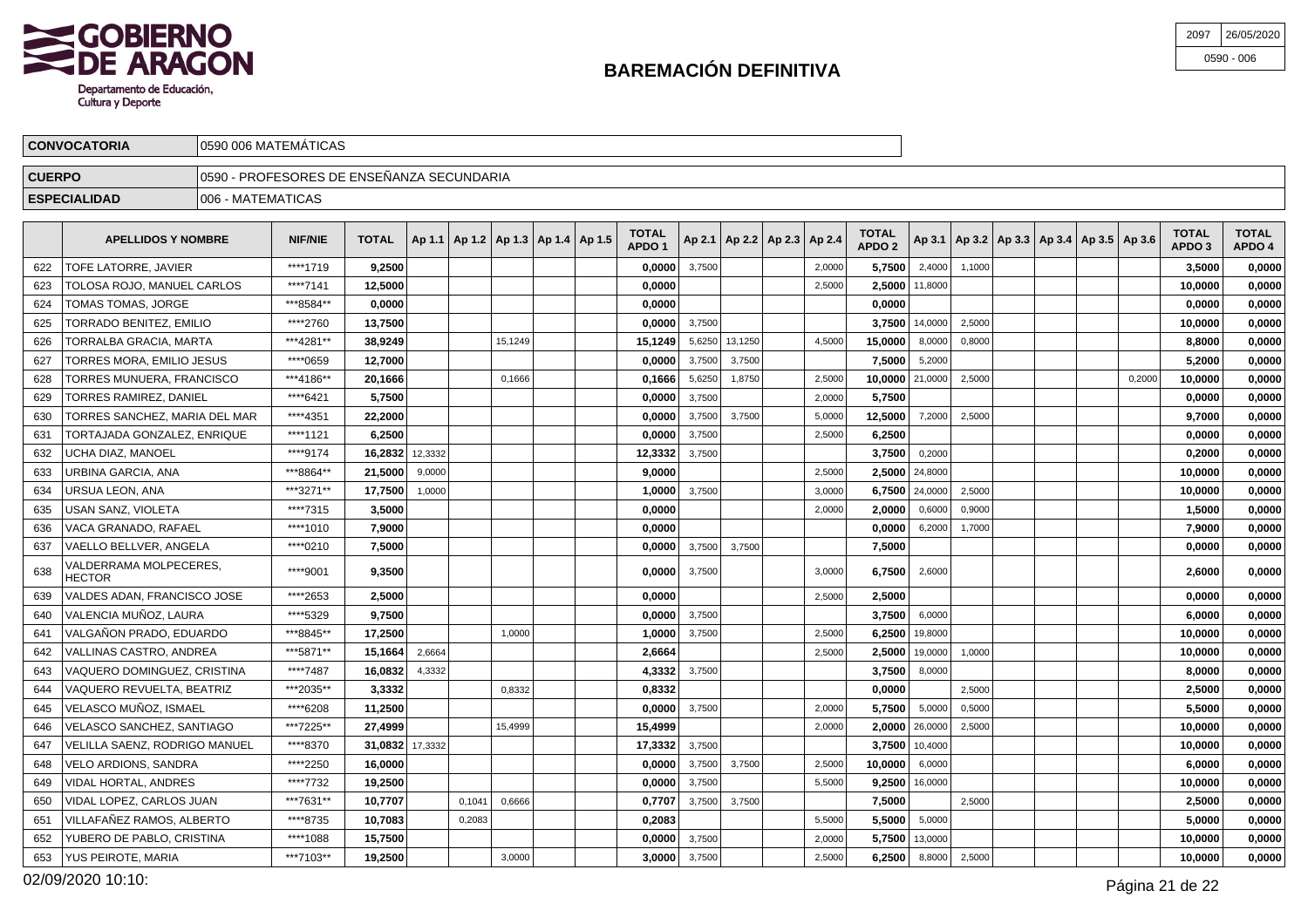

| 2097 | 26/05/2020   |
|------|--------------|
|      | $0590 - 006$ |

|               | <b>CONVOCATORIA</b>           |                   | 0590 006 MATEMATICAS                      |                  |         |  |         |  |                                            |                                   |        |                |                                   |        |                                   |                  |                                                     |  |        |                        |                        |
|---------------|-------------------------------|-------------------|-------------------------------------------|------------------|---------|--|---------|--|--------------------------------------------|-----------------------------------|--------|----------------|-----------------------------------|--------|-----------------------------------|------------------|-----------------------------------------------------|--|--------|------------------------|------------------------|
| <b>CUERPO</b> |                               |                   | 0590 - PROFESORES DE ENSEÑANZA SECUNDARIA |                  |         |  |         |  |                                            |                                   |        |                |                                   |        |                                   |                  |                                                     |  |        |                        |                        |
|               | <b>ESPECIALIDAD</b>           | 006 - MATEMATICAS |                                           |                  |         |  |         |  |                                            |                                   |        |                |                                   |        |                                   |                  |                                                     |  |        |                        |                        |
|               | <b>APELLIDOS Y NOMBRE</b>     |                   | <b>NIF/NIE</b>                            | <b>TOTAL</b>     |         |  |         |  | Ap 1.1   Ap 1.2   Ap 1.3   Ap 1.4   Ap 1.5 | <b>TOTAL</b><br>APDO <sub>1</sub> |        |                | Ap 2.1   Ap 2.2   Ap 2.3   Ap 2.4 |        | <b>TOTAL</b><br>APDO <sub>2</sub> |                  | Ap 3.1   Ap 3.2   Ap 3.3   Ap 3.4   Ap 3.5   Ap 3.6 |  |        | <b>TOTAL</b><br>APDO 3 | <b>TOTAL</b><br>APDO 4 |
| 622           | TOFE LATORRE, JAVIER          |                   | ****1719                                  | 9,2500           |         |  |         |  |                                            | 0,0000                            | 3,7500 |                |                                   | 2,0000 | 5,7500                            | 2,4000           | 1.1000                                              |  |        | 3,5000                 | 0,0000                 |
| 623           | TOLOSA ROJO, MANUEL CARLOS    |                   | ****7141                                  | 12,5000          |         |  |         |  |                                            | 0,0000                            |        |                |                                   | 2,5000 |                                   | $2,5000$ 11,8000 |                                                     |  |        | 10,0000                | 0,0000                 |
| 624           | TOMAS TOMAS, JORGE            |                   | ***8584**                                 | 0,0000           |         |  |         |  |                                            | 0,0000                            |        |                |                                   |        | 0,0000                            |                  |                                                     |  |        | 0,0000                 | 0,0000                 |
| 625           | TORRADO BENITEZ, EMILIO       |                   | ****2760                                  | 13,7500          |         |  |         |  |                                            | 0,0000                            | 3,7500 |                |                                   |        |                                   | 3,7500 14,0000   | 2,5000                                              |  |        | 10,0000                | 0,0000                 |
| 626           | TORRALBA GRACIA, MARTA        |                   | ***4281**                                 | 38,9249          |         |  | 15,1249 |  |                                            | 15,1249                           |        | 5,6250 13,1250 |                                   | 4,5000 | 15,0000                           | 8,0000           | 0,8000                                              |  |        | 8,8000                 | 0,0000                 |
| 627           | TORRES MORA, EMILIO JESUS     |                   | ****0659                                  | 12,7000          |         |  |         |  |                                            | 0,0000                            | 3,7500 | 3,7500         |                                   |        | 7,5000                            | 5,2000           |                                                     |  |        | 5,2000                 | 0,0000                 |
| 628           | TORRES MUNUERA, FRANCISCO     |                   | ***4186**                                 | 20,1666          |         |  | 0,1666  |  |                                            | 0,1666                            | 5,6250 | 1,8750         |                                   | 2,5000 | $10,0000$   21,0000               |                  | 2,5000                                              |  | 0,2000 | 10,0000                | 0,0000                 |
| 629           | TORRES RAMIREZ, DANIEL        |                   | ****6421                                  | 5,7500           |         |  |         |  |                                            | 0,0000                            | 3,7500 |                |                                   | 2,0000 | 5,7500                            |                  |                                                     |  |        | 0,0000                 | 0,0000                 |
| 630           | TORRES SANCHEZ, MARIA DEL MAR |                   | ****4351                                  | 22,2000          |         |  |         |  |                                            | 0,0000                            | 3,7500 | 3,7500         |                                   | 5,0000 | 12,5000                           | 7,2000           | 2,5000                                              |  |        | 9,7000                 | 0,0000                 |
| 631           | TORTAJADA GONZALEZ, ENRIQUE   |                   | ****1121                                  | 6,2500           |         |  |         |  |                                            | 0,0000                            | 3,7500 |                |                                   | 2,5000 | 6,2500                            |                  |                                                     |  |        | 0,0000                 | 0,0000                 |
| 632           | UCHA DIAZ, MANOEL             |                   | ****9174                                  | 16,2832          | 12,3332 |  |         |  |                                            | 12,3332                           | 3,7500 |                |                                   |        | 3,7500                            | 0,2000           |                                                     |  |        | 0,2000                 | 0,0000                 |
| 633           | URBINA GARCIA, ANA            |                   | ***8864**                                 | 21,5000   9,0000 |         |  |         |  |                                            | 9,0000                            |        |                |                                   | 2,5000 |                                   | 2,5000 24,8000   |                                                     |  |        | 10.0000                | 0,0000                 |

| 631 | TORTAJADA GONZALEZ, ENRIQUE             | ****1121  | 6.2500          |         |        |         | 0.0000  | 3,7500 |        | 2,5000 | 6.2500         |                  |        |  |  | 0.0000  | 0,0000 |
|-----|-----------------------------------------|-----------|-----------------|---------|--------|---------|---------|--------|--------|--------|----------------|------------------|--------|--|--|---------|--------|
| 632 | UCHA DIAZ, MANOEL                       | ****9174  | 16,2832         | 12,3332 |        |         | 12,3332 | 3,7500 |        |        | 3,7500         | 0,2000           |        |  |  | 0,2000  | 0,0000 |
| 633 | URBINA GARCIA, ANA                      | ***8864** | 21,5000         | 9,0000  |        |         | 9.0000  |        |        | 2,5000 | 2.5000 24,8000 |                  |        |  |  | 10,0000 | 0,0000 |
| 634 | URSUA LEON, ANA                         | ***3271** | 17.7500         | 1,0000  |        |         | 1.0000  | 3.7500 |        | 3,0000 |                | 6,7500 24,0000   | 2,5000 |  |  | 10.0000 | 0,0000 |
| 635 | <b>USAN SANZ, VIOLETA</b>               | ****7315  | 3.5000          |         |        |         | 0.0000  |        |        | 2,0000 | 2.0000         | 0,6000           | 0,9000 |  |  | 1,5000  | 0,0000 |
| 636 | VACA GRANADO. RAFAEL                    | ****1010  | 7.9000          |         |        |         | 0.0000  |        |        |        | 0.0000         | 6,2000           | 1,7000 |  |  | 7,9000  | 0,0000 |
| 637 | VAELLO BELLVER. ANGELA                  | ****0210  | 7,5000          |         |        |         | 0,0000  | 3,7500 | 3,7500 |        | 7,5000         |                  |        |  |  | 0,0000  | 0,0000 |
| 638 | VALDERRAMA MOLPECERES.<br><b>HECTOR</b> | ****9001  | 9.3500          |         |        |         | 0.0000  | 3,7500 |        | 3,0000 | 6.7500         | 2,6000           |        |  |  | 2.6000  | 0,0000 |
| 639 | VALDES ADAN. FRANCISCO JOSE             | ****2653  | 2.5000          |         |        |         | 0.0000  |        |        | 2,5000 | 2,5000         |                  |        |  |  | 0,0000  | 0,0000 |
| 640 | VALENCIA MUÑOZ. LAURA                   | ****5329  | 9.7500          |         |        |         | 0.0000  | 3.7500 |        |        | 3,7500         | 6,0000           |        |  |  | 6.0000  | 0,0000 |
| 641 | VALGAÑON PRADO. EDUARDO                 | ***8845** | 17.2500         |         |        | 1.0000  | 1,0000  | 3,7500 |        | 2,5000 | 6,2500         | 19,8000          |        |  |  | 10,0000 | 0,0000 |
| 642 | VALLINAS CASTRO, ANDREA                 | ***5871** | 15,1664         | 2,6664  |        |         | 2,6664  |        |        | 2,5000 | 2.5000         | 19,0000          | 1.0000 |  |  | 10,0000 | 0,0000 |
| 643 | VAQUERO DOMINGUEZ. CRISTINA             | ****7487  | 16.0832         | 4,3332  |        |         | 4,3332  | 3,7500 |        |        | 3.7500         | 8,0000           |        |  |  | 8.0000  | 0,0000 |
| 644 | VAQUERO REVUELTA, BEATRIZ               | ***2035** | 3.3332          |         |        | 0,8332  | 0.8332  |        |        |        | 0.0000         |                  | 2,5000 |  |  | 2.5000  | 0,0000 |
| 645 | VELASCO MUÑOZ. ISMAEL                   | ****6208  | 11,2500         |         |        |         | 0,0000  | 3.7500 |        | 2.0000 | 5,7500         | 5.0000           | 0.5000 |  |  | 5,5000  | 0,0000 |
| 646 | VELASCO SANCHEZ, SANTIAGO               | ***7225** | 27.4999         |         |        | 15,4999 | 15,4999 |        |        | 2,0000 |                | 2,0000 26,0000   | 2,5000 |  |  | 10,0000 | 0,0000 |
| 647 | VELILLA SAENZ. RODRIGO MANUEL           | ****8370  | 31.0832 17,3332 |         |        |         | 17,3332 | 3,7500 |        |        | 3.7500 10,4000 |                  |        |  |  | 10.0000 | 0,0000 |
| 648 | VELO ARDIONS. SANDRA                    | ****2250  | 16.0000         |         |        |         | 0.0000  | 3,7500 | 3,7500 | 2,5000 | 10,0000        | 6,0000           |        |  |  | 6,0000  | 0,0000 |
| 649 | VIDAL HORTAL, ANDRES                    | ****7732  | 19.2500         |         |        |         | 0,0000  | 3,7500 |        | 5,5000 |                | $9.2500$ 16,0000 |        |  |  | 10.0000 | 0,0000 |
| 650 | VIDAL LOPEZ. CARLOS JUAN                | ***7631** | 10.7707         |         | 0,1041 | 0.6666  | 0.7707  | 3,7500 | 3,7500 |        | 7.5000         |                  | 2,5000 |  |  | 2,5000  | 0,0000 |
| 651 | VILLAFAÑEZ RAMOS. ALBERTO               | ****8735  | 10.7083         |         | 0,2083 |         | 0.2083  |        |        | 5,5000 | 5,5000         | 5,0000           |        |  |  | 5.0000  | 0,0000 |
| 652 | YUBERO DE PABLO, CRISTINA               | ****1088  | 15.7500         |         |        |         | 0,0000  | 3.7500 |        | 2,0000 |                | 5,7500 13,0000   |        |  |  | 10,0000 | 0,0000 |
| 653 | YUS PEIROTE, MARIA                      | ***7103** | 19.2500         |         |        | 3,0000  | 3,0000  | 3,7500 |        | 2,5000 | 6,2500         | 8,8000           | 2,5000 |  |  | 10,0000 | 0,0000 |
|     |                                         |           |                 |         |        |         |         |        |        |        |                |                  |        |  |  |         |        |